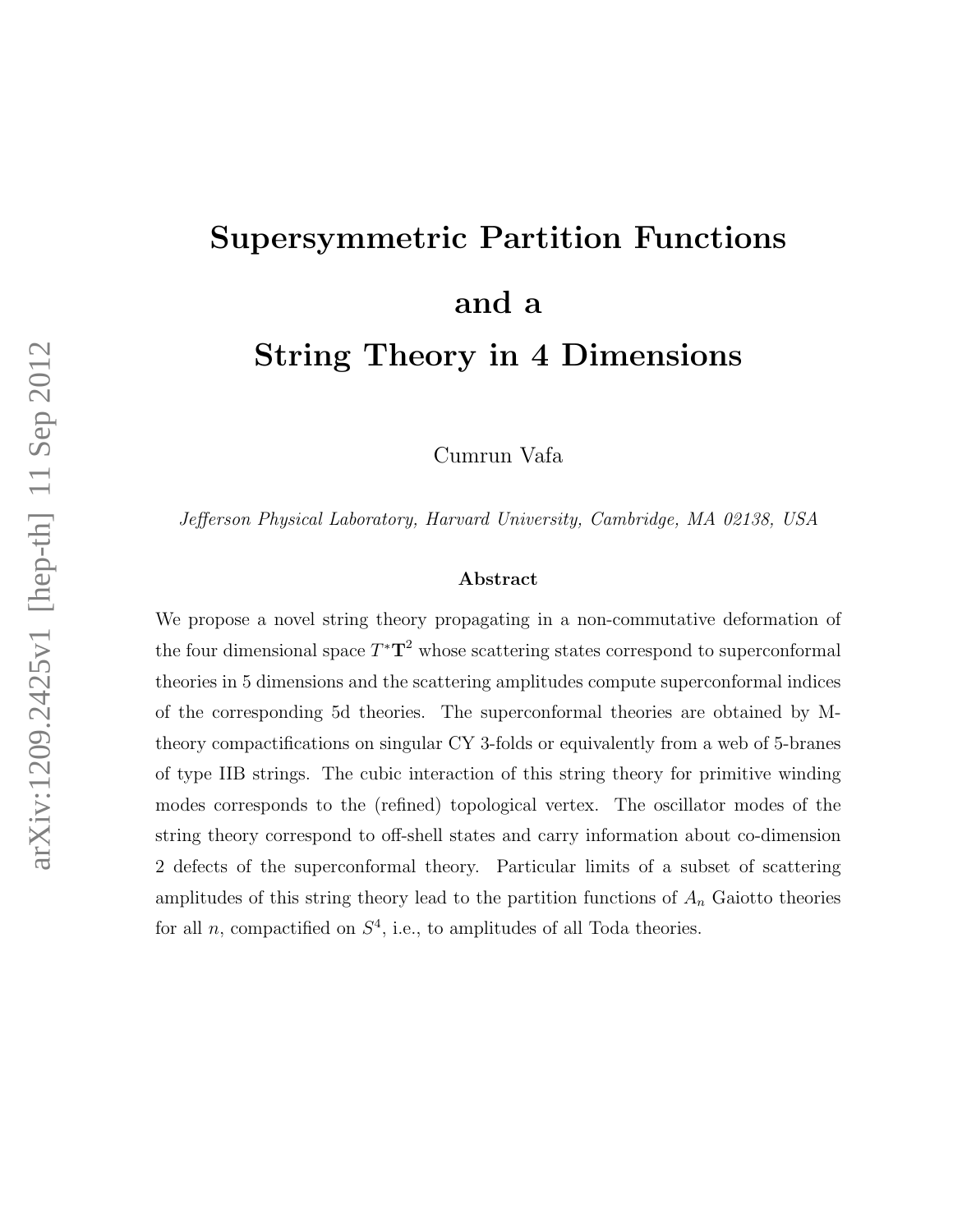# Supersymmetric Partition Functions and a String Theory in 4 Dimensions

Cumrun Vafa

Jefferson Physical Laboratory, Harvard University, Cambridge, MA 02138, USA

#### Abstract

We propose a novel string theory propagating in a non-commutative deformation of the four dimensional space  $T^{\ast}T^2$  whose scattering states correspond to superconformal theories in 5 dimensions and the scattering amplitudes compute superconformal indices of the corresponding 5d theories. The superconformal theories are obtained by Mtheory compactifications on singular CY 3-folds or equivalently from a web of 5-branes of type IIB strings. The cubic interaction of this string theory for primitive winding modes corresponds to the (refined) topological vertex. The oscillator modes of the string theory correspond to off-shell states and carry information about co-dimension 2 defects of the superconformal theory. Particular limits of a subset of scattering amplitudes of this string theory lead to the partition functions of  $A_n$  Gaiotto theories for all *n*, compactified on  $S<sup>4</sup>$ , i.e., to amplitudes of all Toda theories.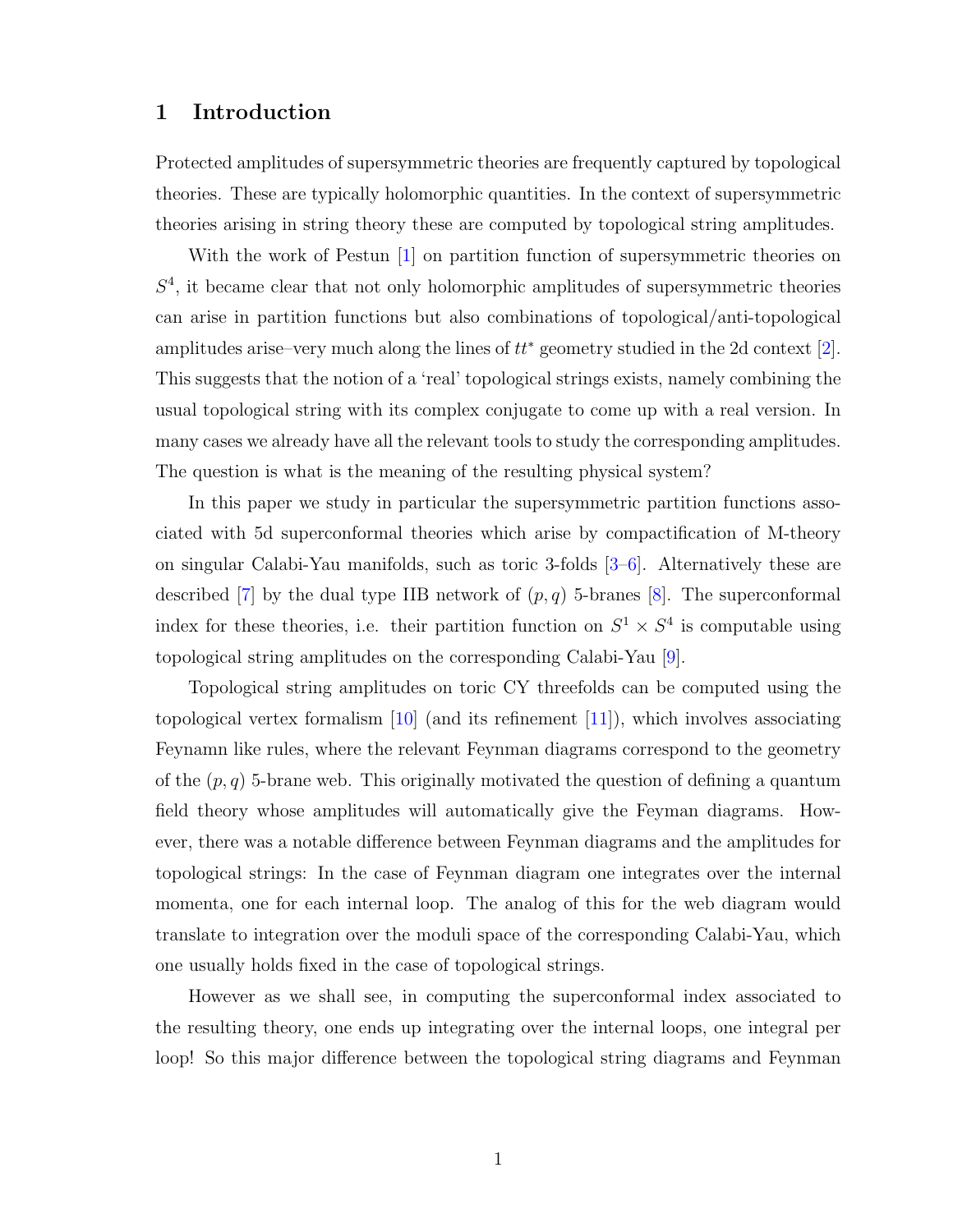## 1 Introduction

Protected amplitudes of supersymmetric theories are frequently captured by topological theories. These are typically holomorphic quantities. In the context of supersymmetric theories arising in string theory these are computed by topological string amplitudes.

With the work of Pestun [\[1\]](#page-37-0) on partition function of supersymmetric theories on  $S<sup>4</sup>$ , it became clear that not only holomorphic amplitudes of supersymmetric theories can arise in partition functions but also combinations of topological/anti-topological amplitudes arise–very much along the lines of  $tt^*$  geometry studied in the 2d context [\[2\]](#page-37-1). This suggests that the notion of a 'real' topological strings exists, namely combining the usual topological string with its complex conjugate to come up with a real version. In many cases we already have all the relevant tools to study the corresponding amplitudes. The question is what is the meaning of the resulting physical system?

In this paper we study in particular the supersymmetric partition functions associated with 5d superconformal theories which arise by compactification of M-theory on singular Calabi-Yau manifolds, such as toric 3-folds [\[3–](#page-37-2)[6\]](#page-37-3). Alternatively these are described [\[7\]](#page-37-4) by the dual type IIB network of  $(p, q)$  5-branes [\[8\]](#page-37-5). The superconformal index for these theories, i.e. their partition function on  $S^1 \times S^4$  is computable using topological string amplitudes on the corresponding Calabi-Yau [\[9\]](#page-37-6).

Topological string amplitudes on toric CY threefolds can be computed using the topological vertex formalism  $[10]$  (and its refinement  $[11]$ ), which involves associating Feynamn like rules, where the relevant Feynman diagrams correspond to the geometry of the  $(p, q)$  5-brane web. This originally motivated the question of defining a quantum field theory whose amplitudes will automatically give the Feyman diagrams. However, there was a notable difference between Feynman diagrams and the amplitudes for topological strings: In the case of Feynman diagram one integrates over the internal momenta, one for each internal loop. The analog of this for the web diagram would translate to integration over the moduli space of the corresponding Calabi-Yau, which one usually holds fixed in the case of topological strings.

However as we shall see, in computing the superconformal index associated to the resulting theory, one ends up integrating over the internal loops, one integral per loop! So this major difference between the topological string diagrams and Feynman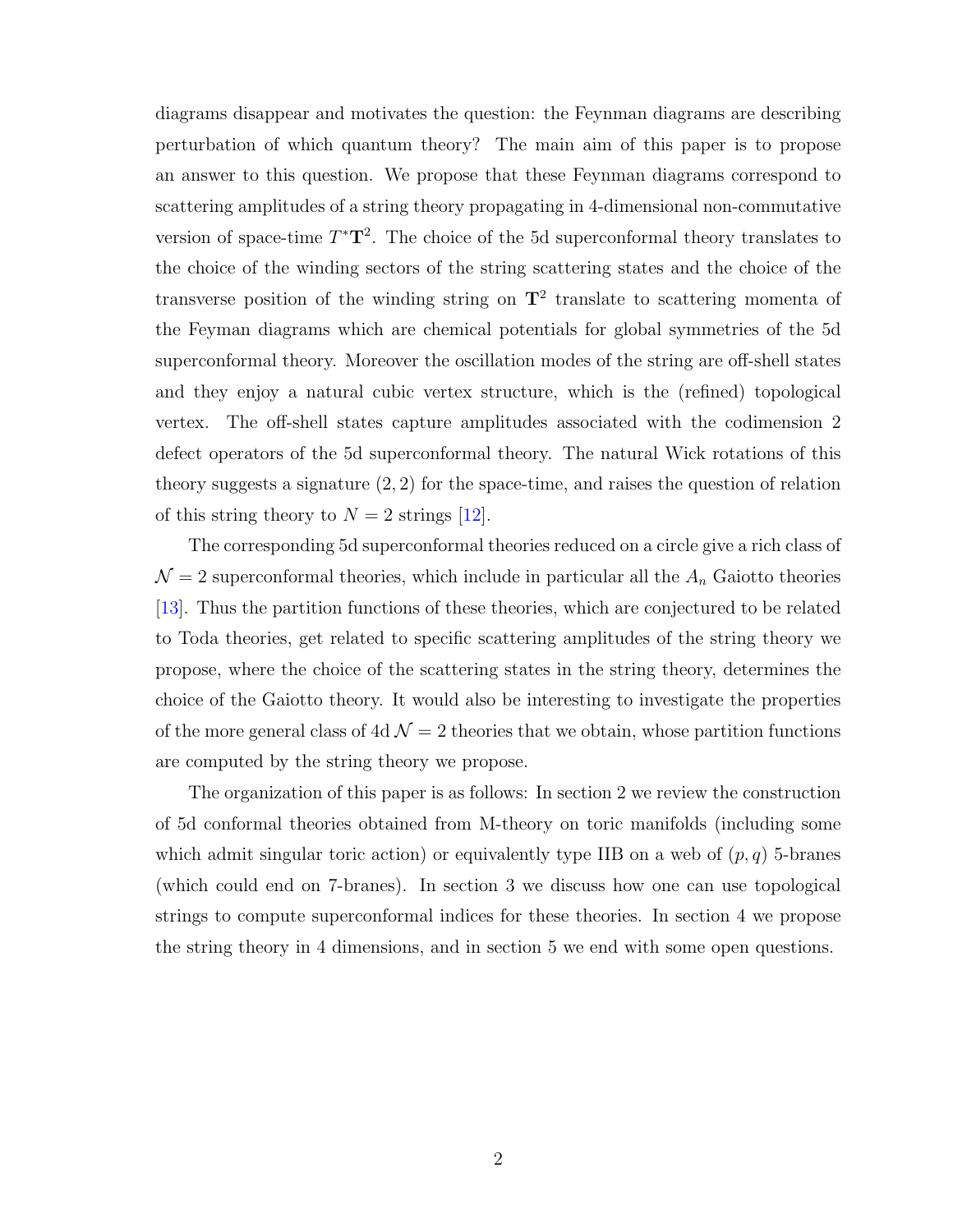diagrams disappear and motivates the question: the Feynman diagrams are describing perturbation of which quantum theory? The main aim of this paper is to propose an answer to this question. We propose that these Feynman diagrams correspond to scattering amplitudes of a string theory propagating in 4-dimensional non-commutative version of space-time  $T^{\ast}T^{2}$ . The choice of the 5d superconformal theory translates to the choice of the winding sectors of the string scattering states and the choice of the transverse position of the winding string on  $T^2$  translate to scattering momenta of the Feyman diagrams which are chemical potentials for global symmetries of the 5d superconformal theory. Moreover the oscillation modes of the string are off-shell states and they enjoy a natural cubic vertex structure, which is the (refined) topological vertex. The off-shell states capture amplitudes associated with the codimension 2 defect operators of the 5d superconformal theory. The natural Wick rotations of this theory suggests a signature  $(2, 2)$  for the space-time, and raises the question of relation of this string theory to  $N = 2$  strings [\[12\]](#page-38-1).

The corresponding 5d superconformal theories reduced on a circle give a rich class of  $\mathcal{N}=2$  superconformal theories, which include in particular all the  $A_n$  Gaiotto theories [\[13\]](#page-38-2). Thus the partition functions of these theories, which are conjectured to be related to Toda theories, get related to specific scattering amplitudes of the string theory we propose, where the choice of the scattering states in the string theory, determines the choice of the Gaiotto theory. It would also be interesting to investigate the properties of the more general class of 4d  $\mathcal{N} = 2$  theories that we obtain, whose partition functions are computed by the string theory we propose.

The organization of this paper is as follows: In section 2 we review the construction of 5d conformal theories obtained from M-theory on toric manifolds (including some which admit singular toric action) or equivalently type IIB on a web of  $(p, q)$  5-branes (which could end on 7-branes). In section 3 we discuss how one can use topological strings to compute superconformal indices for these theories. In section 4 we propose the string theory in 4 dimensions, and in section 5 we end with some open questions.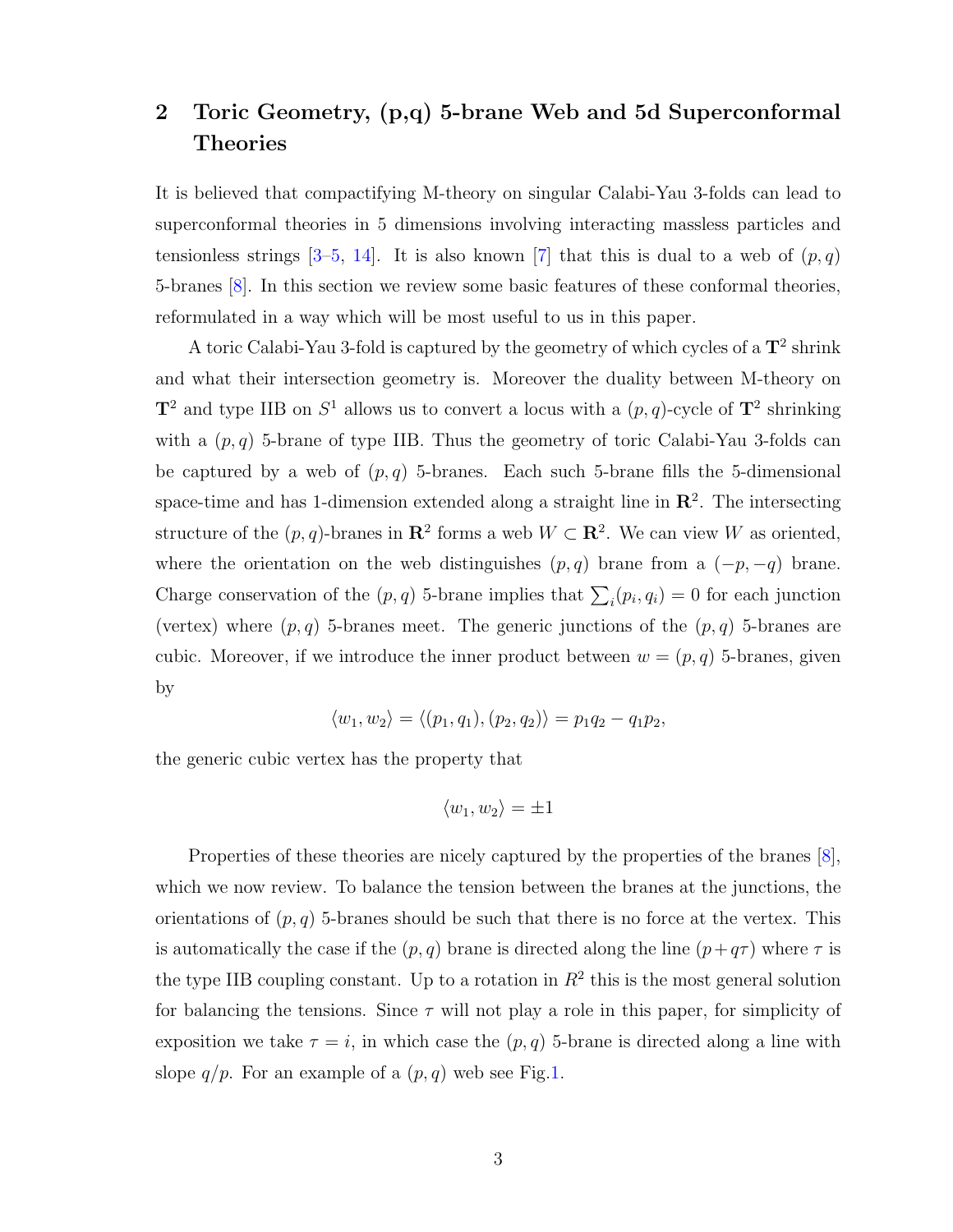## 2 Toric Geometry, (p,q) 5-brane Web and 5d Superconformal Theories

It is believed that compactifying M-theory on singular Calabi-Yau 3-folds can lead to superconformal theories in 5 dimensions involving interacting massless particles and tensionless strings  $[3-5, 14]$  $[3-5, 14]$  $[3-5, 14]$  $[3-5, 14]$ . It is also known  $[7]$  that this is dual to a web of  $(p, q)$ 5-branes [\[8\]](#page-37-5). In this section we review some basic features of these conformal theories, reformulated in a way which will be most useful to us in this paper.

A toric Calabi-Yau 3-fold is captured by the geometry of which cycles of a  $\mathbf{T}^2$  shrink and what their intersection geometry is. Moreover the duality between M-theory on  $\mathbf{T}^2$  and type IIB on  $S^1$  allows us to convert a locus with a  $(p, q)$ -cycle of  $\mathbf{T}^2$  shrinking with a  $(p, q)$  5-brane of type IIB. Thus the geometry of toric Calabi-Yau 3-folds can be captured by a web of  $(p, q)$  5-branes. Each such 5-brane fills the 5-dimensional space-time and has 1-dimension extended along a straight line in  $\mathbb{R}^2$ . The intersecting structure of the  $(p, q)$ -branes in  $\mathbb{R}^2$  forms a web  $W \subset \mathbb{R}^2$ . We can view W as oriented, where the orientation on the web distinguishes  $(p, q)$  brane from a  $(-p, -q)$  brane. Charge conservation of the  $(p, q)$  5-brane implies that  $\sum_i (p_i, q_i) = 0$  for each junction (vertex) where  $(p, q)$  5-branes meet. The generic junctions of the  $(p, q)$  5-branes are cubic. Moreover, if we introduce the inner product between  $w = (p, q)$  5-branes, given by

$$
\langle w_1, w_2 \rangle = \langle (p_1, q_1), (p_2, q_2) \rangle = p_1 q_2 - q_1 p_2,
$$

the generic cubic vertex has the property that

$$
\langle w_1, w_2 \rangle = \pm 1
$$

Properties of these theories are nicely captured by the properties of the branes [\[8\]](#page-37-5), which we now review. To balance the tension between the branes at the junctions, the orientations of  $(p, q)$  5-branes should be such that there is no force at the vertex. This is automatically the case if the  $(p, q)$  brane is directed along the line  $(p+q\tau)$  where  $\tau$  is the type IIB coupling constant. Up to a rotation in  $R^2$  this is the most general solution for balancing the tensions. Since  $\tau$  will not play a role in this paper, for simplicity of exposition we take  $\tau = i$ , in which case the  $(p, q)$  5-brane is directed along a line with slope  $q/p$ . For an example of a  $(p, q)$  web see Fig[.1.](#page-4-0)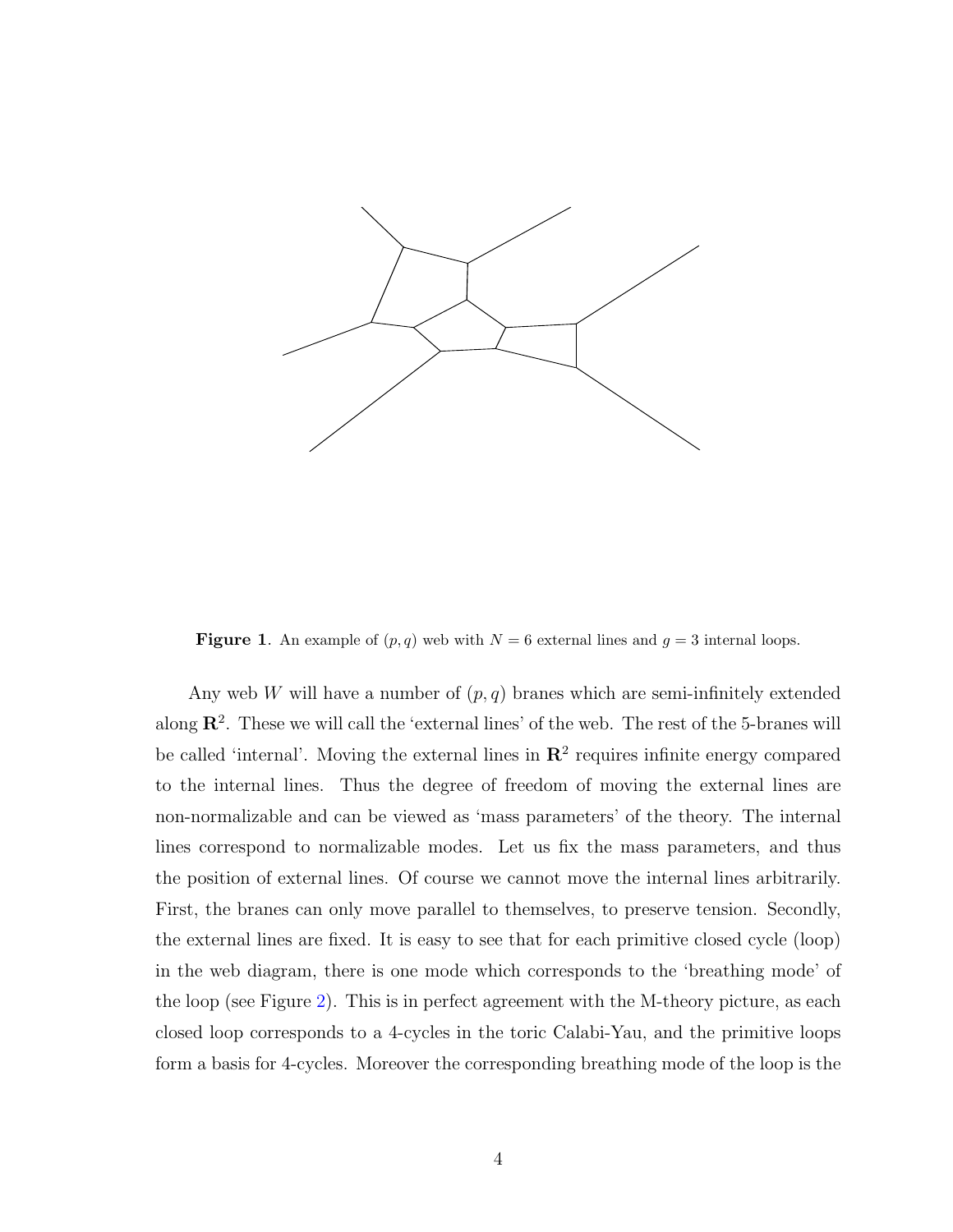

<span id="page-4-0"></span>**Figure 1.** An example of  $(p, q)$  web with  $N = 6$  external lines and  $q = 3$  internal loops.

Any web W will have a number of  $(p, q)$  branes which are semi-infinitely extended along  $\mathbb{R}^2$ . These we will call the 'external lines' of the web. The rest of the 5-branes will be called 'internal'. Moving the external lines in  $\mathbb{R}^2$  requires infinite energy compared to the internal lines. Thus the degree of freedom of moving the external lines are non-normalizable and can be viewed as 'mass parameters' of the theory. The internal lines correspond to normalizable modes. Let us fix the mass parameters, and thus the position of external lines. Of course we cannot move the internal lines arbitrarily. First, the branes can only move parallel to themselves, to preserve tension. Secondly, the external lines are fixed. It is easy to see that for each primitive closed cycle (loop) in the web diagram, there is one mode which corresponds to the 'breathing mode' of the loop (see Figure [2\)](#page-5-0). This is in perfect agreement with the M-theory picture, as each closed loop corresponds to a 4-cycles in the toric Calabi-Yau, and the primitive loops form a basis for 4-cycles. Moreover the corresponding breathing mode of the loop is the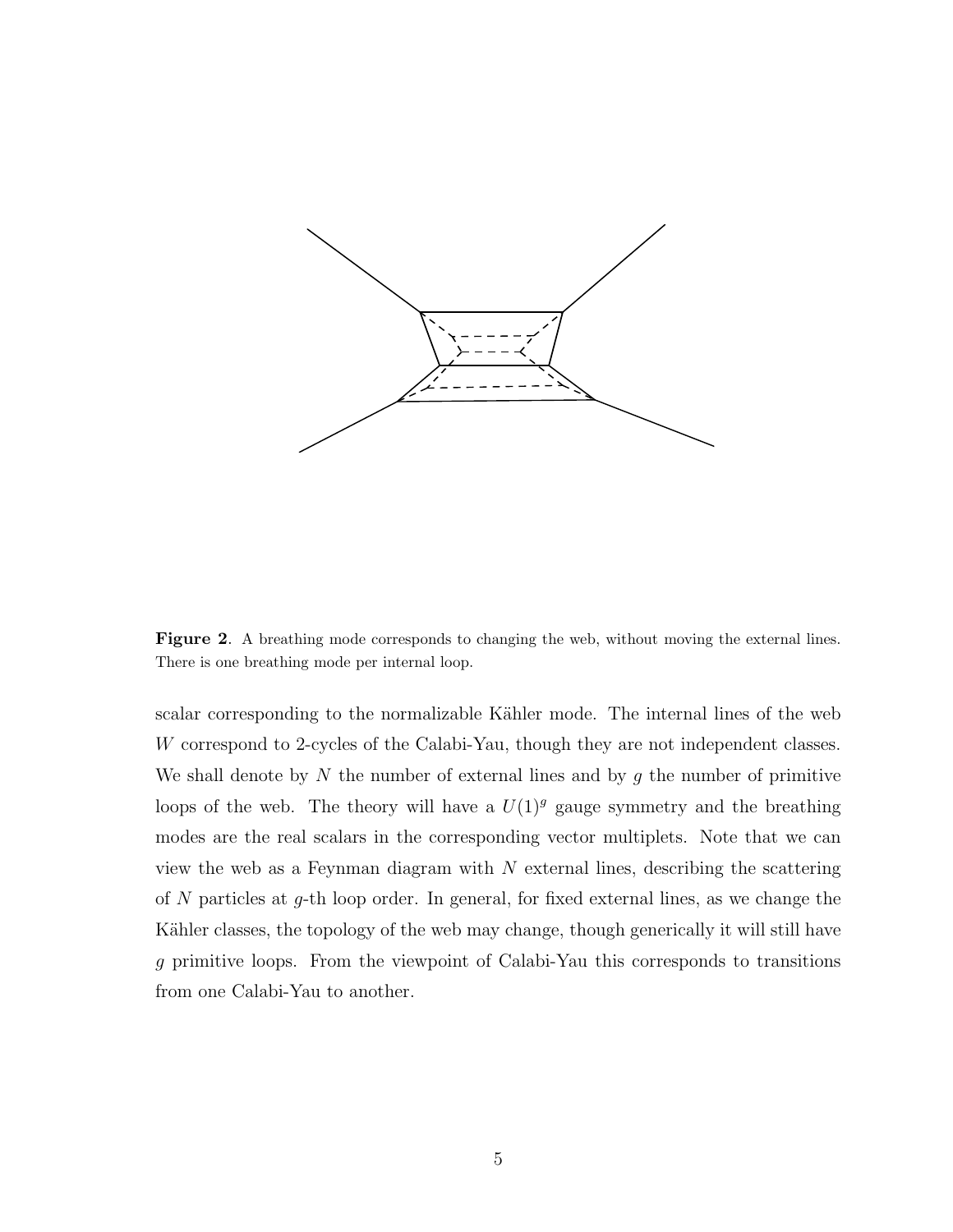

<span id="page-5-0"></span>Figure 2. A breathing mode corresponds to changing the web, without moving the external lines. There is one breathing mode per internal loop.

scalar corresponding to the normalizable Kähler mode. The internal lines of the web W correspond to 2-cycles of the Calabi-Yau, though they are not independent classes. We shall denote by N the number of external lines and by  $g$  the number of primitive loops of the web. The theory will have a  $U(1)^g$  gauge symmetry and the breathing modes are the real scalars in the corresponding vector multiplets. Note that we can view the web as a Feynman diagram with  $N$  external lines, describing the scattering of N particles at g-th loop order. In general, for fixed external lines, as we change the Kähler classes, the topology of the web may change, though generically it will still have g primitive loops. From the viewpoint of Calabi-Yau this corresponds to transitions from one Calabi-Yau to another.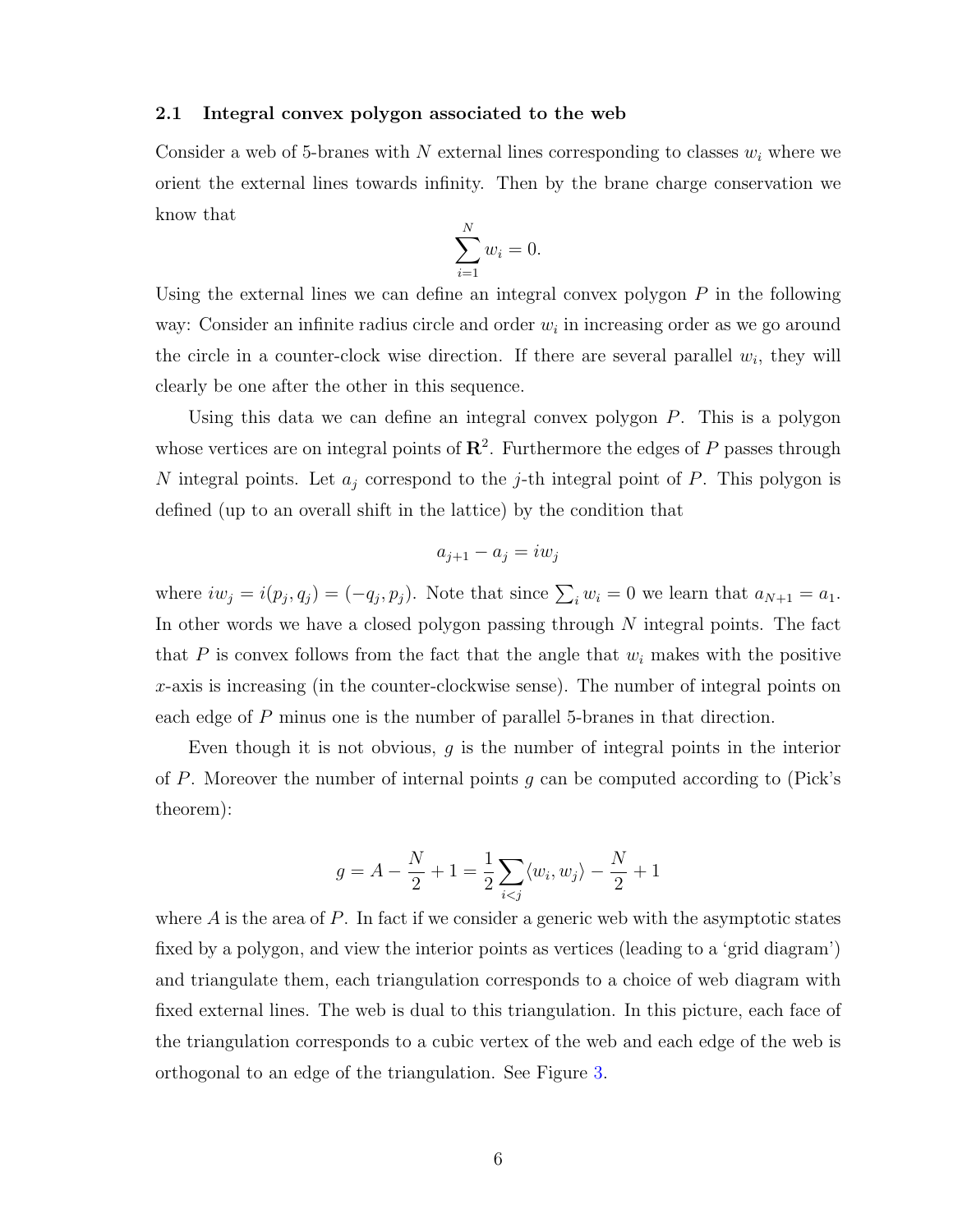#### 2.1 Integral convex polygon associated to the web

Consider a web of 5-branes with N external lines corresponding to classes  $w_i$  where we orient the external lines towards infinity. Then by the brane charge conservation we know that

$$
\sum_{i=1}^{N} w_i = 0.
$$

Using the external lines we can define an integral convex polygon  $P$  in the following way: Consider an infinite radius circle and order  $w_i$  in increasing order as we go around the circle in a counter-clock wise direction. If there are several parallel  $w_i$ , they will clearly be one after the other in this sequence.

Using this data we can define an integral convex polygon  $P$ . This is a polygon whose vertices are on integral points of  $\mathbb{R}^2$ . Furthermore the edges of P passes through N integral points. Let  $a_i$  correspond to the j-th integral point of P. This polygon is defined (up to an overall shift in the lattice) by the condition that

$$
a_{j+1} - a_j = iw_j
$$

where  $iw_j = i(p_j, q_j) = (-q_j, p_j)$ . Note that since  $\sum_i w_i = 0$  we learn that  $a_{N+1} = a_1$ . In other words we have a closed polygon passing through N integral points. The fact that  $P$  is convex follows from the fact that the angle that  $w_i$  makes with the positive  $x$ -axis is increasing (in the counter-clockwise sense). The number of integral points on each edge of P minus one is the number of parallel 5-branes in that direction.

Even though it is not obvious,  $q$  is the number of integral points in the interior of P. Moreover the number of internal points  $q$  can be computed according to (Pick's theorem):

$$
g = A - \frac{N}{2} + 1 = \frac{1}{2} \sum_{i < j} \langle w_i, w_j \rangle - \frac{N}{2} + 1
$$

where  $A$  is the area of  $P$ . In fact if we consider a generic web with the asymptotic states fixed by a polygon, and view the interior points as vertices (leading to a 'grid diagram') and triangulate them, each triangulation corresponds to a choice of web diagram with fixed external lines. The web is dual to this triangulation. In this picture, each face of the triangulation corresponds to a cubic vertex of the web and each edge of the web is orthogonal to an edge of the triangulation. See Figure [3.](#page-7-0)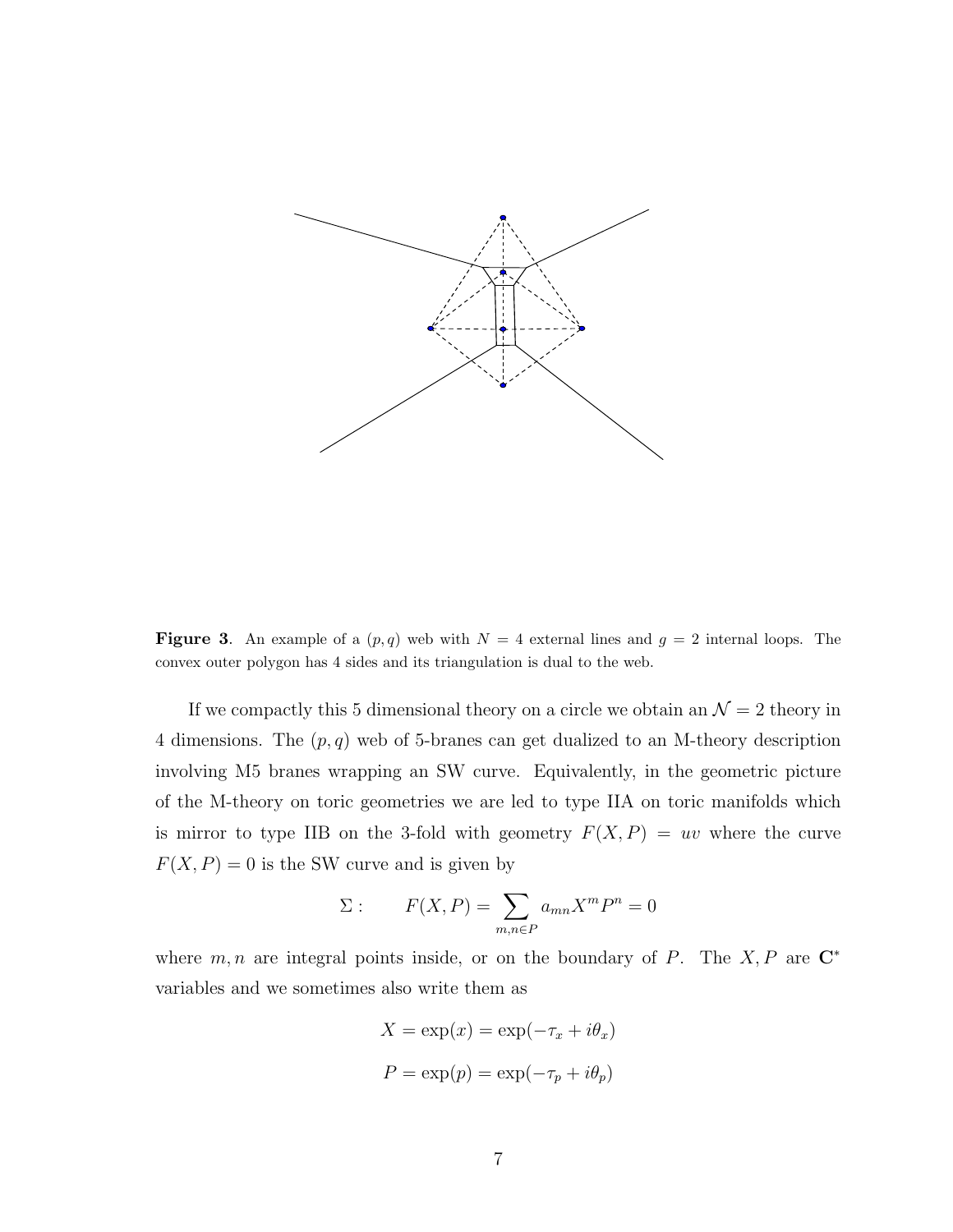

<span id="page-7-0"></span>**Figure 3.** An example of a  $(p, q)$  web with  $N = 4$  external lines and  $q = 2$  internal loops. The convex outer polygon has 4 sides and its triangulation is dual to the web.

If we compactly this 5 dimensional theory on a circle we obtain an  $\mathcal{N}=2$  theory in 4 dimensions. The  $(p, q)$  web of 5-branes can get dualized to an M-theory description involving M5 branes wrapping an SW curve. Equivalently, in the geometric picture of the M-theory on toric geometries we are led to type IIA on toric manifolds which is mirror to type IIB on the 3-fold with geometry  $F(X, P) = uv$  where the curve  $F(X, P) = 0$  is the SW curve and is given by

$$
\Sigma: \qquad F(X, P) = \sum_{m,n \in P} a_{mn} X^m P^n = 0
$$

where  $m, n$  are integral points inside, or on the boundary of P. The X, P are  $\mathbb{C}^*$ variables and we sometimes also write them as

$$
X = \exp(x) = \exp(-\tau_x + i\theta_x)
$$

$$
P = \exp(p) = \exp(-\tau_p + i\theta_p)
$$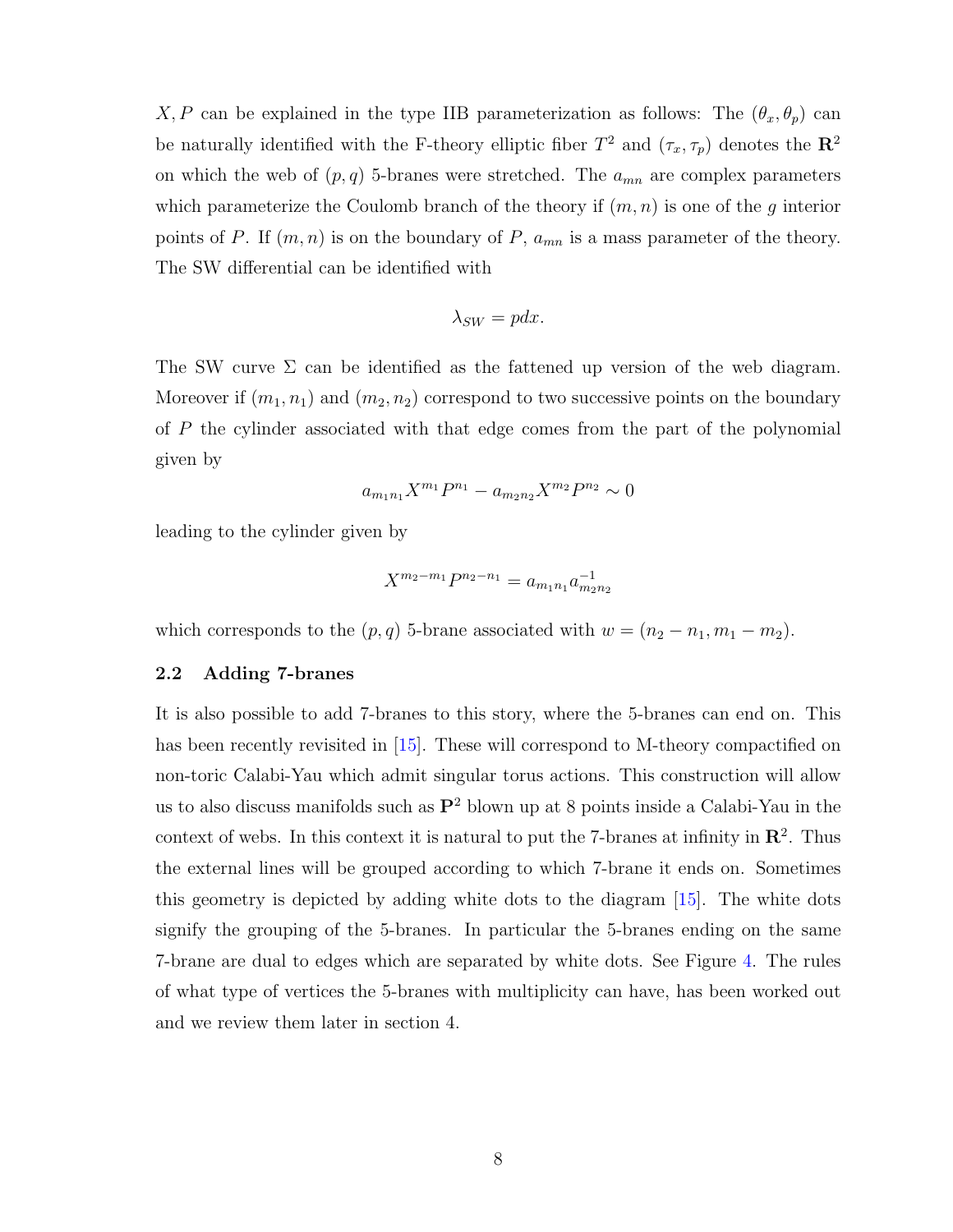X, P can be explained in the type IIB parameterization as follows: The  $(\theta_x, \theta_p)$  can be naturally identified with the F-theory elliptic fiber  $T^2$  and  $(\tau_x, \tau_p)$  denotes the  $\mathbb{R}^2$ on which the web of  $(p, q)$  5-branes were stretched. The  $a_{mn}$  are complex parameters which parameterize the Coulomb branch of the theory if  $(m, n)$  is one of the g interior points of P. If  $(m, n)$  is on the boundary of P,  $a_{mn}$  is a mass parameter of the theory. The SW differential can be identified with

$$
\lambda_{SW} = pdx.
$$

The SW curve  $\Sigma$  can be identified as the fattened up version of the web diagram. Moreover if  $(m_1, n_1)$  and  $(m_2, n_2)$  correspond to two successive points on the boundary of P the cylinder associated with that edge comes from the part of the polynomial given by

$$
a_{m_1n_1}X^{m_1}P^{n_1} - a_{m_2n_2}X^{m_2}P^{n_2} \sim 0
$$

leading to the cylinder given by

$$
X^{m_2 - m_1} P^{n_2 - n_1} = a_{m_1 n_1} a_{m_2 n_2}^{-1}
$$

which corresponds to the  $(p, q)$  5-brane associated with  $w = (n_2 - n_1, m_1 - m_2)$ .

#### 2.2 Adding 7-branes

It is also possible to add 7-branes to this story, where the 5-branes can end on. This has been recently revisited in [\[15\]](#page-38-4). These will correspond to M-theory compactified on non-toric Calabi-Yau which admit singular torus actions. This construction will allow us to also discuss manifolds such as  $\mathbb{P}^2$  blown up at 8 points inside a Calabi-Yau in the context of webs. In this context it is natural to put the 7-branes at infinity in  $\mathbb{R}^2$ . Thus the external lines will be grouped according to which 7-brane it ends on. Sometimes this geometry is depicted by adding white dots to the diagram [\[15\]](#page-38-4). The white dots signify the grouping of the 5-branes. In particular the 5-branes ending on the same 7-brane are dual to edges which are separated by white dots. See Figure [4.](#page-9-0) The rules of what type of vertices the 5-branes with multiplicity can have, has been worked out and we review them later in section 4.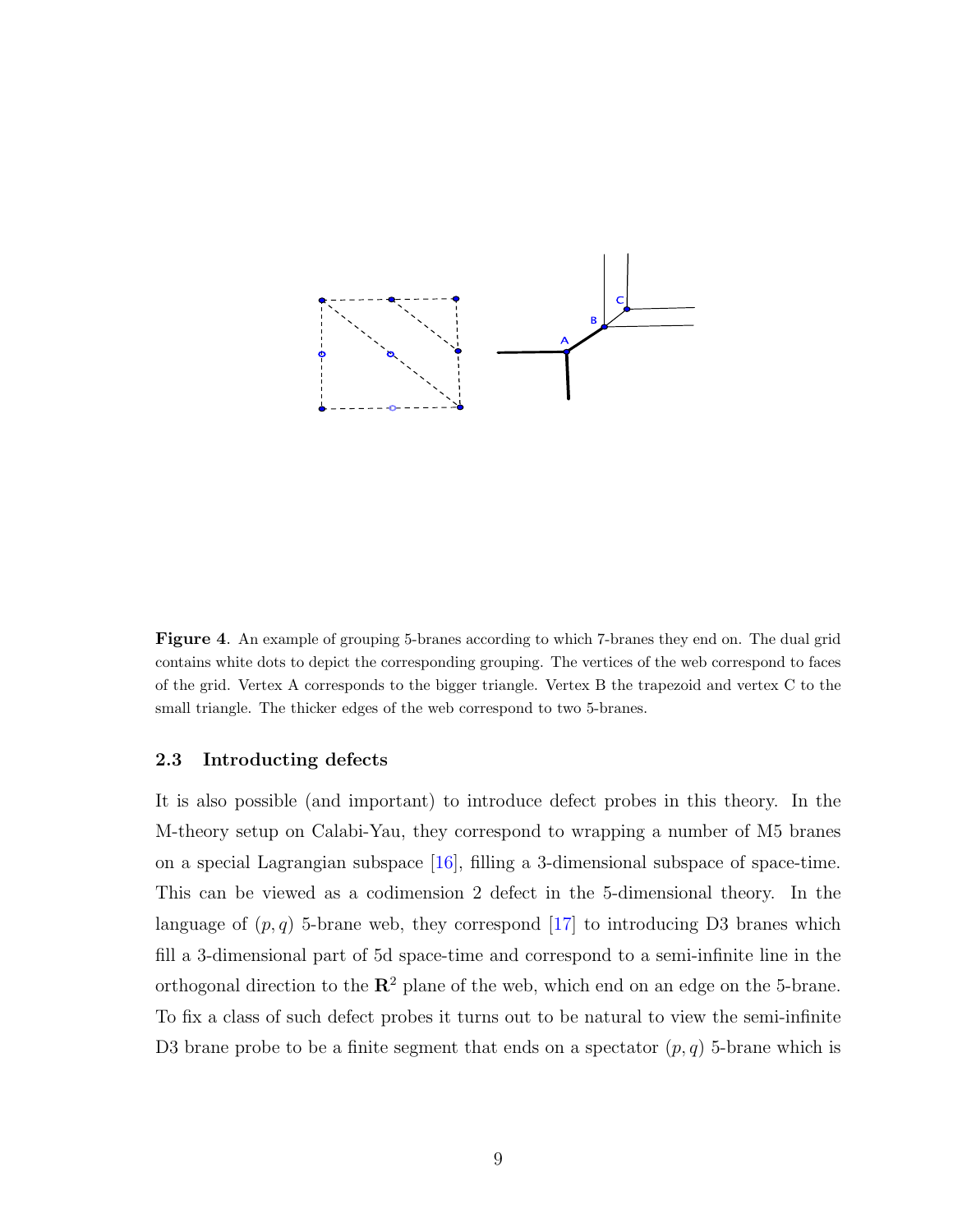

<span id="page-9-0"></span>Figure 4. An example of grouping 5-branes according to which 7-branes they end on. The dual grid contains white dots to depict the corresponding grouping. The vertices of the web correspond to faces of the grid. Vertex A corresponds to the bigger triangle. Vertex B the trapezoid and vertex C to the small triangle. The thicker edges of the web correspond to two 5-branes.

#### 2.3 Introducting defects

It is also possible (and important) to introduce defect probes in this theory. In the M-theory setup on Calabi-Yau, they correspond to wrapping a number of M5 branes on a special Lagrangian subspace [\[16\]](#page-38-5), filling a 3-dimensional subspace of space-time. This can be viewed as a codimension 2 defect in the 5-dimensional theory. In the language of  $(p, q)$  5-brane web, they correspond [\[17\]](#page-38-6) to introducing D3 branes which fill a 3-dimensional part of 5d space-time and correspond to a semi-infinite line in the orthogonal direction to the  $\mathbb{R}^2$  plane of the web, which end on an edge on the 5-brane. To fix a class of such defect probes it turns out to be natural to view the semi-infinite D3 brane probe to be a finite segment that ends on a spectator  $(p, q)$  5-brane which is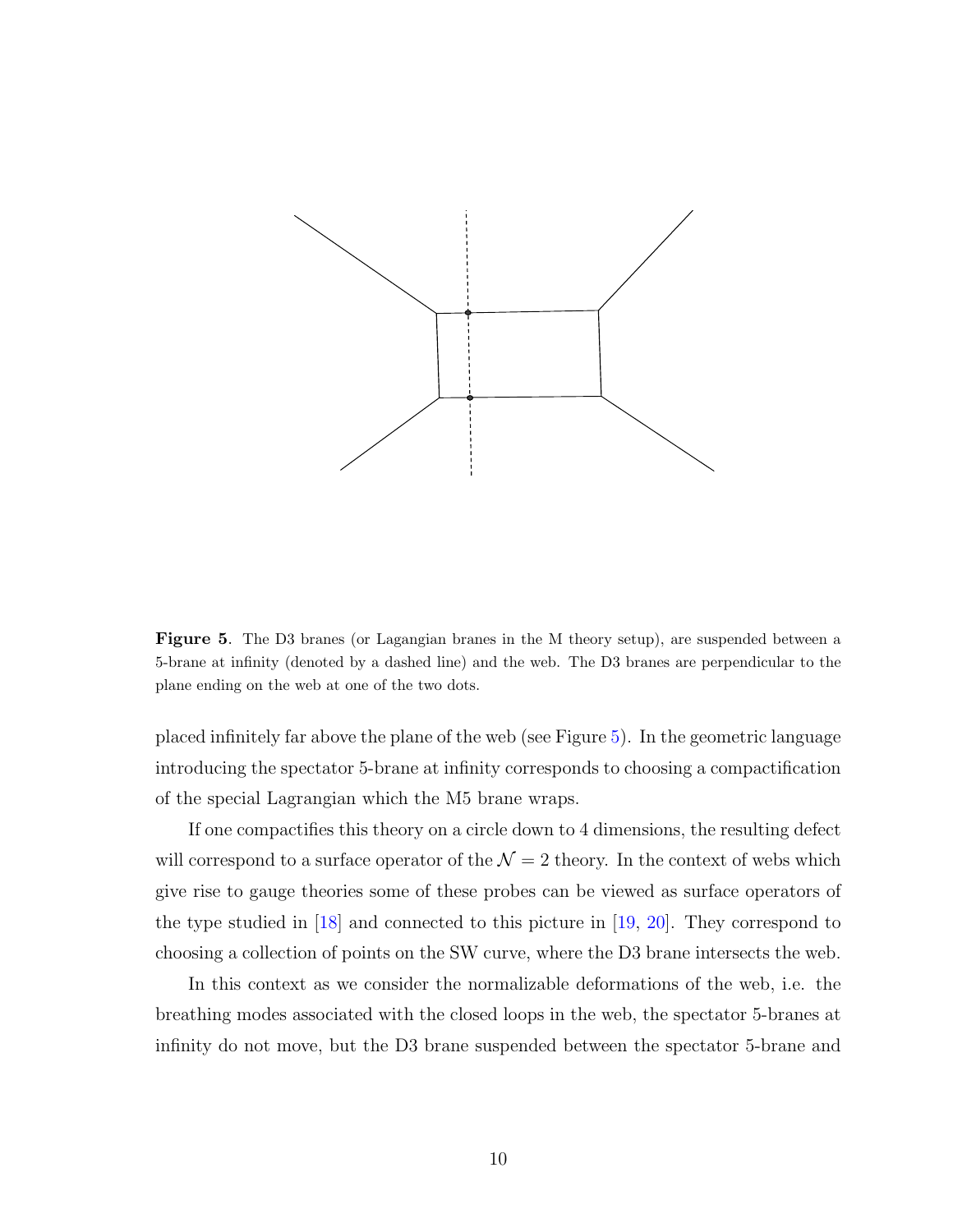

<span id="page-10-0"></span>Figure 5. The D3 branes (or Lagangian branes in the M theory setup), are suspended between a 5-brane at infinity (denoted by a dashed line) and the web. The D3 branes are perpendicular to the plane ending on the web at one of the two dots.

placed infinitely far above the plane of the web (see Figure [5\)](#page-10-0). In the geometric language introducing the spectator 5-brane at infinity corresponds to choosing a compactification of the special Lagrangian which the M5 brane wraps.

If one compactifies this theory on a circle down to 4 dimensions, the resulting defect will correspond to a surface operator of the  $\mathcal{N} = 2$  theory. In the context of webs which give rise to gauge theories some of these probes can be viewed as surface operators of the type studied in [\[18\]](#page-38-7) and connected to this picture in [\[19,](#page-38-8) [20\]](#page-38-9). They correspond to choosing a collection of points on the SW curve, where the D3 brane intersects the web.

In this context as we consider the normalizable deformations of the web, i.e. the breathing modes associated with the closed loops in the web, the spectator 5-branes at infinity do not move, but the D3 brane suspended between the spectator 5-brane and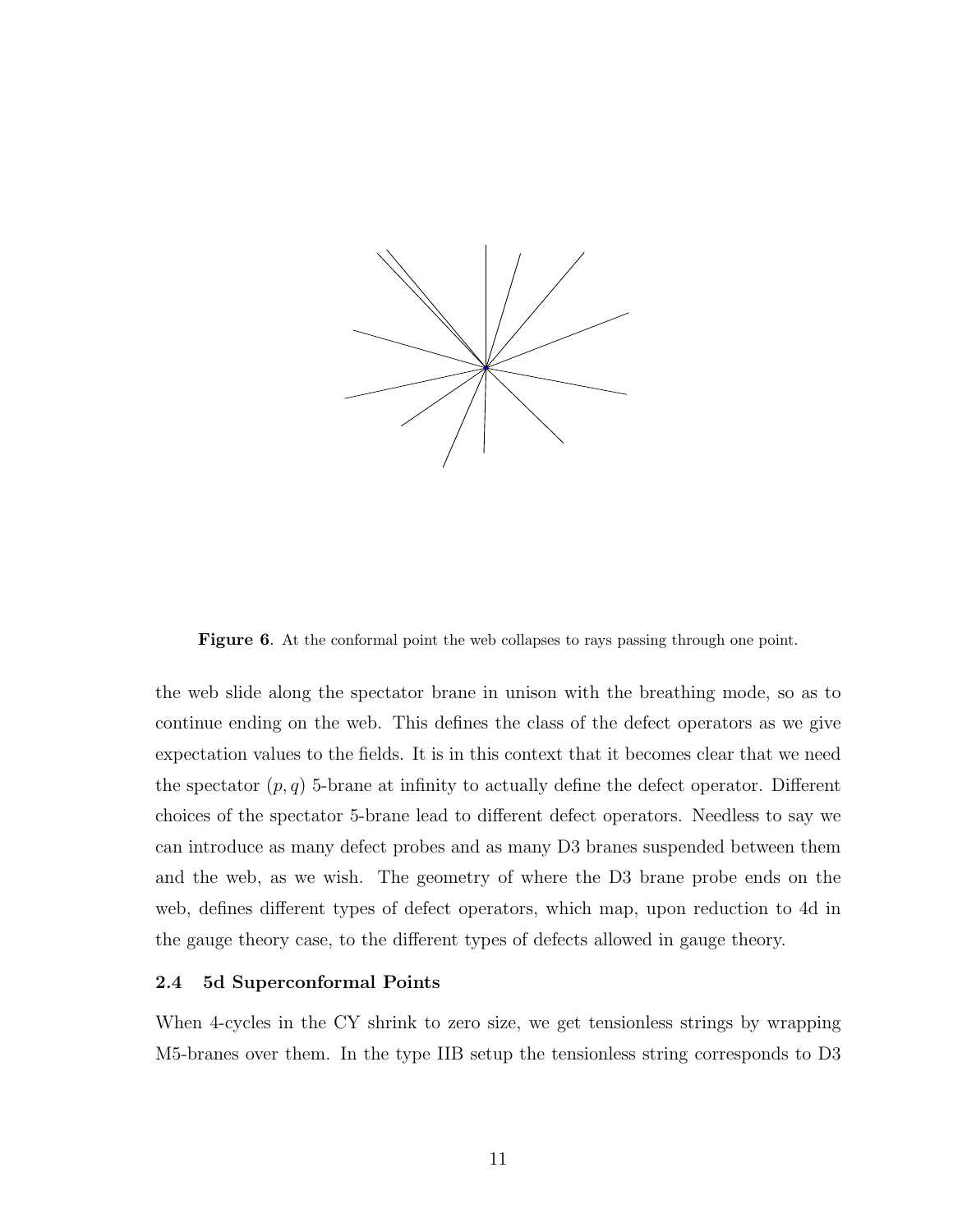

<span id="page-11-0"></span>Figure 6. At the conformal point the web collapses to rays passing through one point.

the web slide along the spectator brane in unison with the breathing mode, so as to continue ending on the web. This defines the class of the defect operators as we give expectation values to the fields. It is in this context that it becomes clear that we need the spectator  $(p, q)$  5-brane at infinity to actually define the defect operator. Different choices of the spectator 5-brane lead to different defect operators. Needless to say we can introduce as many defect probes and as many D3 branes suspended between them and the web, as we wish. The geometry of where the D3 brane probe ends on the web, defines different types of defect operators, which map, upon reduction to 4d in the gauge theory case, to the different types of defects allowed in gauge theory.

#### 2.4 5d Superconformal Points

When 4-cycles in the CY shrink to zero size, we get tensionless strings by wrapping M5-branes over them. In the type IIB setup the tensionless string corresponds to D3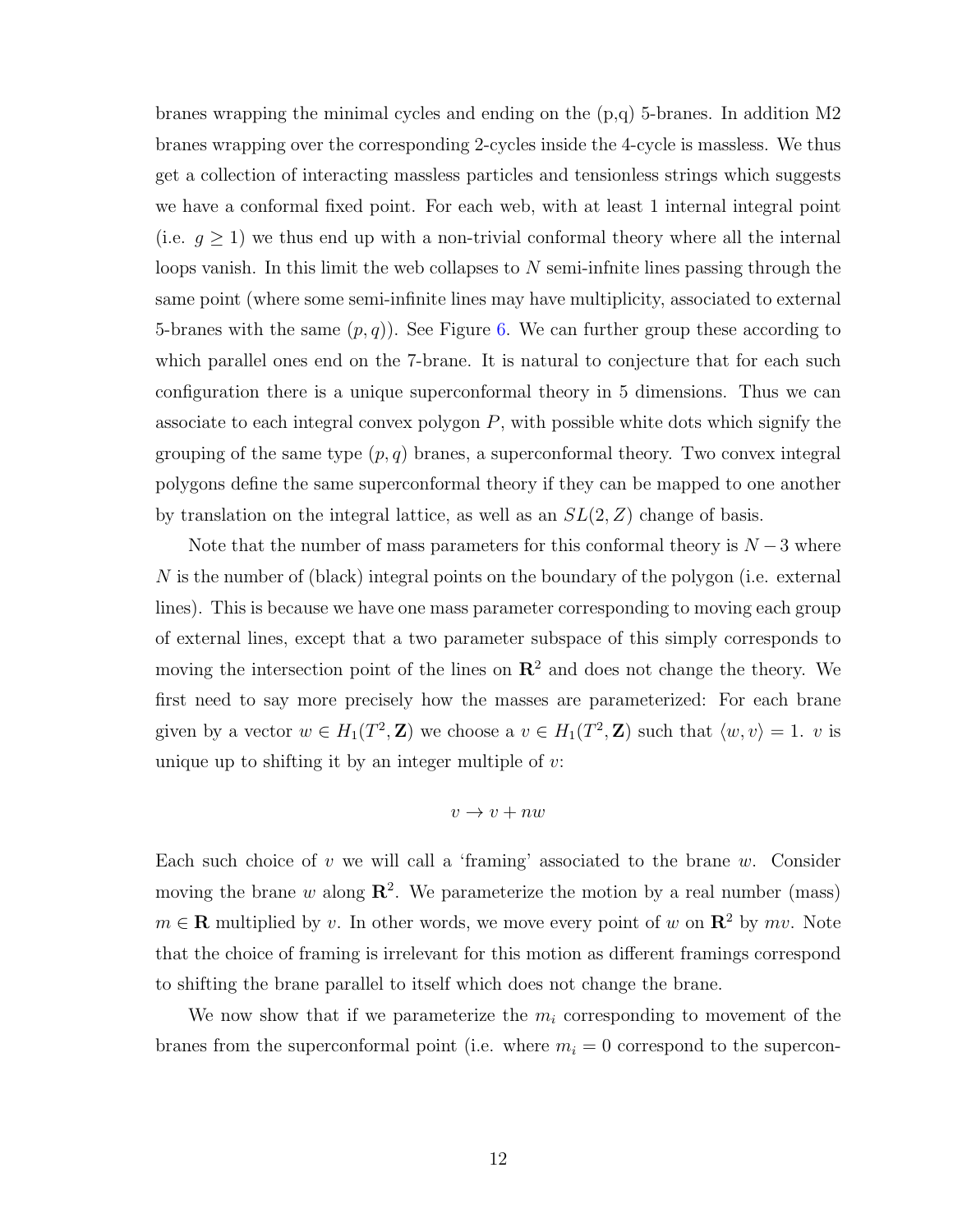branes wrapping the minimal cycles and ending on the (p,q) 5-branes. In addition M2 branes wrapping over the corresponding 2-cycles inside the 4-cycle is massless. We thus get a collection of interacting massless particles and tensionless strings which suggests we have a conformal fixed point. For each web, with at least 1 internal integral point (i.e.  $g \ge 1$ ) we thus end up with a non-trivial conformal theory where all the internal loops vanish. In this limit the web collapses to  $N$  semi-infnite lines passing through the same point (where some semi-infinite lines may have multiplicity, associated to external 5-branes with the same  $(p, q)$ . See Figure [6.](#page-11-0) We can further group these according to which parallel ones end on the 7-brane. It is natural to conjecture that for each such configuration there is a unique superconformal theory in 5 dimensions. Thus we can associate to each integral convex polygon  $P$ , with possible white dots which signify the grouping of the same type  $(p, q)$  branes, a superconformal theory. Two convex integral polygons define the same superconformal theory if they can be mapped to one another by translation on the integral lattice, as well as an  $SL(2, Z)$  change of basis.

Note that the number of mass parameters for this conformal theory is  $N-3$  where N is the number of (black) integral points on the boundary of the polygon (i.e. external lines). This is because we have one mass parameter corresponding to moving each group of external lines, except that a two parameter subspace of this simply corresponds to moving the intersection point of the lines on  $\mathbb{R}^2$  and does not change the theory. We first need to say more precisely how the masses are parameterized: For each brane given by a vector  $w \in H_1(T^2, \mathbb{Z})$  we choose a  $v \in H_1(T^2, \mathbb{Z})$  such that  $\langle w, v \rangle = 1$ . v is unique up to shifting it by an integer multiple of  $v$ .

$$
v \to v + n w
$$

Each such choice of v we will call a 'framing' associated to the brane w. Consider moving the brane w along  $\mathbb{R}^2$ . We parameterize the motion by a real number (mass)  $m \in \mathbb{R}$  multiplied by v. In other words, we move every point of w on  $\mathbb{R}^2$  by mv. Note that the choice of framing is irrelevant for this motion as different framings correspond to shifting the brane parallel to itself which does not change the brane.

We now show that if we parameterize the  $m_i$  corresponding to movement of the branes from the superconformal point (i.e. where  $m_i = 0$  correspond to the supercon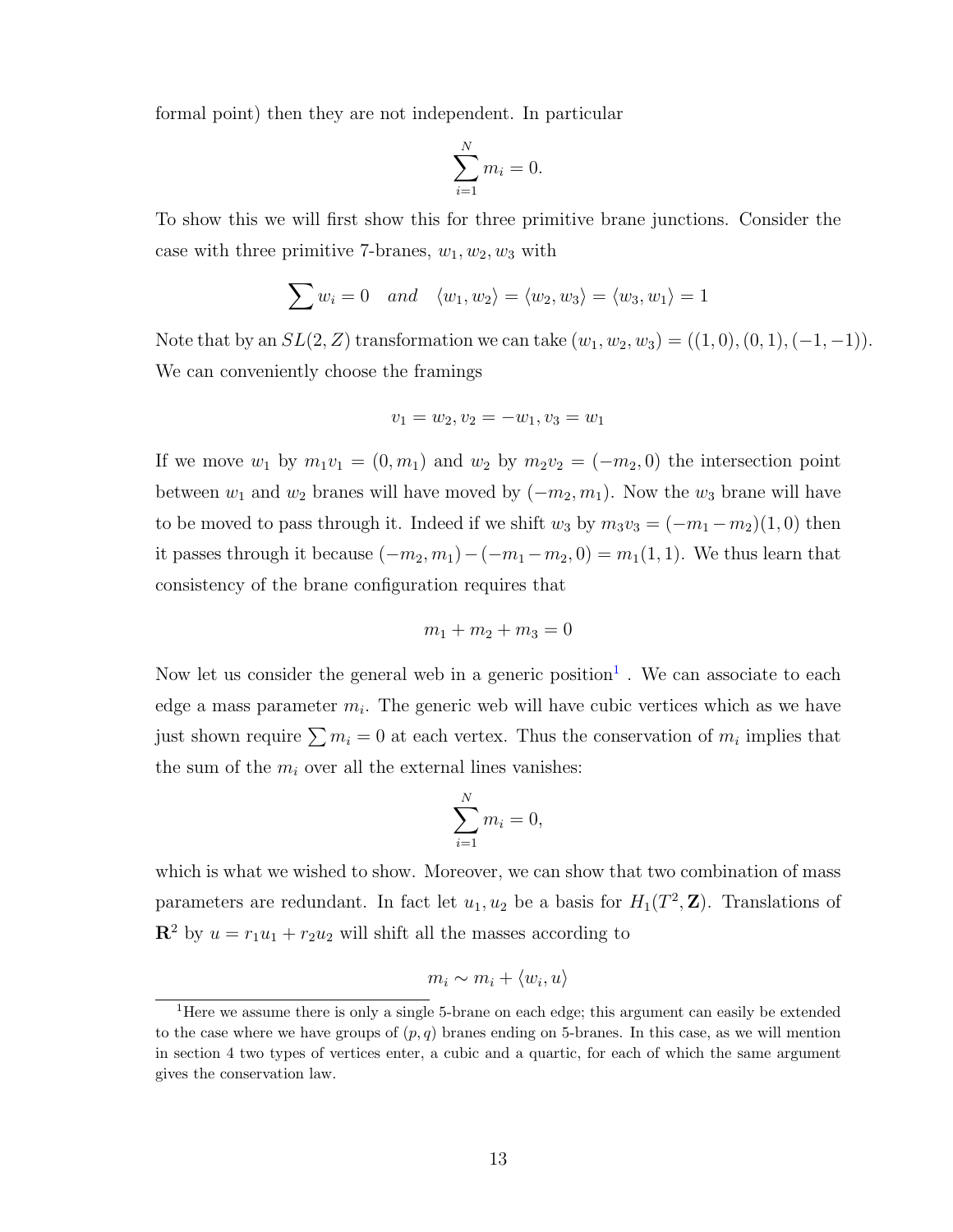formal point) then they are not independent. In particular

$$
\sum_{i=1}^{N} m_i = 0.
$$

To show this we will first show this for three primitive brane junctions. Consider the case with three primitive 7-branes,  $w_1, w_2, w_3$  with

$$
\sum w_i = 0 \quad and \quad \langle w_1, w_2 \rangle = \langle w_2, w_3 \rangle = \langle w_3, w_1 \rangle = 1
$$

Note that by an  $SL(2, Z)$  transformation we can take  $(w_1, w_2, w_3) = ((1, 0), (0, 1), (-1, -1)).$ We can conveniently choose the framings

$$
v_1 = w_2, v_2 = -w_1, v_3 = w_1
$$

If we move  $w_1$  by  $m_1v_1 = (0, m_1)$  and  $w_2$  by  $m_2v_2 = (-m_2, 0)$  the intersection point between  $w_1$  and  $w_2$  branes will have moved by  $(-m_2, m_1)$ . Now the  $w_3$  brane will have to be moved to pass through it. Indeed if we shift  $w_3$  by  $m_3v_3 = (-m_1 - m_2)(1, 0)$  then it passes through it because  $(-m_2, m_1) - (-m_1 - m_2, 0) = m_1(1, 1)$ . We thus learn that consistency of the brane configuration requires that

$$
m_1 + m_2 + m_3 = 0
$$

Now let us consider the general web in a generic position<sup>[1](#page-13-0)</sup>. We can associate to each edge a mass parameter  $m_i$ . The generic web will have cubic vertices which as we have just shown require  $\sum m_i = 0$  at each vertex. Thus the conservation of  $m_i$  implies that the sum of the  $m_i$  over all the external lines vanishes:

$$
\sum_{i=1}^{N} m_i = 0,
$$

which is what we wished to show. Moreover, we can show that two combination of mass parameters are redundant. In fact let  $u_1, u_2$  be a basis for  $H_1(T^2, \mathbb{Z})$ . Translations of  $\mathbb{R}^2$  by  $u = r_1u_1 + r_2u_2$  will shift all the masses according to

$$
m_i \sim m_i + \langle w_i, u \rangle
$$

<span id="page-13-0"></span><sup>&</sup>lt;sup>1</sup>Here we assume there is only a single 5-brane on each edge; this argument can easily be extended to the case where we have groups of  $(p, q)$  branes ending on 5-branes. In this case, as we will mention in section 4 two types of vertices enter, a cubic and a quartic, for each of which the same argument gives the conservation law.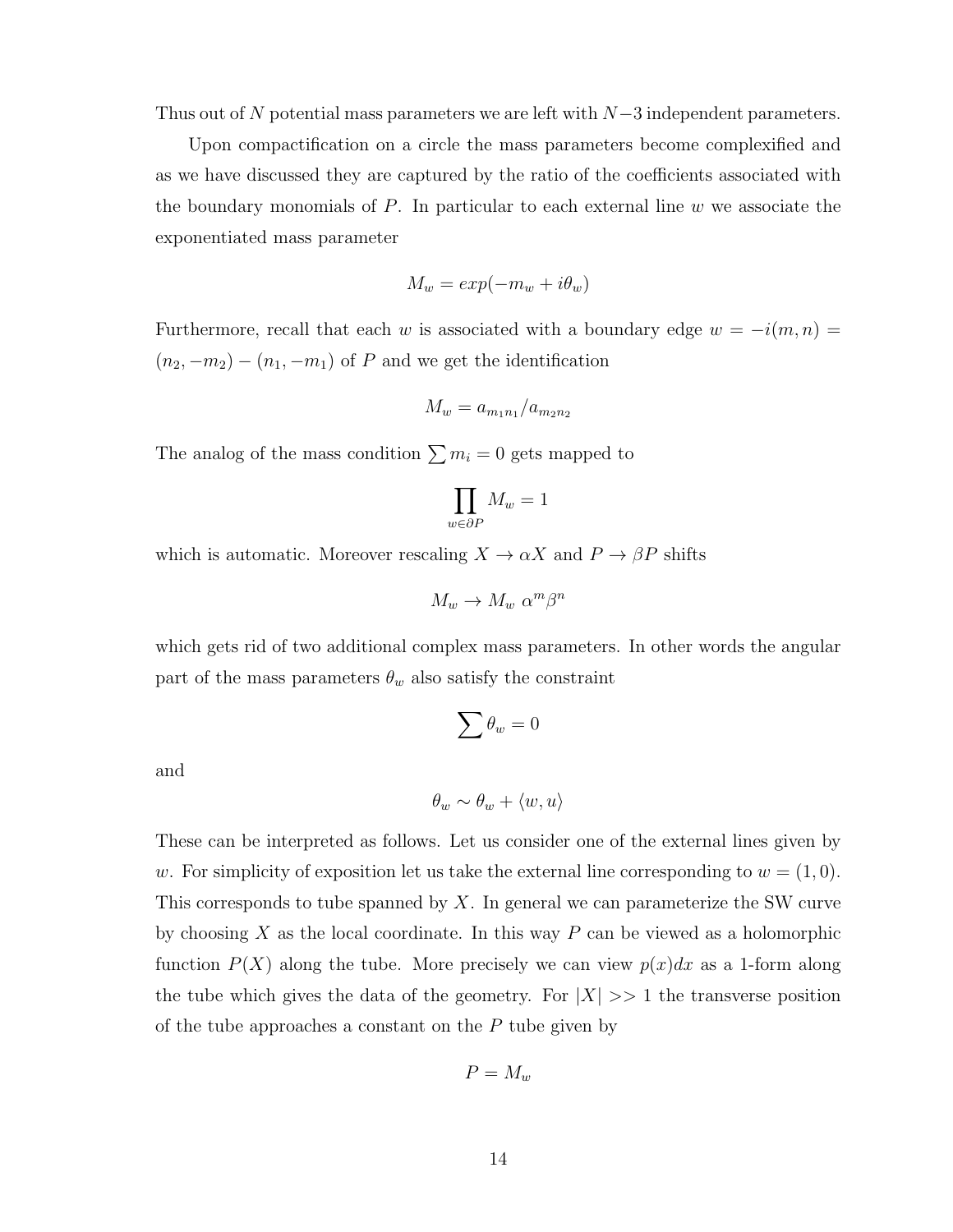Thus out of N potential mass parameters we are left with  $N-3$  independent parameters.

Upon compactification on a circle the mass parameters become complexified and as we have discussed they are captured by the ratio of the coefficients associated with the boundary monomials of  $P$ . In particular to each external line  $w$  we associate the exponentiated mass parameter

$$
M_w = exp(-m_w + i\theta_w)
$$

Furthermore, recall that each w is associated with a boundary edge  $w = -i(m, n)$  $(n_2, -m_2) - (n_1, -m_1)$  of P and we get the identification

$$
M_w = a_{m_1 n_1}/a_{m_2 n_2}
$$

The analog of the mass condition  $\sum m_i = 0$  gets mapped to

$$
\prod_{w\in\partial P}M_w=1
$$

which is automatic. Moreover rescaling  $X \to \alpha X$  and  $P \to \beta P$  shifts

$$
M_w \to M_w \, \alpha^m \beta^n
$$

which gets rid of two additional complex mass parameters. In other words the angular part of the mass parameters  $\theta_w$  also satisfy the constraint

$$
\sum \theta_w = 0
$$

and

$$
\theta_w \sim \theta_w + \langle w, u \rangle
$$

These can be interpreted as follows. Let us consider one of the external lines given by w. For simplicity of exposition let us take the external line corresponding to  $w = (1, 0)$ . This corresponds to tube spanned by  $X$ . In general we can parameterize the SW curve by choosing  $X$  as the local coordinate. In this way  $P$  can be viewed as a holomorphic function  $P(X)$  along the tube. More precisely we can view  $p(x)dx$  as a 1-form along the tube which gives the data of the geometry. For  $|X| \gg 1$  the transverse position of the tube approaches a constant on the  $P$  tube given by

$$
P=M_w
$$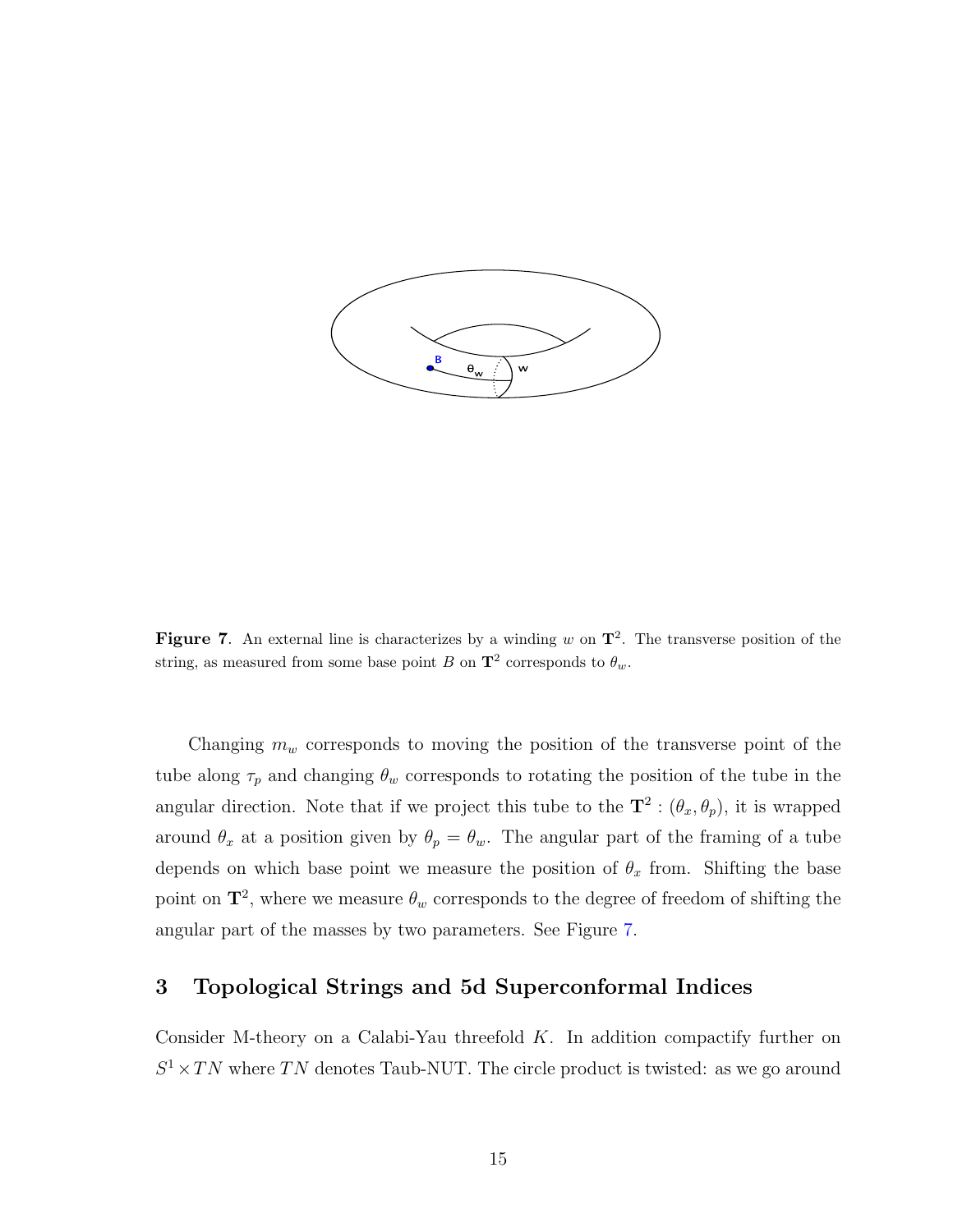

<span id="page-15-0"></span>Figure 7. An external line is characterizes by a winding w on  $\mathbf{T}^2$ . The transverse position of the string, as measured from some base point B on  $\mathbf{T}^2$  corresponds to  $\theta_w$ .

Changing  $m_w$  corresponds to moving the position of the transverse point of the tube along  $\tau_p$  and changing  $\theta_w$  corresponds to rotating the position of the tube in the angular direction. Note that if we project this tube to the  $\mathbf{T}^2$  :  $(\theta_x, \theta_y)$ , it is wrapped around  $\theta_x$  at a position given by  $\theta_p = \theta_w$ . The angular part of the framing of a tube depends on which base point we measure the position of  $\theta_x$  from. Shifting the base point on  $\mathbf{T}^2$ , where we measure  $\theta_w$  corresponds to the degree of freedom of shifting the angular part of the masses by two parameters. See Figure [7.](#page-15-0)

## 3 Topological Strings and 5d Superconformal Indices

Consider M-theory on a Calabi-Yau threefold  $K$ . In addition compactify further on  $S^1 \times TN$  where TN denotes Taub-NUT. The circle product is twisted: as we go around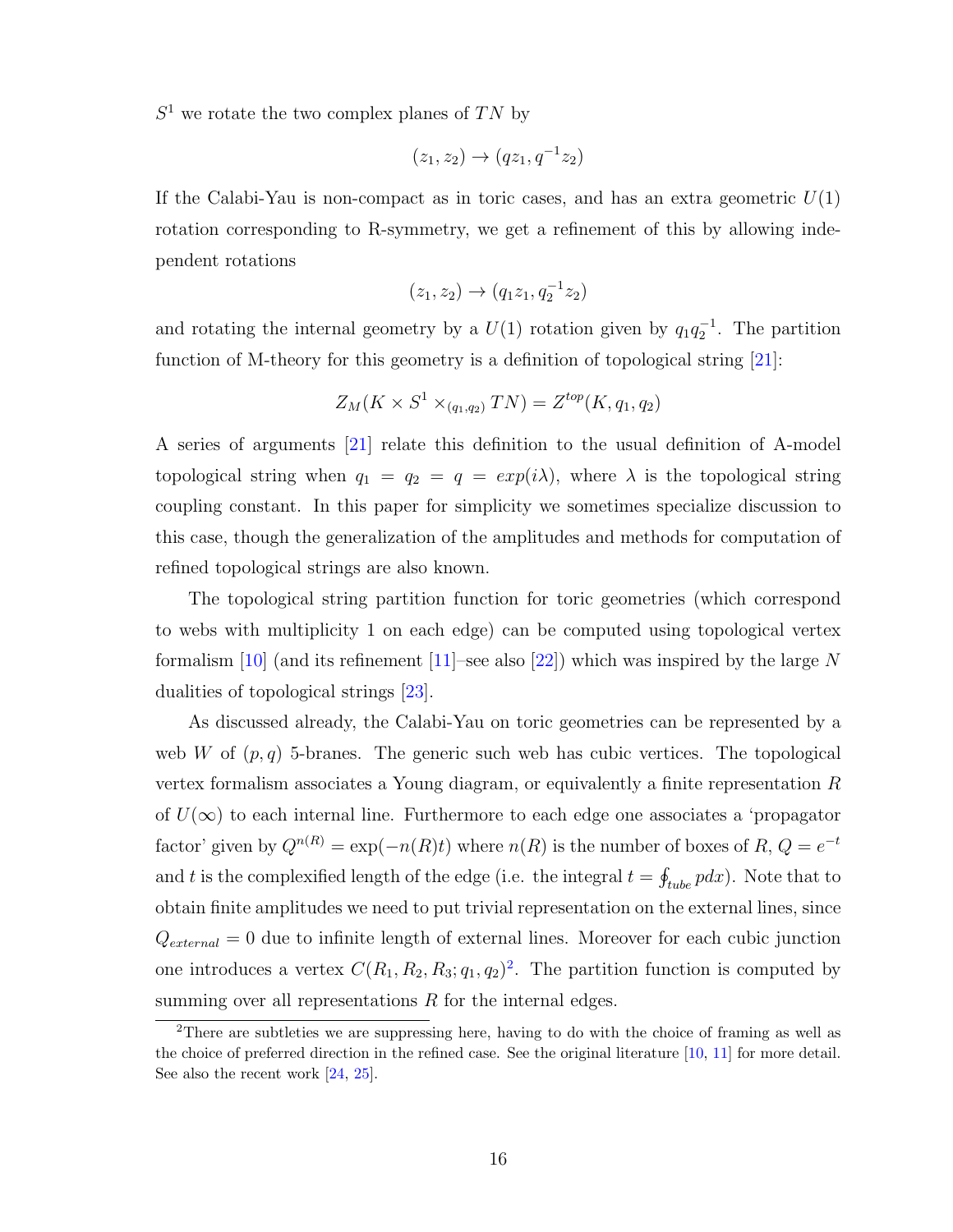$S<sup>1</sup>$  we rotate the two complex planes of TN by

$$
(z_1, z_2) \to (qz_1, q^{-1}z_2)
$$

If the Calabi-Yau is non-compact as in toric cases, and has an extra geometric  $U(1)$ rotation corresponding to R-symmetry, we get a refinement of this by allowing independent rotations

$$
(z_1, z_2) \to (q_1 z_1, q_2^{-1} z_2)
$$

and rotating the internal geometry by a  $U(1)$  rotation given by  $q_1q_2^{-1}$ . The partition function of M-theory for this geometry is a definition of topological string [\[21\]](#page-38-10):

$$
Z_M(K \times S^1 \times_{(q_1,q_2)} TN) = Z^{top}(K,q_1,q_2)
$$

A series of arguments [\[21\]](#page-38-10) relate this definition to the usual definition of A-model topological string when  $q_1 = q_2 = q = exp(i\lambda)$ , where  $\lambda$  is the topological string coupling constant. In this paper for simplicity we sometimes specialize discussion to this case, though the generalization of the amplitudes and methods for computation of refined topological strings are also known.

The topological string partition function for toric geometries (which correspond to webs with multiplicity 1 on each edge) can be computed using topological vertex formalism [\[10\]](#page-37-7) (and its refinement [\[11\]](#page-38-0)–see also [\[22\]](#page-38-11)) which was inspired by the large N dualities of topological strings [\[23\]](#page-38-12).

As discussed already, the Calabi-Yau on toric geometries can be represented by a web W of  $(p, q)$  5-branes. The generic such web has cubic vertices. The topological vertex formalism associates a Young diagram, or equivalently a finite representation  $R$ of  $U(\infty)$  to each internal line. Furthermore to each edge one associates a 'propagator factor' given by  $Q^{n(R)} = \exp(-n(R)t)$  where  $n(R)$  is the number of boxes of  $R, Q = e^{-t}$ and t is the complexified length of the edge (i.e. the integral  $t = \oint_{tube} p dx$ ). Note that to obtain finite amplitudes we need to put trivial representation on the external lines, since  $Q_{external} = 0$  due to infinite length of external lines. Moreover for each cubic junction one introduces a vertex  $C(R_1, R_2, R_3; q_1, q_2)^2$  $C(R_1, R_2, R_3; q_1, q_2)^2$  $C(R_1, R_2, R_3; q_1, q_2)^2$ . The partition function is computed by summing over all representations  $R$  for the internal edges.

<span id="page-16-0"></span><sup>&</sup>lt;sup>2</sup>There are subtleties we are suppressing here, having to do with the choice of framing as well as the choice of preferred direction in the refined case. See the original literature [\[10,](#page-37-7) [11\]](#page-38-0) for more detail. See also the recent work [\[24,](#page-38-13) [25\]](#page-38-14).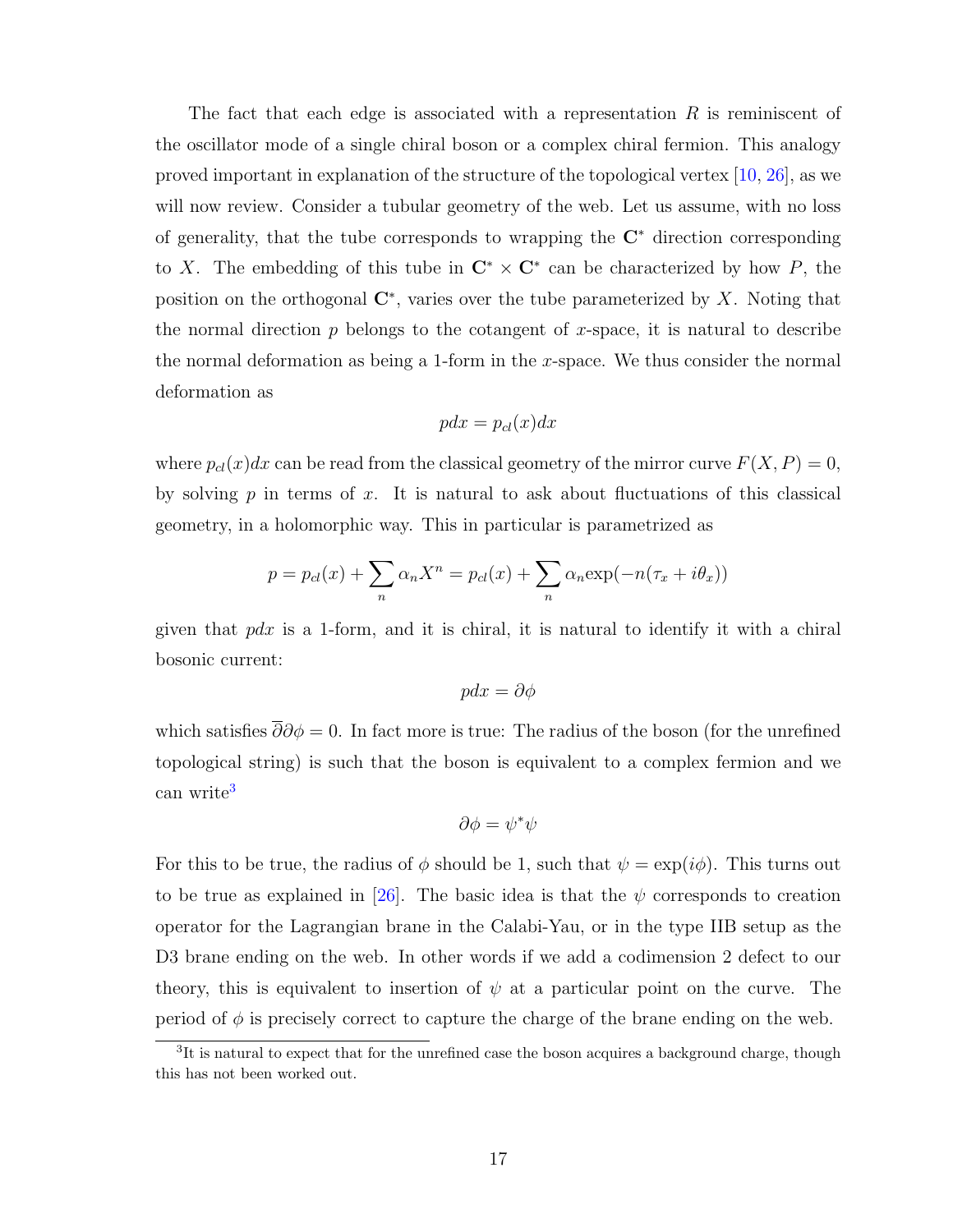The fact that each edge is associated with a representation  $R$  is reminiscent of the oscillator mode of a single chiral boson or a complex chiral fermion. This analogy proved important in explanation of the structure of the topological vertex [\[10,](#page-37-7) [26\]](#page-38-15), as we will now review. Consider a tubular geometry of the web. Let us assume, with no loss of generality, that the tube corresponds to wrapping the  $\mathbb{C}^*$  direction corresponding to X. The embedding of this tube in  $\mathbb{C}^* \times \mathbb{C}^*$  can be characterized by how P, the position on the orthogonal  $\mathbb{C}^*$ , varies over the tube parameterized by X. Noting that the normal direction  $p$  belongs to the cotangent of  $x$ -space, it is natural to describe the normal deformation as being a 1-form in the x-space. We thus consider the normal deformation as

$$
pdx = p_{cl}(x)dx
$$

where  $p_{cl}(x)dx$  can be read from the classical geometry of the mirror curve  $F(X, P) = 0$ , by solving  $p$  in terms of  $x$ . It is natural to ask about fluctuations of this classical geometry, in a holomorphic way. This in particular is parametrized as

$$
p = p_{cl}(x) + \sum_{n} \alpha_n X^n = p_{cl}(x) + \sum_{n} \alpha_n \exp(-n(\tau_x + i\theta_x))
$$

given that  $pdx$  is a 1-form, and it is chiral, it is natural to identify it with a chiral bosonic current:

$$
p dx = \partial \phi
$$

which satisfies  $\overline{\partial}\partial \phi = 0$ . In fact more is true: The radius of the boson (for the unrefined topological string) is such that the boson is equivalent to a complex fermion and we can write<sup>[3](#page-17-0)</sup>

$$
\partial \phi = \psi^* \psi
$$

For this to be true, the radius of  $\phi$  should be 1, such that  $\psi = \exp(i\phi)$ . This turns out to be true as explained in [\[26\]](#page-38-15). The basic idea is that the  $\psi$  corresponds to creation operator for the Lagrangian brane in the Calabi-Yau, or in the type IIB setup as the D3 brane ending on the web. In other words if we add a codimension 2 defect to our theory, this is equivalent to insertion of  $\psi$  at a particular point on the curve. The period of  $\phi$  is precisely correct to capture the charge of the brane ending on the web.

<span id="page-17-0"></span> ${}^{3}$ It is natural to expect that for the unrefined case the boson acquires a background charge, though this has not been worked out.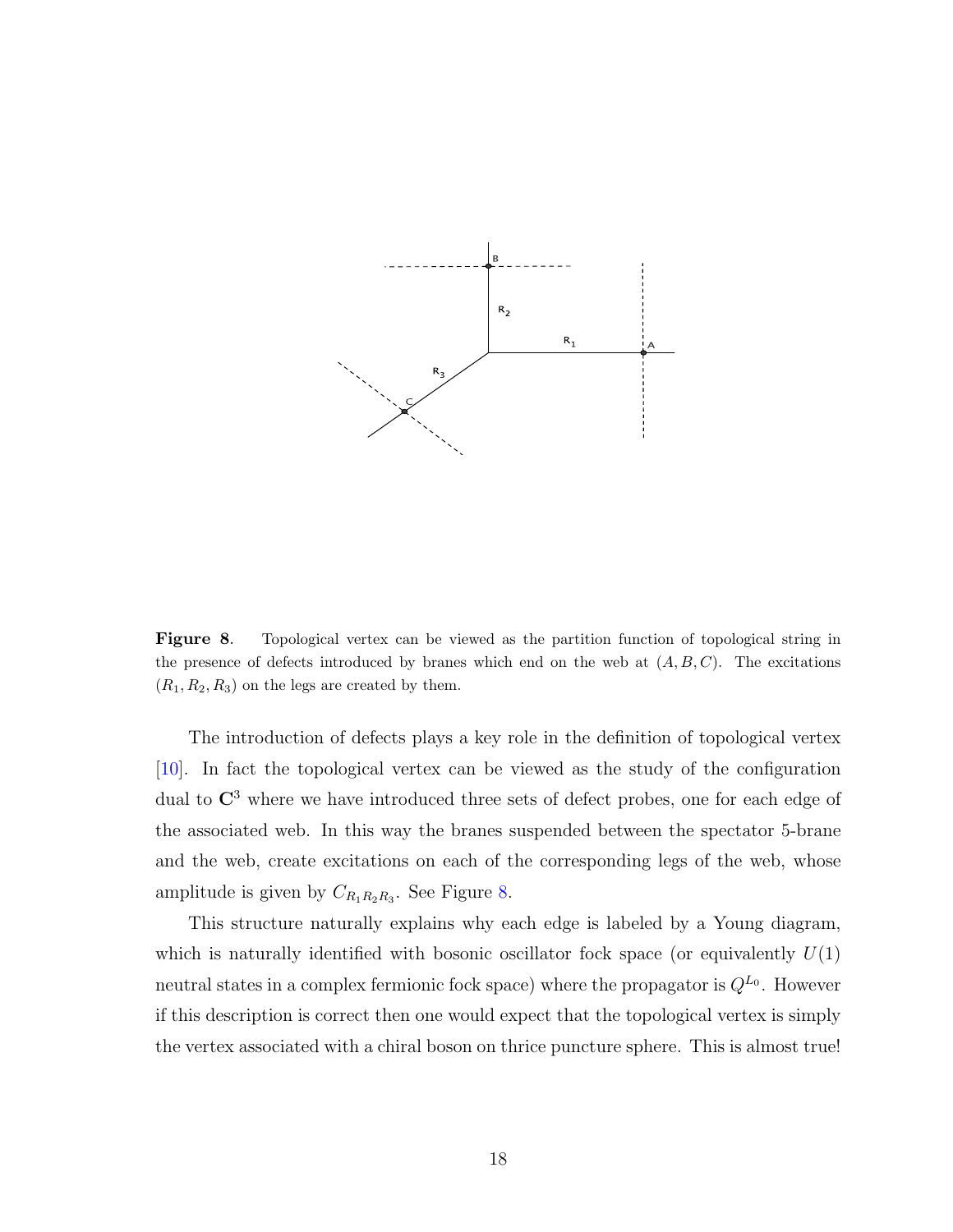

<span id="page-18-0"></span>Figure 8. Topological vertex can be viewed as the partition function of topological string in the presence of defects introduced by branes which end on the web at  $(A, B, C)$ . The excitations  $(R_1, R_2, R_3)$  on the legs are created by them.

The introduction of defects plays a key role in the definition of topological vertex [\[10\]](#page-37-7). In fact the topological vertex can be viewed as the study of the configuration dual to  $\mathbb{C}^3$  where we have introduced three sets of defect probes, one for each edge of the associated web. In this way the branes suspended between the spectator 5-brane and the web, create excitations on each of the corresponding legs of the web, whose amplitude is given by  $C_{R_1R_2R_3}$ . See Figure [8.](#page-18-0)

This structure naturally explains why each edge is labeled by a Young diagram, which is naturally identified with bosonic oscillator fock space (or equivalently  $U(1)$ ) neutral states in a complex fermionic fock space) where the propagator is  $Q^{L_0}$ . However if this description is correct then one would expect that the topological vertex is simply the vertex associated with a chiral boson on thrice puncture sphere. This is almost true!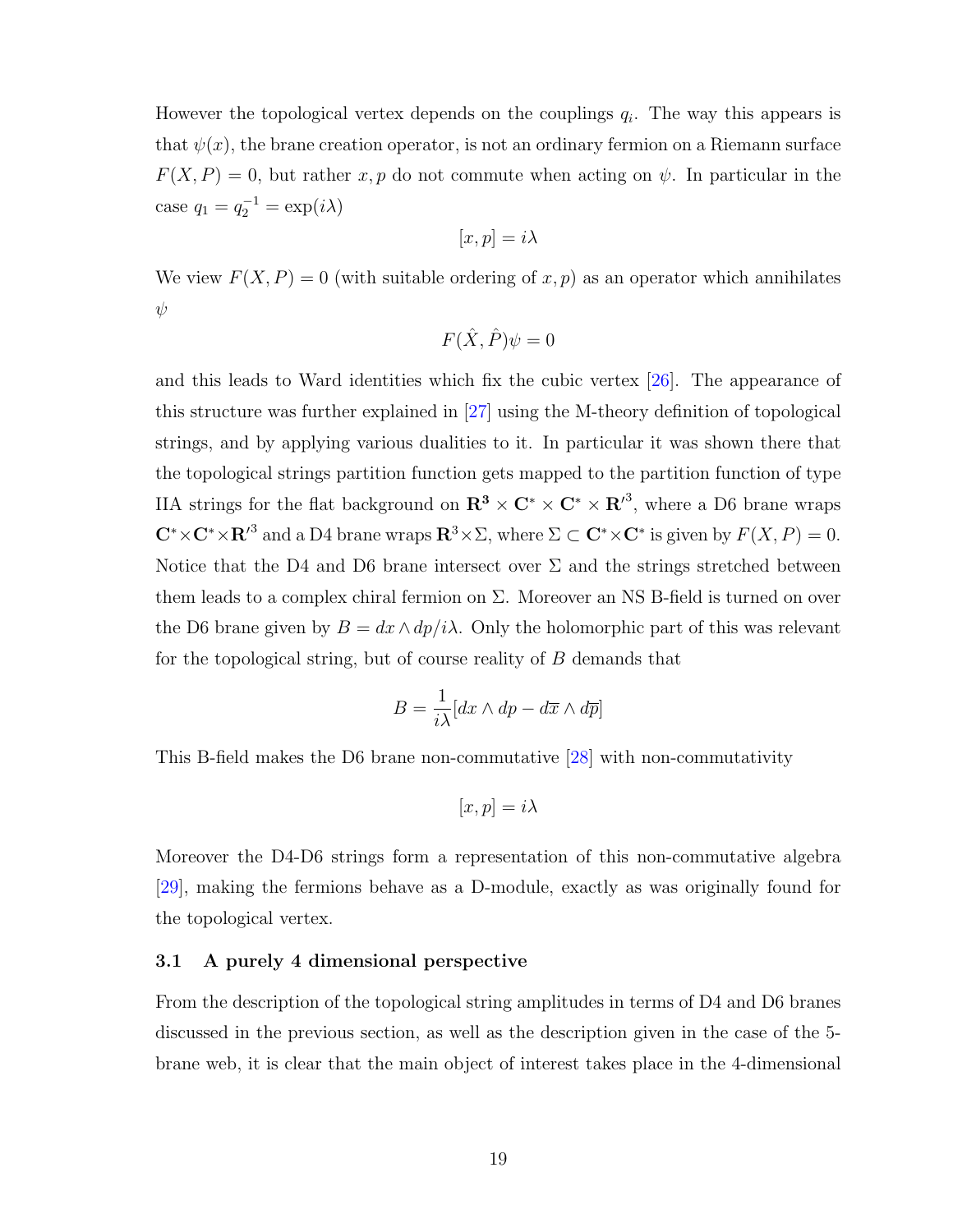However the topological vertex depends on the couplings  $q_i$ . The way this appears is that  $\psi(x)$ , the brane creation operator, is not an ordinary fermion on a Riemann surface  $F(X, P) = 0$ , but rather x, p do not commute when acting on  $\psi$ . In particular in the case  $q_1 = q_2^{-1} = \exp(i\lambda)$ 

$$
[x, p] = i\lambda
$$

We view  $F(X, P) = 0$  (with suitable ordering of x, p) as an operator which annihilates ψ

$$
F(\hat{X}, \hat{P})\psi = 0
$$

and this leads to Ward identities which fix the cubic vertex [\[26\]](#page-38-15). The appearance of this structure was further explained in [\[27\]](#page-38-16) using the M-theory definition of topological strings, and by applying various dualities to it. In particular it was shown there that the topological strings partition function gets mapped to the partition function of type IIA strings for the flat background on  $\mathbb{R}^3 \times \mathbb{C}^* \times \mathbb{C}^* \times \mathbb{R}^{\prime 3}$ , where a D6 brane wraps  $\mathbb{C}^* \times \mathbb{C}^* \times \mathbb{R}^3$  and a D4 brane wraps  $\mathbb{R}^3 \times \Sigma$ , where  $\Sigma \subset \mathbb{C}^* \times \mathbb{C}^*$  is given by  $F(X, P) = 0$ . Notice that the D4 and D6 brane intersect over  $\Sigma$  and the strings stretched between them leads to a complex chiral fermion on  $\Sigma$ . Moreover an NS B-field is turned on over the D6 brane given by  $B = dx \wedge dp/i\lambda$ . Only the holomorphic part of this was relevant for the topological string, but of course reality of B demands that

$$
B = \frac{1}{i\lambda} [dx \wedge dp - d\overline{x} \wedge d\overline{p}]
$$

This B-field makes the D6 brane non-commutative [\[28\]](#page-38-17) with non-commutativity

$$
[x,p] = i\lambda
$$

Moreover the D4-D6 strings form a representation of this non-commutative algebra [\[29\]](#page-39-0), making the fermions behave as a D-module, exactly as was originally found for the topological vertex.

#### 3.1 A purely 4 dimensional perspective

From the description of the topological string amplitudes in terms of D4 and D6 branes discussed in the previous section, as well as the description given in the case of the 5 brane web, it is clear that the main object of interest takes place in the 4-dimensional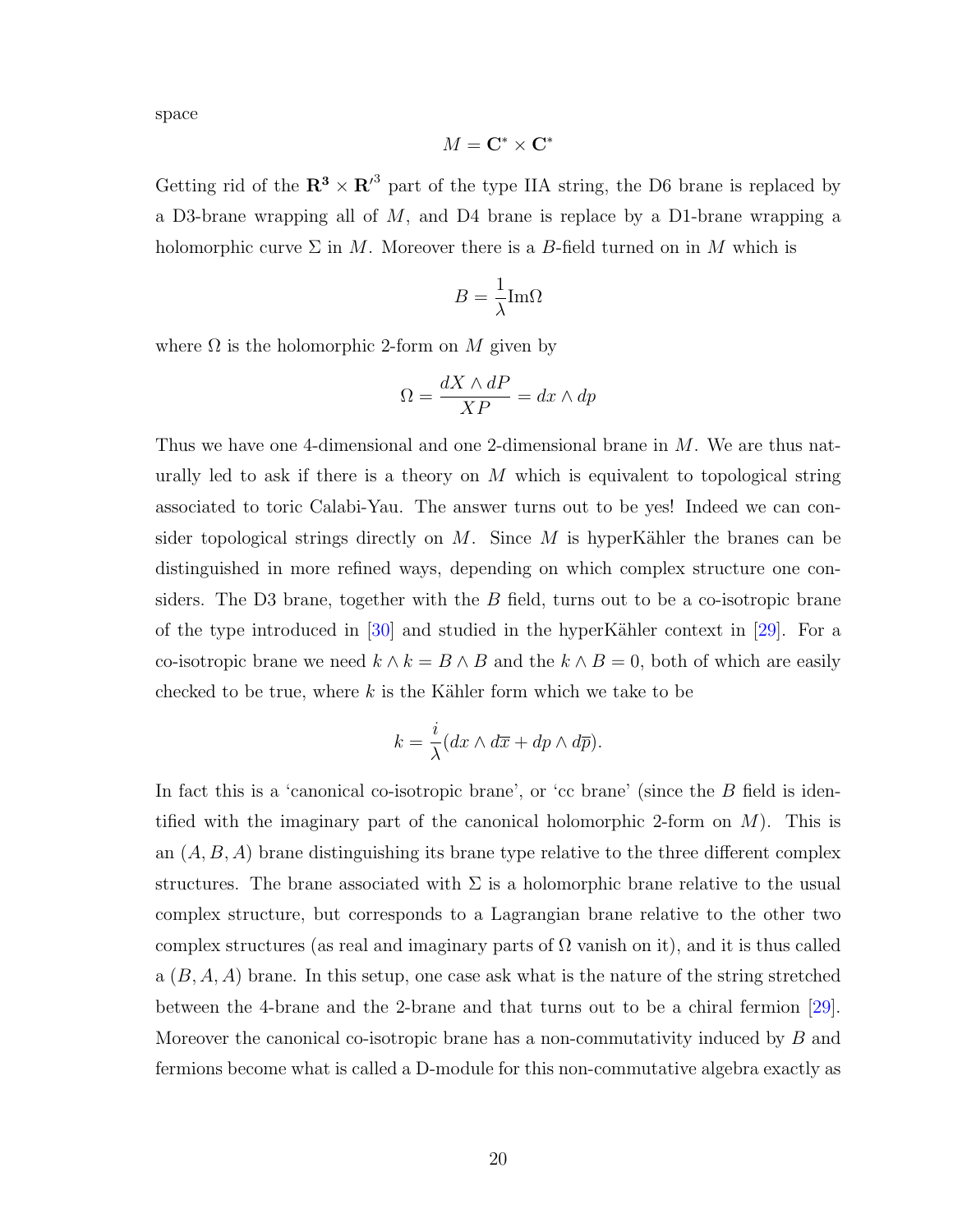space

$$
M={\bf C}^*\times {\bf C}^*
$$

Getting rid of the  $\mathbb{R}^3 \times \mathbb{R}^3$  part of the type IIA string, the D6 brane is replaced by a D3-brane wrapping all of  $M$ , and D4 brane is replace by a D1-brane wrapping a holomorphic curve  $\Sigma$  in M. Moreover there is a B-field turned on in M which is

$$
B = \frac{1}{\lambda} \text{Im}\Omega
$$

where  $\Omega$  is the holomorphic 2-form on M given by

$$
\Omega = \frac{dX \wedge dP}{XP} = dx \wedge dp
$$

Thus we have one 4-dimensional and one 2-dimensional brane in M. We are thus naturally led to ask if there is a theory on  $M$  which is equivalent to topological string associated to toric Calabi-Yau. The answer turns out to be yes! Indeed we can consider topological strings directly on  $M$ . Since  $M$  is hyperKähler the branes can be distinguished in more refined ways, depending on which complex structure one considers. The D3 brane, together with the  $B$  field, turns out to be a co-isotropic brane of the type introduced in  $\left[30\right]$  and studied in the hyperKähler context in  $\left[29\right]$ . For a co-isotropic brane we need  $k \wedge k = B \wedge B$  and the  $k \wedge B = 0$ , both of which are easily checked to be true, where  $k$  is the Kähler form which we take to be

$$
k = \frac{i}{\lambda} (dx \wedge d\overline{x} + dp \wedge d\overline{p}).
$$

In fact this is a 'canonical co-isotropic brane', or 'cc brane' (since the B field is identified with the imaginary part of the canonical holomorphic 2-form on  $M$ ). This is an  $(A, B, A)$  brane distinguishing its brane type relative to the three different complex structures. The brane associated with  $\Sigma$  is a holomorphic brane relative to the usual complex structure, but corresponds to a Lagrangian brane relative to the other two complex structures (as real and imaginary parts of  $\Omega$  vanish on it), and it is thus called a  $(B, A, A)$  brane. In this setup, one case ask what is the nature of the string stretched between the 4-brane and the 2-brane and that turns out to be a chiral fermion [\[29\]](#page-39-0). Moreover the canonical co-isotropic brane has a non-commutativity induced by  $B$  and fermions become what is called a D-module for this non-commutative algebra exactly as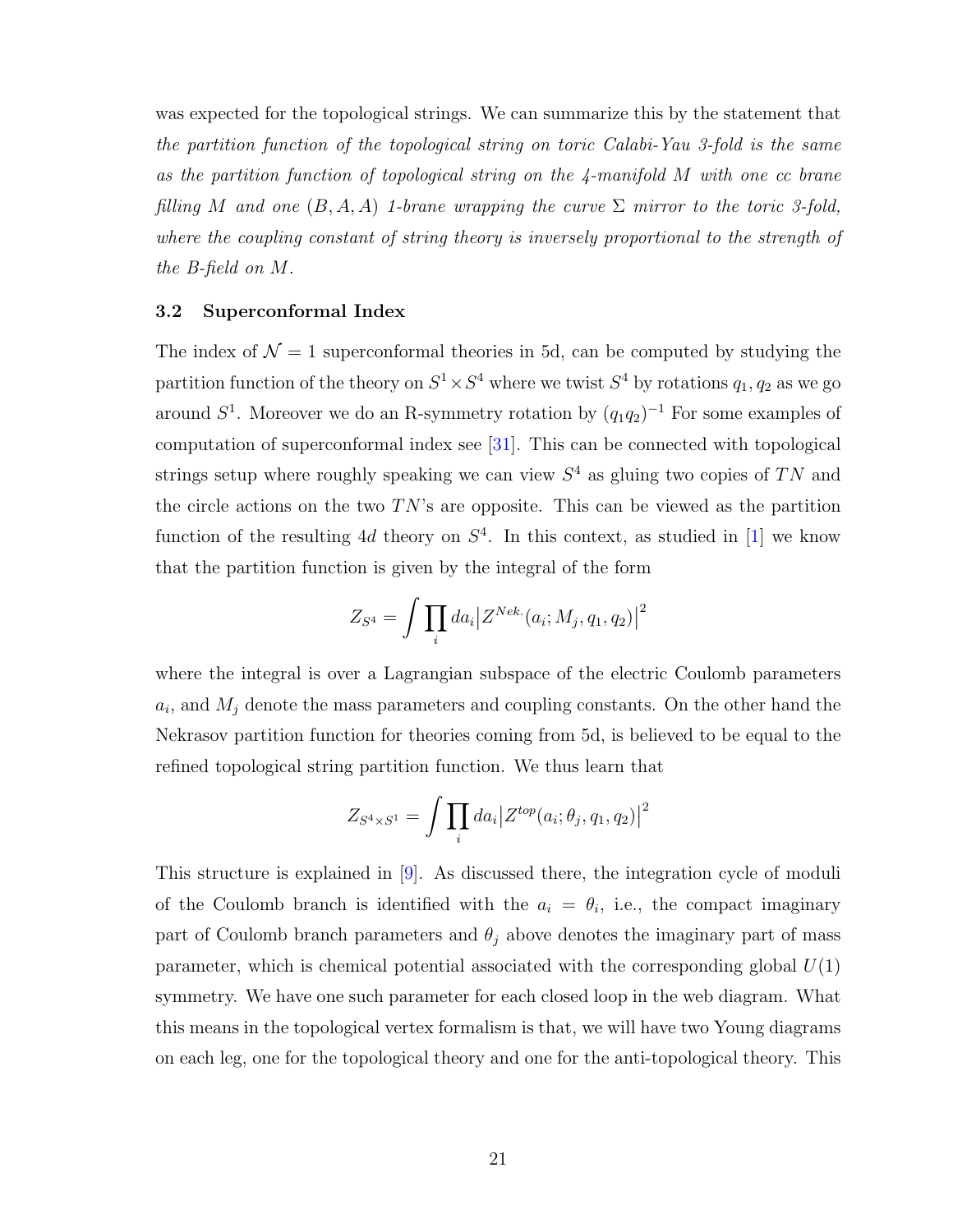was expected for the topological strings. We can summarize this by the statement that the partition function of the topological string on toric Calabi-Yau 3-fold is the same as the partition function of topological string on the 4-manifold M with one cc brane filling M and one  $(B, A, A)$  1-brane wrapping the curve  $\Sigma$  mirror to the toric 3-fold, where the coupling constant of string theory is inversely proportional to the strength of the B-field on M.

#### 3.2 Superconformal Index

The index of  $\mathcal{N} = 1$  superconformal theories in 5d, can be computed by studying the partition function of the theory on  $S^1 \times S^4$  where we twist  $S^4$  by rotations  $q_1, q_2$  as we go around  $S^1$ . Moreover we do an R-symmetry rotation by  $(q_1q_2)^{-1}$  For some examples of computation of superconformal index see [\[31\]](#page-39-2). This can be connected with topological strings setup where roughly speaking we can view  $S<sup>4</sup>$  as gluing two copies of TN and the circle actions on the two  $TN$ 's are opposite. This can be viewed as the partition function of the resulting 4d theory on  $S<sup>4</sup>$ . In this context, as studied in [\[1\]](#page-37-0) we know that the partition function is given by the integral of the form

$$
Z_{S^4} = \int \prod_i da_i \big| Z^{Nek.}(a_i; M_j, q_1, q_2) \big|^2
$$

where the integral is over a Lagrangian subspace of the electric Coulomb parameters  $a_i$ , and  $M_j$  denote the mass parameters and coupling constants. On the other hand the Nekrasov partition function for theories coming from 5d, is believed to be equal to the refined topological string partition function. We thus learn that

$$
Z_{S^4 \times S^1} = \int \prod_i da_i \big| Z^{top}(a_i; \theta_j, q_1, q_2) \big|^2
$$

This structure is explained in [\[9\]](#page-37-6). As discussed there, the integration cycle of moduli of the Coulomb branch is identified with the  $a_i = \theta_i$ , i.e., the compact imaginary part of Coulomb branch parameters and  $\theta_i$  above denotes the imaginary part of mass parameter, which is chemical potential associated with the corresponding global  $U(1)$ symmetry. We have one such parameter for each closed loop in the web diagram. What this means in the topological vertex formalism is that, we will have two Young diagrams on each leg, one for the topological theory and one for the anti-topological theory. This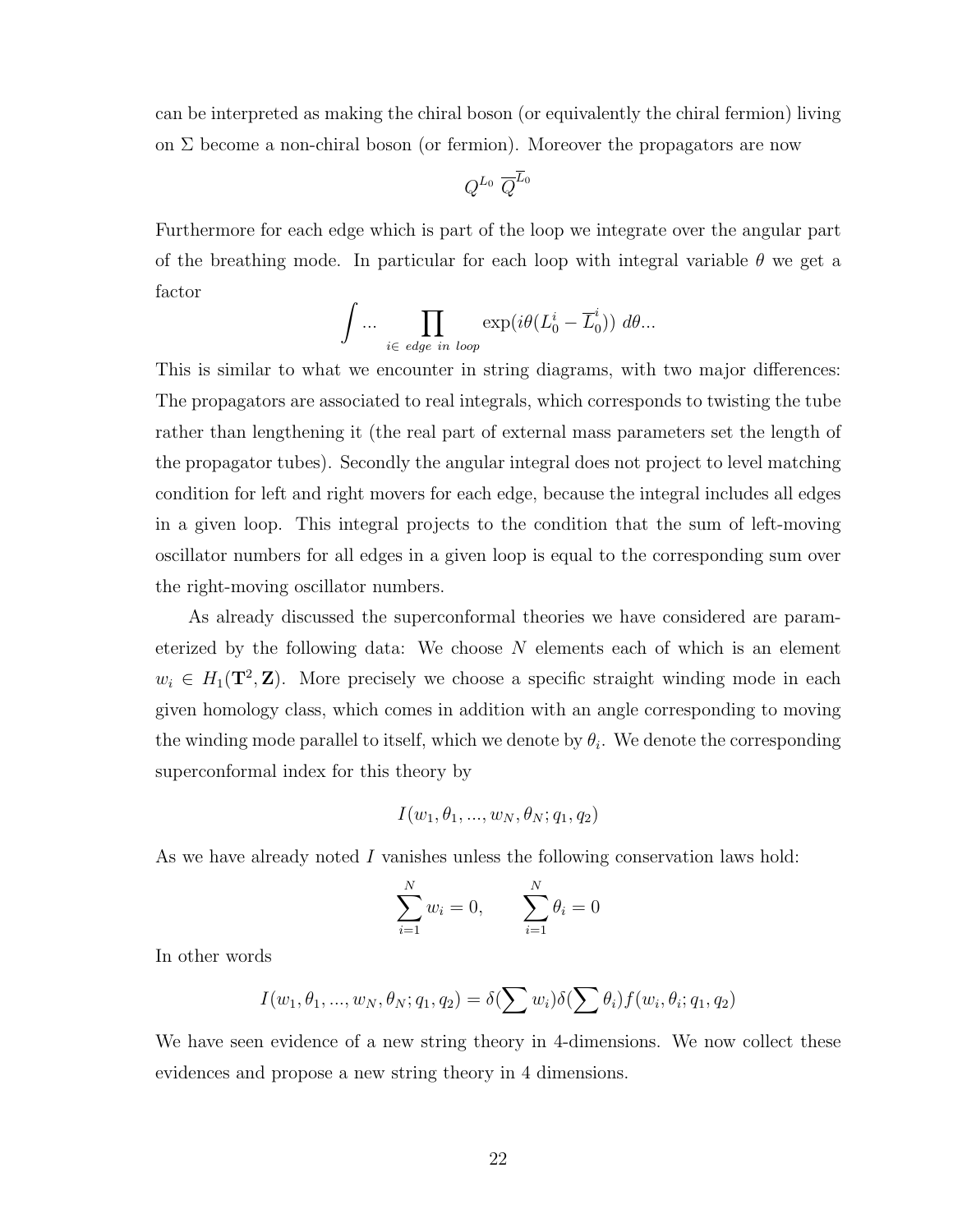can be interpreted as making the chiral boson (or equivalently the chiral fermion) living on  $\Sigma$  become a non-chiral boson (or fermion). Moreover the propagators are now

$$
Q^{L_0} \; \overline{Q}^{\overline{L}_0}
$$

Furthermore for each edge which is part of the loop we integrate over the angular part of the breathing mode. In particular for each loop with integral variable  $\theta$  we get a factor

$$
\int \dots \prod_{i \in \text{ edge in loop}} \exp(i\theta(L_0^i - \overline{L}_0^i)) \ d\theta \dots
$$

This is similar to what we encounter in string diagrams, with two major differences: The propagators are associated to real integrals, which corresponds to twisting the tube rather than lengthening it (the real part of external mass parameters set the length of the propagator tubes). Secondly the angular integral does not project to level matching condition for left and right movers for each edge, because the integral includes all edges in a given loop. This integral projects to the condition that the sum of left-moving oscillator numbers for all edges in a given loop is equal to the corresponding sum over the right-moving oscillator numbers.

As already discussed the superconformal theories we have considered are parameterized by the following data: We choose  $N$  elements each of which is an element  $w_i \in H_1(\mathbf{T}^2, \mathbf{Z})$ . More precisely we choose a specific straight winding mode in each given homology class, which comes in addition with an angle corresponding to moving the winding mode parallel to itself, which we denote by  $\theta_i$ . We denote the corresponding superconformal index for this theory by

$$
I(w_1, \theta_1, ..., w_N, \theta_N; q_1, q_2)
$$

As we have already noted I vanishes unless the following conservation laws hold:

$$
\sum_{i=1}^{N} w_i = 0, \qquad \sum_{i=1}^{N} \theta_i = 0
$$

In other words

$$
I(w_1, \theta_1, ..., w_N, \theta_N; q_1, q_2) = \delta(\sum w_i) \delta(\sum \theta_i) f(w_i, \theta_i; q_1, q_2)
$$

We have seen evidence of a new string theory in 4-dimensions. We now collect these evidences and propose a new string theory in 4 dimensions.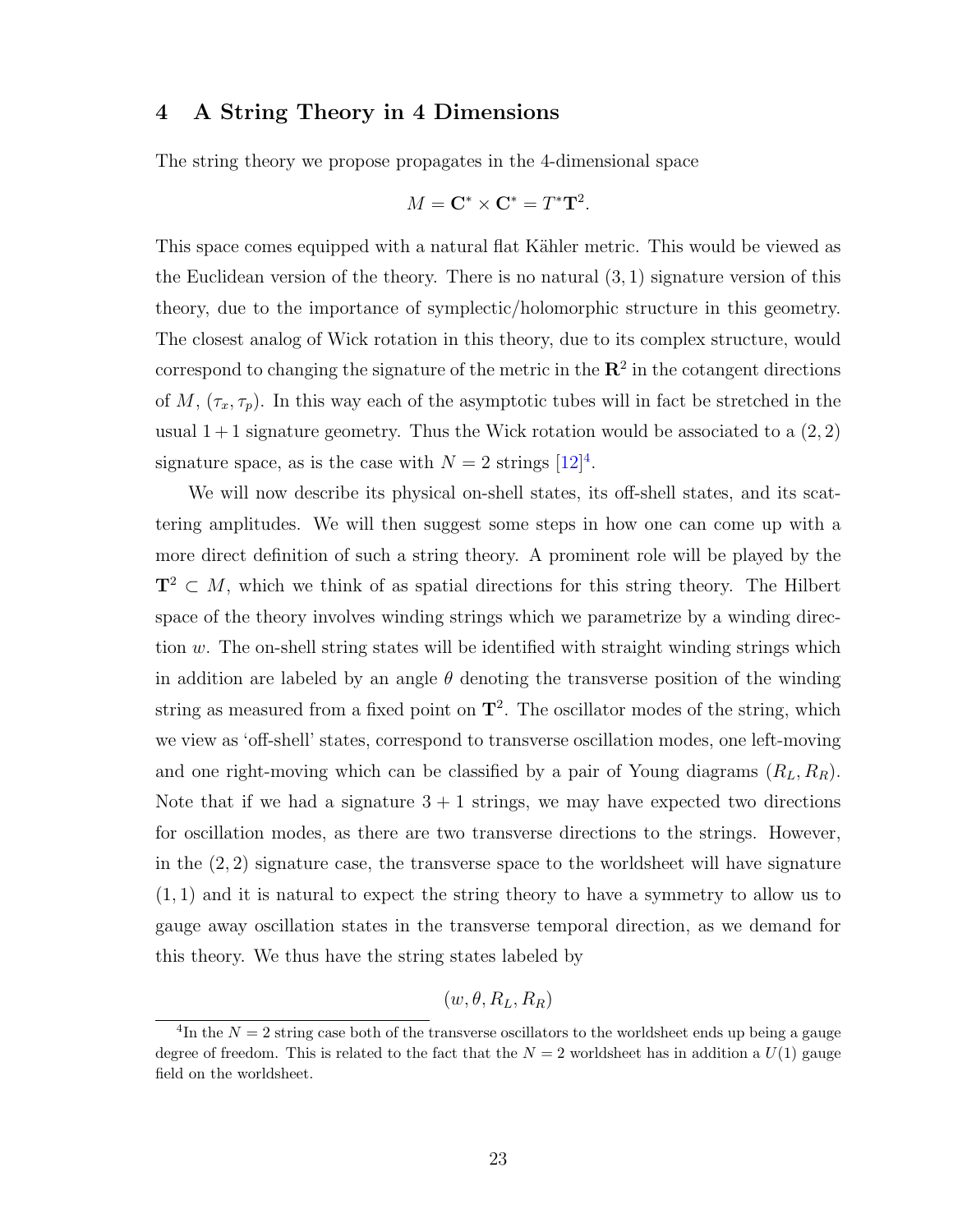## 4 A String Theory in 4 Dimensions

The string theory we propose propagates in the 4-dimensional space

$$
M = \mathbf{C}^* \times \mathbf{C}^* = T^* \mathbf{T}^2.
$$

This space comes equipped with a natural flat Kähler metric. This would be viewed as the Euclidean version of the theory. There is no natural  $(3, 1)$  signature version of this theory, due to the importance of symplectic/holomorphic structure in this geometry. The closest analog of Wick rotation in this theory, due to its complex structure, would correspond to changing the signature of the metric in the  $\mathbb{R}^2$  in the cotangent directions of M,  $(\tau_x, \tau_p)$ . In this way each of the asymptotic tubes will in fact be stretched in the usual  $1+1$  signature geometry. Thus the Wick rotation would be associated to a  $(2, 2)$ signature space, as is the case with  $N = 2$  strings  $[12]^4$  $[12]^4$  $[12]^4$ .

We will now describe its physical on-shell states, its off-shell states, and its scattering amplitudes. We will then suggest some steps in how one can come up with a more direct definition of such a string theory. A prominent role will be played by the  $T^2 \subset M$ , which we think of as spatial directions for this string theory. The Hilbert space of the theory involves winding strings which we parametrize by a winding direction w. The on-shell string states will be identified with straight winding strings which in addition are labeled by an angle  $\theta$  denoting the transverse position of the winding string as measured from a fixed point on  $\mathbf{T}^2$ . The oscillator modes of the string, which we view as 'off-shell' states, correspond to transverse oscillation modes, one left-moving and one right-moving which can be classified by a pair of Young diagrams  $(R_L, R_R)$ . Note that if we had a signature  $3 + 1$  strings, we may have expected two directions for oscillation modes, as there are two transverse directions to the strings. However, in the  $(2, 2)$  signature case, the transverse space to the worldsheet will have signature (1, 1) and it is natural to expect the string theory to have a symmetry to allow us to gauge away oscillation states in the transverse temporal direction, as we demand for this theory. We thus have the string states labeled by

$$
(w,\theta,R_L,R_R)
$$

<span id="page-23-0"></span><sup>&</sup>lt;sup>4</sup>In the  $N = 2$  string case both of the transverse oscillators to the worldsheet ends up being a gauge degree of freedom. This is related to the fact that the  $N = 2$  worldsheet has in addition a  $U(1)$  gauge field on the worldsheet.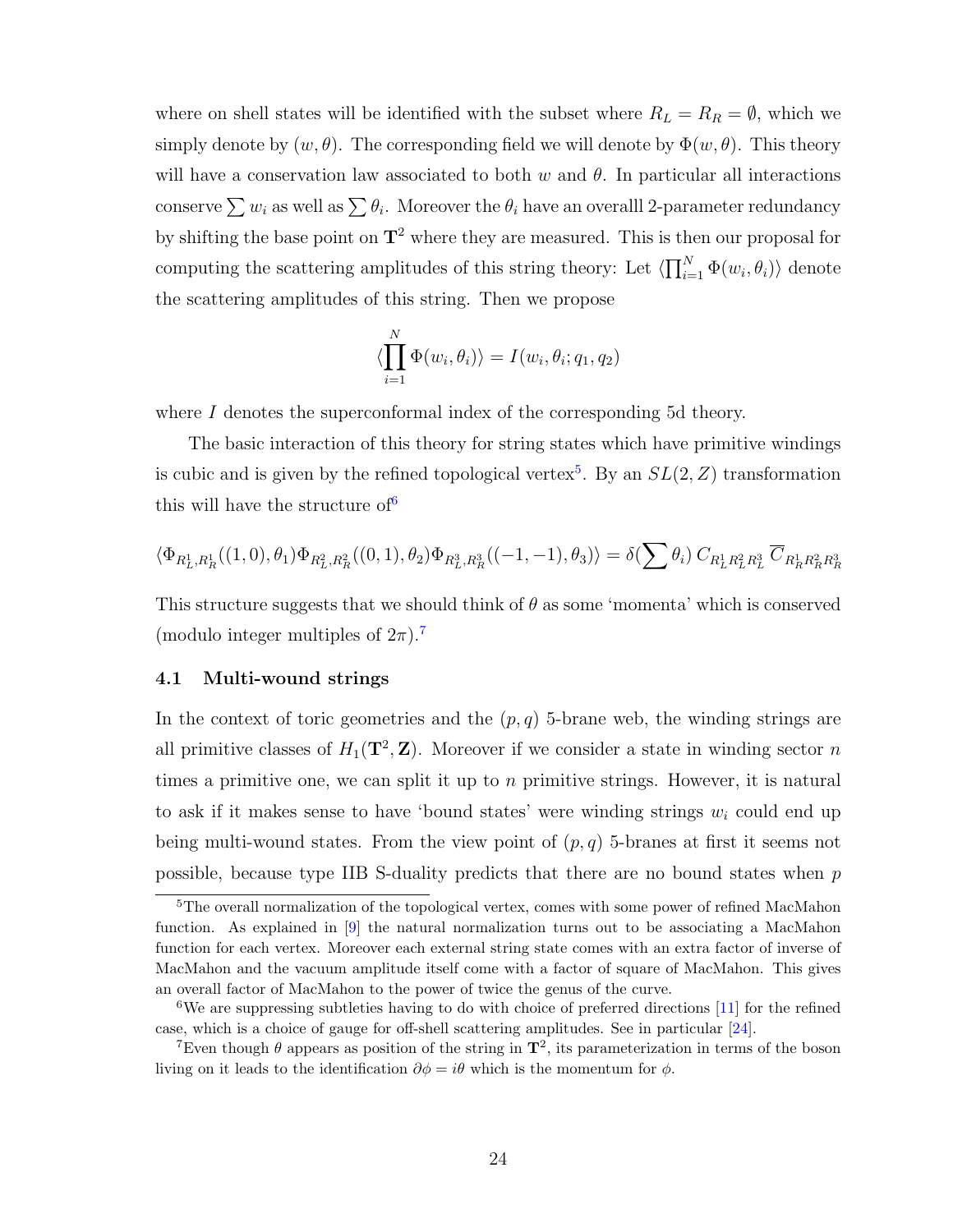where on shell states will be identified with the subset where  $R_L = R_R = \emptyset$ , which we simply denote by  $(w, \theta)$ . The corresponding field we will denote by  $\Phi(w, \theta)$ . This theory will have a conservation law associated to both w and  $\theta$ . In particular all interactions conserve  $\sum w_i$  as well as  $\sum \theta_i$ . Moreover the  $\theta_i$  have an overalll 2-parameter redundancy by shifting the base point on  $T^2$  where they are measured. This is then our proposal for computing the scattering amplitudes of this string theory: Let  $\langle \prod_{i=1}^N \Phi(w_i, \theta_i) \rangle$  denote the scattering amplitudes of this string. Then we propose

$$
\langle \prod_{i=1}^{N} \Phi(w_i, \theta_i) \rangle = I(w_i, \theta_i; q_1, q_2)
$$

where  $I$  denotes the superconformal index of the corresponding 5d theory.

The basic interaction of this theory for string states which have primitive windings is cubic and is given by the refined topological vertex<sup>[5](#page-24-0)</sup>. By an  $SL(2, Z)$  transformation this will have the structure of  $6$ 

$$
\langle \Phi_{R_L^1, R_R^1}((1,0), \theta_1) \Phi_{R_L^2, R_R^2}((0,1), \theta_2) \Phi_{R_L^3, R_R^3}((-1,-1), \theta_3) \rangle = \delta(\sum \theta_i) C_{R_L^1 R_L^2 R_L^3} \overline{C}_{R_R^1 R_R^2 R_R^3}
$$

This structure suggests that we should think of  $\theta$  as some 'momenta' which is conserved (modulo integer multiples of  $2\pi$ ).<sup>[7](#page-24-2)</sup>

#### 4.1 Multi-wound strings

In the context of toric geometries and the  $(p, q)$  5-brane web, the winding strings are all primitive classes of  $H_1(\mathbf{T}^2, \mathbf{Z})$ . Moreover if we consider a state in winding sector n times a primitive one, we can split it up to  $n$  primitive strings. However, it is natural to ask if it makes sense to have 'bound states' were winding strings  $w_i$  could end up being multi-wound states. From the view point of  $(p, q)$  5-branes at first it seems not possible, because type IIB S-duality predicts that there are no bound states when  $p$ 

<span id="page-24-0"></span><sup>&</sup>lt;sup>5</sup>The overall normalization of the topological vertex, comes with some power of refined MacMahon function. As explained in [\[9\]](#page-37-6) the natural normalization turns out to be associating a MacMahon function for each vertex. Moreover each external string state comes with an extra factor of inverse of MacMahon and the vacuum amplitude itself come with a factor of square of MacMahon. This gives an overall factor of MacMahon to the power of twice the genus of the curve.

<span id="page-24-1"></span> $6$ We are suppressing subtleties having to do with choice of preferred directions [\[11\]](#page-38-0) for the refined case, which is a choice of gauge for off-shell scattering amplitudes. See in particular [\[24\]](#page-38-13).

<span id="page-24-2"></span><sup>&</sup>lt;sup>7</sup>Even though  $\theta$  appears as position of the string in  $\mathbf{T}^2$ , its parameterization in terms of the boson living on it leads to the identification  $\partial \phi = i\theta$  which is the momentum for  $\phi$ .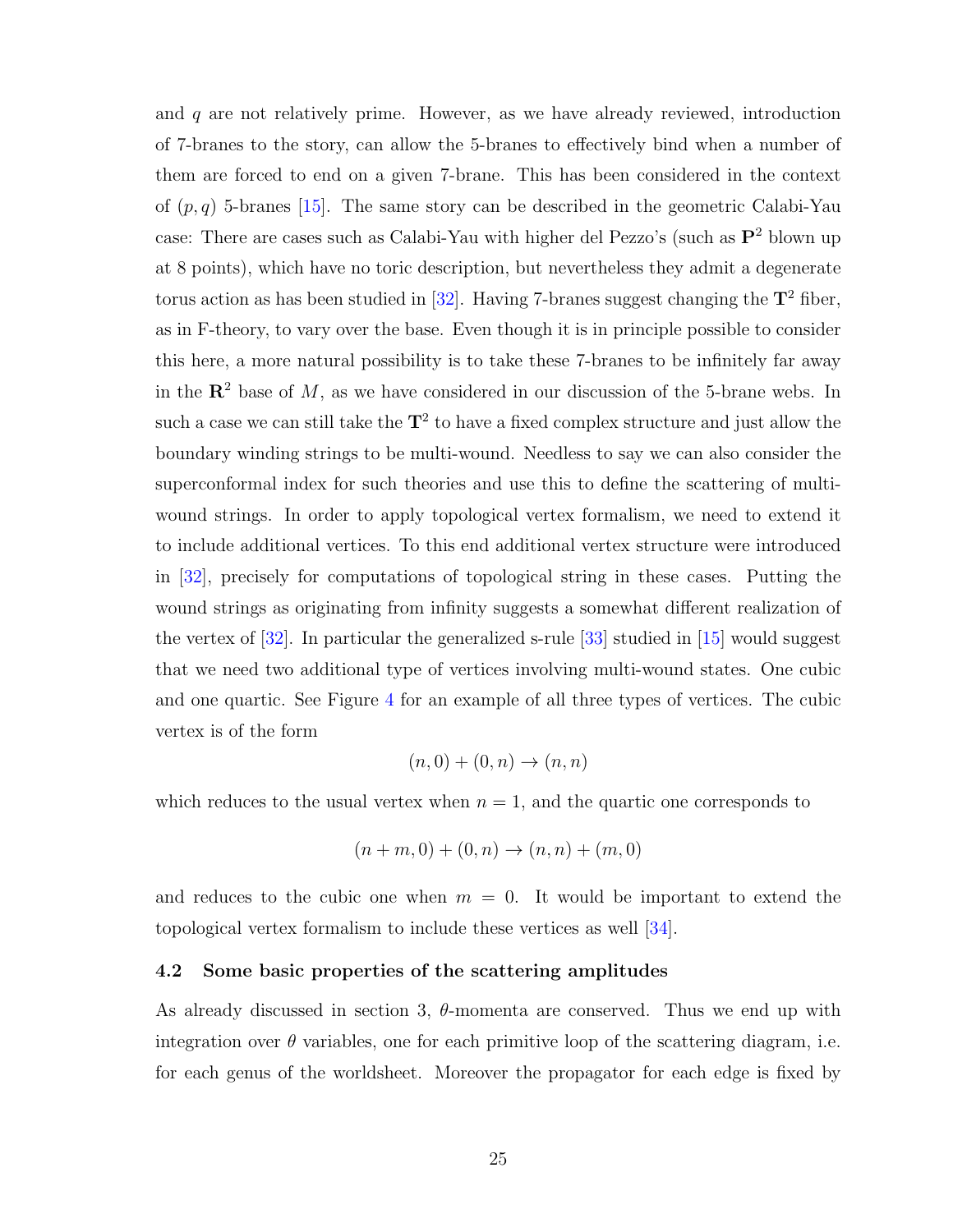and  $q$  are not relatively prime. However, as we have already reviewed, introduction of 7-branes to the story, can allow the 5-branes to effectively bind when a number of them are forced to end on a given 7-brane. This has been considered in the context of  $(p, q)$  5-branes [\[15\]](#page-38-4). The same story can be described in the geometric Calabi-Yau case: There are cases such as Calabi-Yau with higher del Pezzo's (such as  $\mathbf{P}^2$  blown up at 8 points), which have no toric description, but nevertheless they admit a degenerate torus action as has been studied in [\[32\]](#page-39-3). Having 7-branes suggest changing the  $T^2$  fiber, as in F-theory, to vary over the base. Even though it is in principle possible to consider this here, a more natural possibility is to take these 7-branes to be infinitely far away in the  $\mathbb{R}^2$  base of M, as we have considered in our discussion of the 5-brane webs. In such a case we can still take the  $T^2$  to have a fixed complex structure and just allow the boundary winding strings to be multi-wound. Needless to say we can also consider the superconformal index for such theories and use this to define the scattering of multiwound strings. In order to apply topological vertex formalism, we need to extend it to include additional vertices. To this end additional vertex structure were introduced in [\[32\]](#page-39-3), precisely for computations of topological string in these cases. Putting the wound strings as originating from infinity suggests a somewhat different realization of the vertex of [\[32\]](#page-39-3). In particular the generalized s-rule [\[33\]](#page-39-4) studied in [\[15\]](#page-38-4) would suggest that we need two additional type of vertices involving multi-wound states. One cubic and one quartic. See Figure [4](#page-9-0) for an example of all three types of vertices. The cubic vertex is of the form

$$
(n,0) + (0,n) \rightarrow (n,n)
$$

which reduces to the usual vertex when  $n = 1$ , and the quartic one corresponds to

$$
(n+m,0) + (0,n) \to (n,n) + (m,0)
$$

and reduces to the cubic one when  $m = 0$ . It would be important to extend the topological vertex formalism to include these vertices as well [\[34\]](#page-39-5).

#### 4.2 Some basic properties of the scattering amplitudes

As already discussed in section 3,  $\theta$ -momenta are conserved. Thus we end up with integration over  $\theta$  variables, one for each primitive loop of the scattering diagram, i.e. for each genus of the worldsheet. Moreover the propagator for each edge is fixed by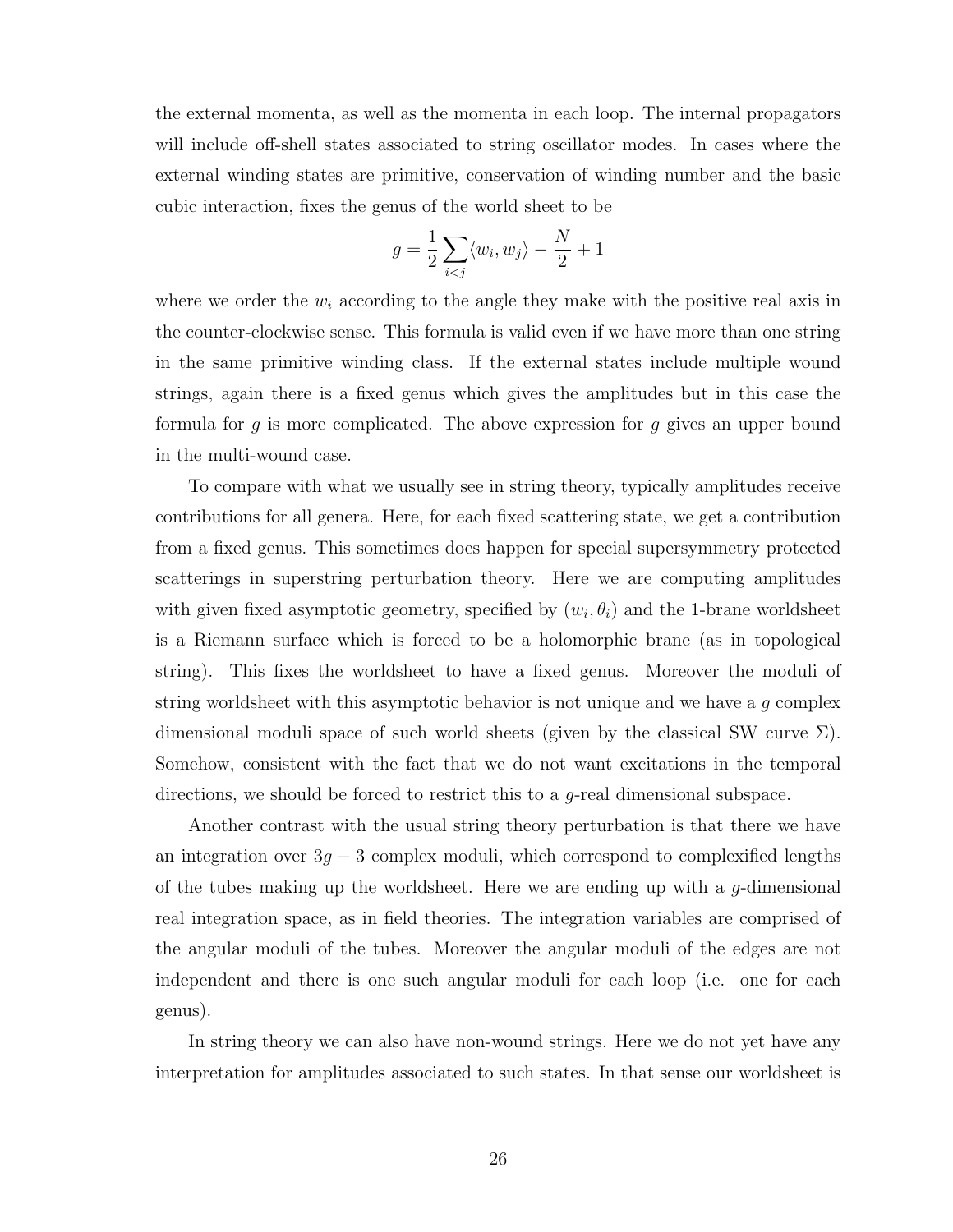the external momenta, as well as the momenta in each loop. The internal propagators will include off-shell states associated to string oscillator modes. In cases where the external winding states are primitive, conservation of winding number and the basic cubic interaction, fixes the genus of the world sheet to be

$$
g = \frac{1}{2} \sum_{i < j} \langle w_i, w_j \rangle - \frac{N}{2} + 1
$$

where we order the  $w_i$  according to the angle they make with the positive real axis in the counter-clockwise sense. This formula is valid even if we have more than one string in the same primitive winding class. If the external states include multiple wound strings, again there is a fixed genus which gives the amplitudes but in this case the formula for g is more complicated. The above expression for g gives an upper bound in the multi-wound case.

To compare with what we usually see in string theory, typically amplitudes receive contributions for all genera. Here, for each fixed scattering state, we get a contribution from a fixed genus. This sometimes does happen for special supersymmetry protected scatterings in superstring perturbation theory. Here we are computing amplitudes with given fixed asymptotic geometry, specified by  $(w_i, \theta_i)$  and the 1-brane worldsheet is a Riemann surface which is forced to be a holomorphic brane (as in topological string). This fixes the worldsheet to have a fixed genus. Moreover the moduli of string worldsheet with this asymptotic behavior is not unique and we have a  $g$  complex dimensional moduli space of such world sheets (given by the classical SW curve  $\Sigma$ ). Somehow, consistent with the fact that we do not want excitations in the temporal directions, we should be forced to restrict this to a g-real dimensional subspace.

Another contrast with the usual string theory perturbation is that there we have an integration over  $3g - 3$  complex moduli, which correspond to complexified lengths of the tubes making up the worldsheet. Here we are ending up with a  $g$ -dimensional real integration space, as in field theories. The integration variables are comprised of the angular moduli of the tubes. Moreover the angular moduli of the edges are not independent and there is one such angular moduli for each loop (i.e. one for each genus).

In string theory we can also have non-wound strings. Here we do not yet have any interpretation for amplitudes associated to such states. In that sense our worldsheet is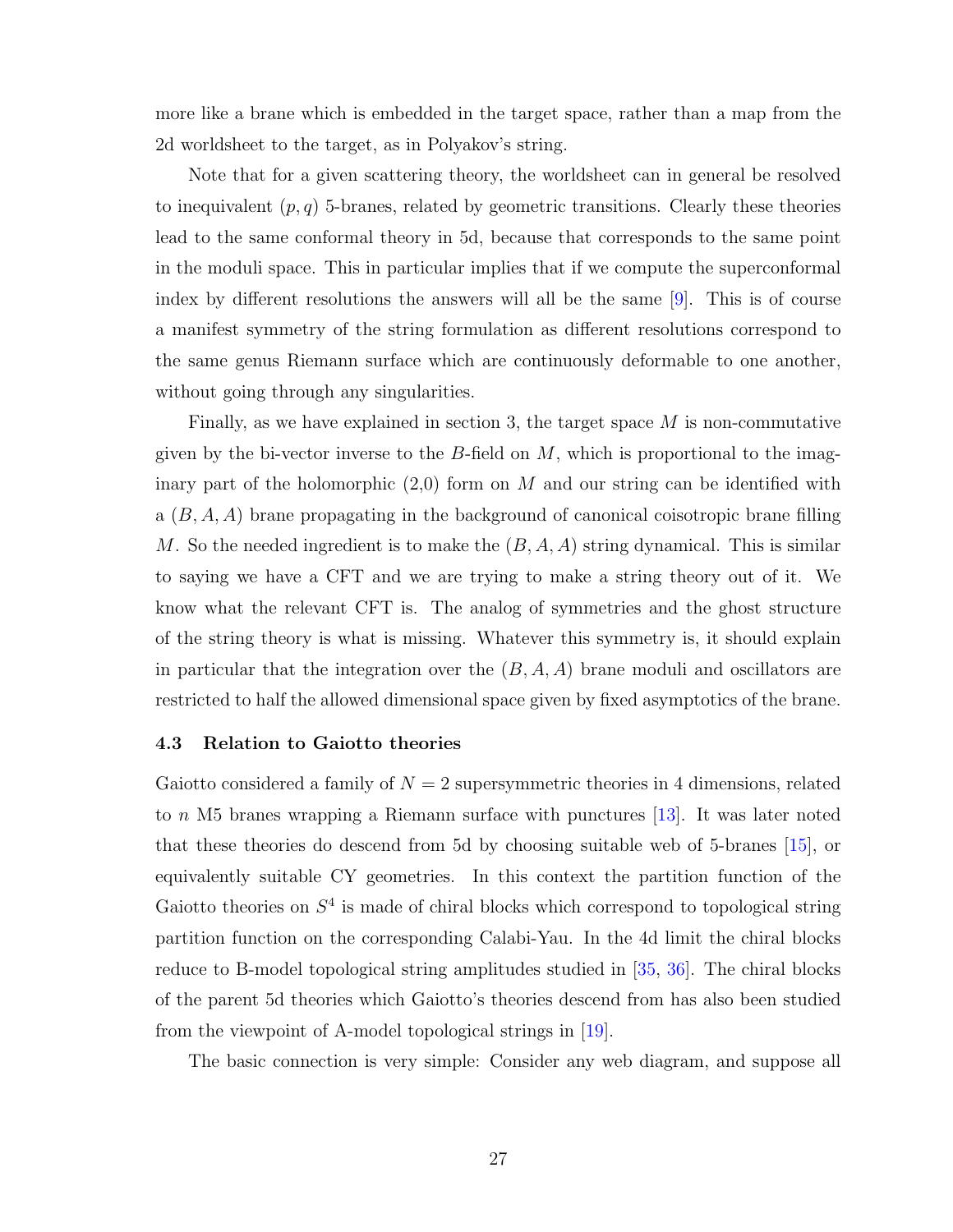more like a brane which is embedded in the target space, rather than a map from the 2d worldsheet to the target, as in Polyakov's string.

Note that for a given scattering theory, the worldsheet can in general be resolved to inequivalent  $(p, q)$  5-branes, related by geometric transitions. Clearly these theories lead to the same conformal theory in 5d, because that corresponds to the same point in the moduli space. This in particular implies that if we compute the superconformal index by different resolutions the answers will all be the same [\[9\]](#page-37-6). This is of course a manifest symmetry of the string formulation as different resolutions correspond to the same genus Riemann surface which are continuously deformable to one another, without going through any singularities.

Finally, as we have explained in section 3, the target space  $M$  is non-commutative given by the bi-vector inverse to the  $B$ -field on  $M$ , which is proportional to the imaginary part of the holomorphic  $(2,0)$  form on M and our string can be identified with a  $(B, A, A)$  brane propagating in the background of canonical coisotropic brane filling M. So the needed ingredient is to make the  $(B, A, A)$  string dynamical. This is similar to saying we have a CFT and we are trying to make a string theory out of it. We know what the relevant CFT is. The analog of symmetries and the ghost structure of the string theory is what is missing. Whatever this symmetry is, it should explain in particular that the integration over the  $(B, A, A)$  brane moduli and oscillators are restricted to half the allowed dimensional space given by fixed asymptotics of the brane.

#### 4.3 Relation to Gaiotto theories

Gaiotto considered a family of  $N = 2$  supersymmetric theories in 4 dimensions, related to n M5 branes wrapping a Riemann surface with punctures [\[13\]](#page-38-2). It was later noted that these theories do descend from 5d by choosing suitable web of 5-branes [\[15\]](#page-38-4), or equivalently suitable CY geometries. In this context the partition function of the Gaiotto theories on  $S<sup>4</sup>$  is made of chiral blocks which correspond to topological string partition function on the corresponding Calabi-Yau. In the 4d limit the chiral blocks reduce to B-model topological string amplitudes studied in [\[35,](#page-39-6) [36\]](#page-39-7). The chiral blocks of the parent 5d theories which Gaiotto's theories descend from has also been studied from the viewpoint of A-model topological strings in [\[19\]](#page-38-8).

The basic connection is very simple: Consider any web diagram, and suppose all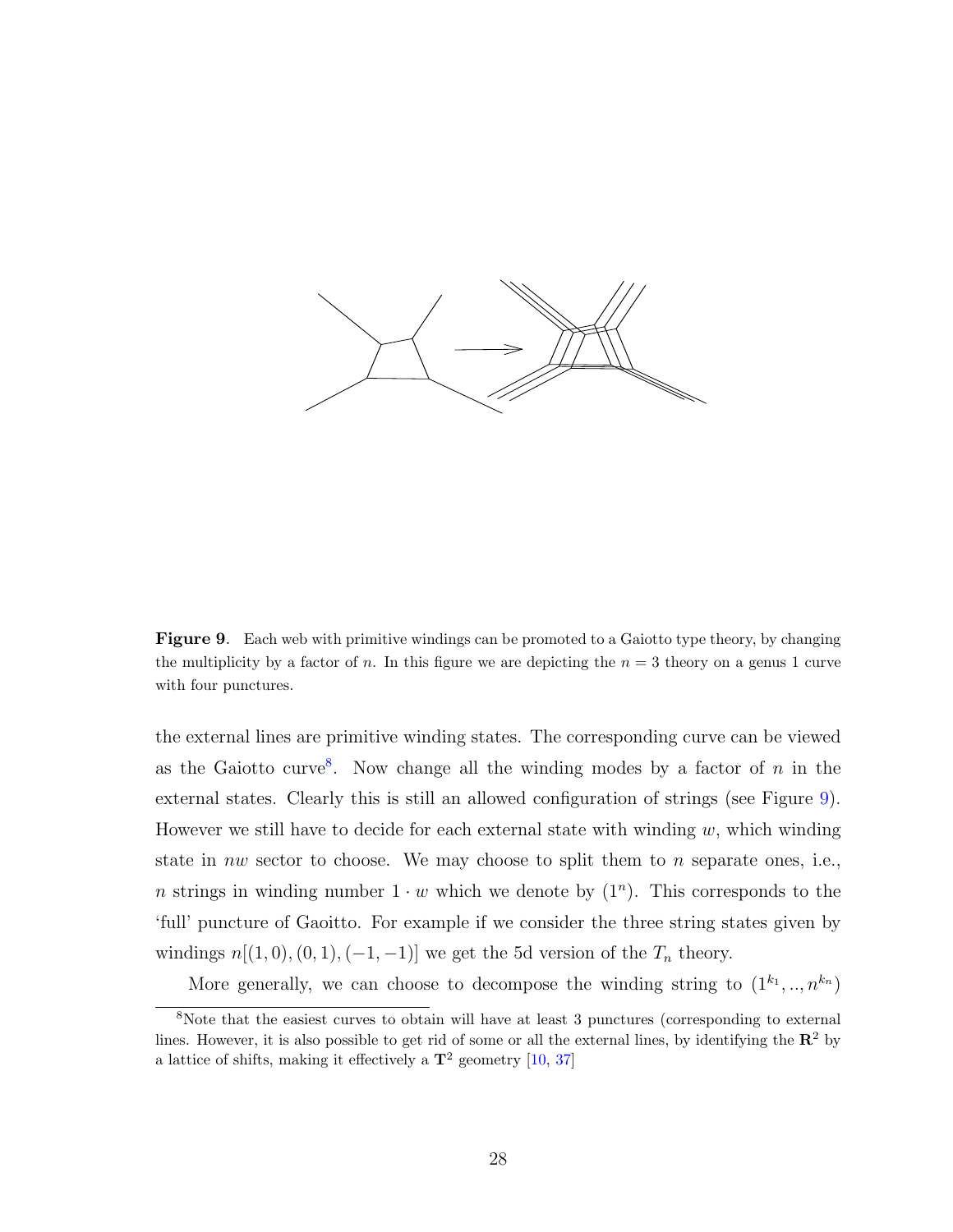

<span id="page-28-1"></span>Figure 9. Each web with primitive windings can be promoted to a Gaiotto type theory, by changing the multiplicity by a factor of n. In this figure we are depicting the  $n = 3$  theory on a genus 1 curve with four punctures.

the external lines are primitive winding states. The corresponding curve can be viewed as the Gaiotto curve<sup>[8](#page-28-0)</sup>. Now change all the winding modes by a factor of  $n$  in the external states. Clearly this is still an allowed configuration of strings (see Figure [9\)](#page-28-1). However we still have to decide for each external state with winding  $w$ , which winding state in nw sector to choose. We may choose to split them to n separate ones, i.e., n strings in winding number  $1 \cdot w$  which we denote by  $(1^n)$ . This corresponds to the 'full' puncture of Gaoitto. For example if we consider the three string states given by windings  $n[(1,0), (0, 1), (-1, -1)]$  we get the 5d version of the  $T_n$  theory.

<span id="page-28-0"></span>More generally, we can choose to decompose the winding string to  $(1^{k_1},..,n^{k_n})$ 

<sup>&</sup>lt;sup>8</sup>Note that the easiest curves to obtain will have at least 3 punctures (corresponding to external lines. However, it is also possible to get rid of some or all the external lines, by identifying the  $\mathbb{R}^2$  by a lattice of shifts, making it effectively a  $\mathbf{T}^2$  geometry [\[10,](#page-37-7) [37\]](#page-39-8)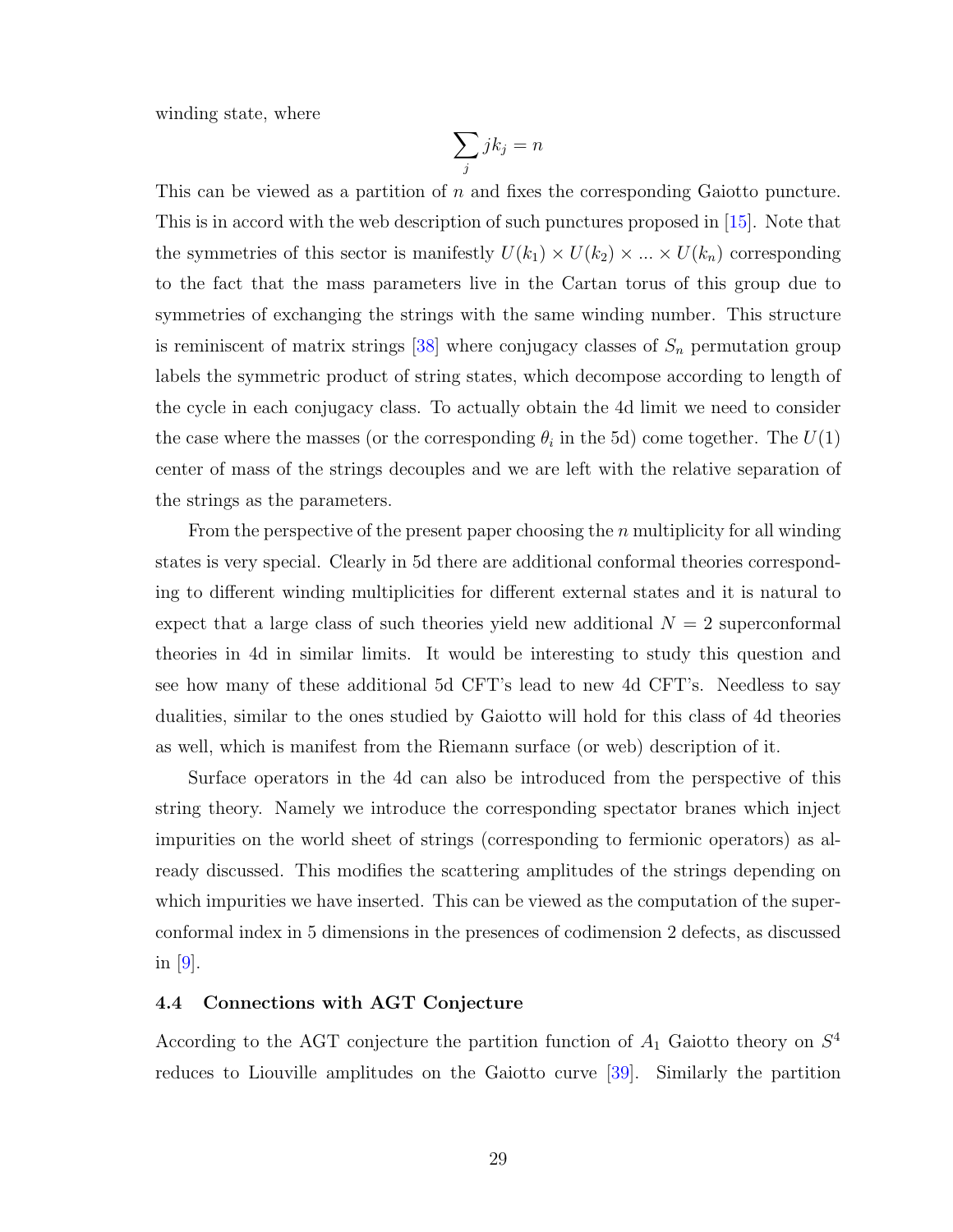winding state, where

$$
\sum_j j k_j = n
$$

This can be viewed as a partition of n and fixes the corresponding Gaiotto puncture. This is in accord with the web description of such punctures proposed in [\[15\]](#page-38-4). Note that the symmetries of this sector is manifestly  $U(k_1) \times U(k_2) \times ... \times U(k_n)$  corresponding to the fact that the mass parameters live in the Cartan torus of this group due to symmetries of exchanging the strings with the same winding number. This structure is reminiscent of matrix strings  $[38]$  where conjugacy classes of  $S_n$  permutation group labels the symmetric product of string states, which decompose according to length of the cycle in each conjugacy class. To actually obtain the 4d limit we need to consider the case where the masses (or the corresponding  $\theta_i$  in the 5d) come together. The  $U(1)$ center of mass of the strings decouples and we are left with the relative separation of the strings as the parameters.

From the perspective of the present paper choosing the  $n$  multiplicity for all winding states is very special. Clearly in 5d there are additional conformal theories corresponding to different winding multiplicities for different external states and it is natural to expect that a large class of such theories yield new additional  $N = 2$  superconformal theories in 4d in similar limits. It would be interesting to study this question and see how many of these additional 5d CFT's lead to new 4d CFT's. Needless to say dualities, similar to the ones studied by Gaiotto will hold for this class of 4d theories as well, which is manifest from the Riemann surface (or web) description of it.

Surface operators in the 4d can also be introduced from the perspective of this string theory. Namely we introduce the corresponding spectator branes which inject impurities on the world sheet of strings (corresponding to fermionic operators) as already discussed. This modifies the scattering amplitudes of the strings depending on which impurities we have inserted. This can be viewed as the computation of the superconformal index in 5 dimensions in the presences of codimension 2 defects, as discussed in  $|9|$ .

#### 4.4 Connections with AGT Conjecture

According to the AGT conjecture the partition function of  $A_1$  Gaiotto theory on  $S^4$ reduces to Liouville amplitudes on the Gaiotto curve [\[39\]](#page-39-10). Similarly the partition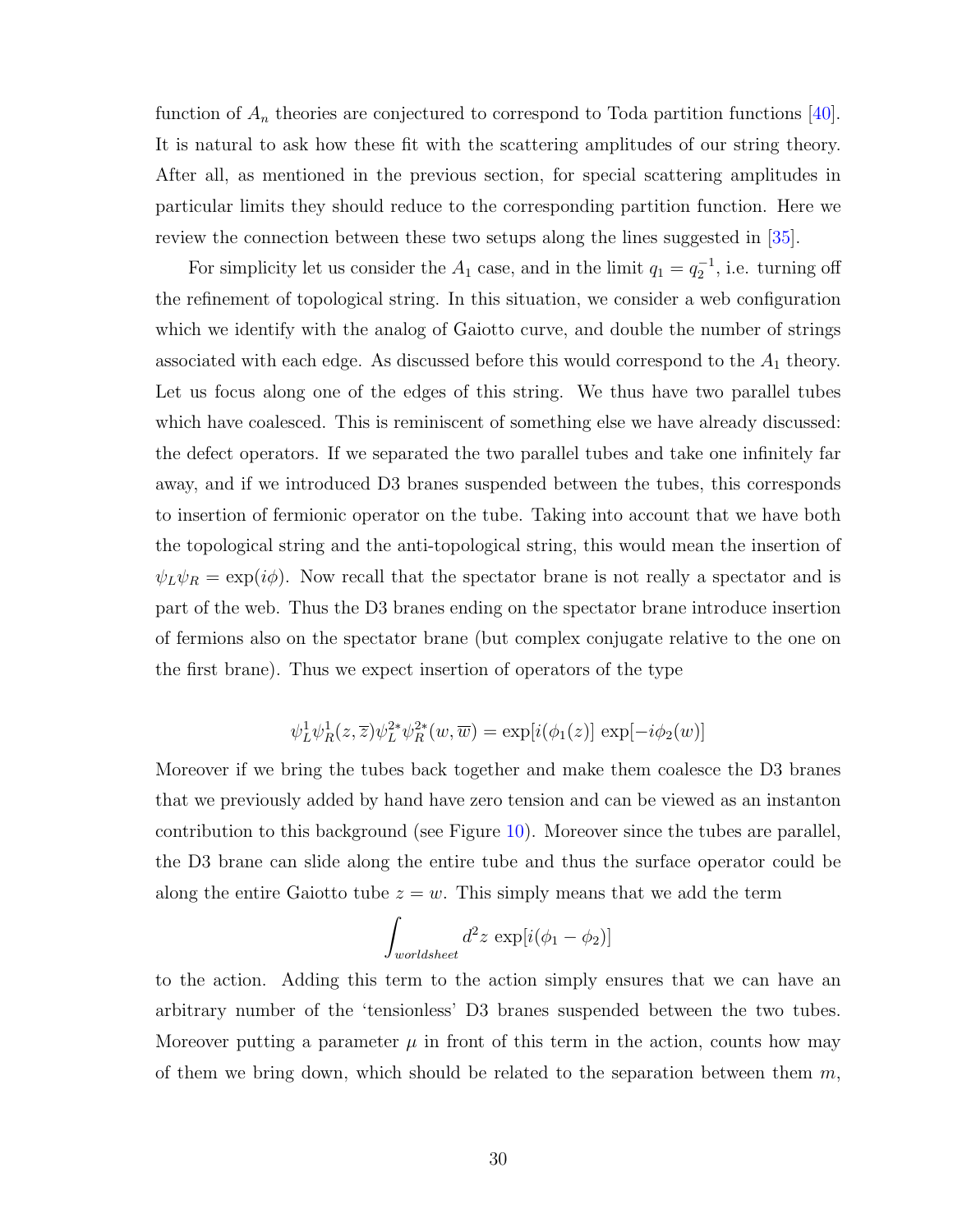function of  $A_n$  theories are conjectured to correspond to Toda partition functions [\[40\]](#page-39-11). It is natural to ask how these fit with the scattering amplitudes of our string theory. After all, as mentioned in the previous section, for special scattering amplitudes in particular limits they should reduce to the corresponding partition function. Here we review the connection between these two setups along the lines suggested in [\[35\]](#page-39-6).

For simplicity let us consider the  $A_1$  case, and in the limit  $q_1 = q_2^{-1}$ , i.e. turning off the refinement of topological string. In this situation, we consider a web configuration which we identify with the analog of Gaiotto curve, and double the number of strings associated with each edge. As discussed before this would correspond to the  $A_1$  theory. Let us focus along one of the edges of this string. We thus have two parallel tubes which have coalesced. This is reminiscent of something else we have already discussed: the defect operators. If we separated the two parallel tubes and take one infinitely far away, and if we introduced D3 branes suspended between the tubes, this corresponds to insertion of fermionic operator on the tube. Taking into account that we have both the topological string and the anti-topological string, this would mean the insertion of  $\psi_L \psi_R = \exp(i\phi)$ . Now recall that the spectator brane is not really a spectator and is part of the web. Thus the D3 branes ending on the spectator brane introduce insertion of fermions also on the spectator brane (but complex conjugate relative to the one on the first brane). Thus we expect insertion of operators of the type

$$
\psi_L^1 \psi_R^1(z,\overline{z}) \psi_L^{2*} \psi_R^{2*}(w,\overline{w}) = \exp[i(\phi_1(z)] \, \exp[-i\phi_2(w)]
$$

Moreover if we bring the tubes back together and make them coalesce the D3 branes that we previously added by hand have zero tension and can be viewed as an instanton contribution to this background (see Figure [10\)](#page-31-0). Moreover since the tubes are parallel, the D3 brane can slide along the entire tube and thus the surface operator could be along the entire Gaiotto tube  $z = w$ . This simply means that we add the term

$$
\int_{worldsheet} d^2z \, \exp[i(\phi_1 - \phi_2)]
$$

to the action. Adding this term to the action simply ensures that we can have an arbitrary number of the 'tensionless' D3 branes suspended between the two tubes. Moreover putting a parameter  $\mu$  in front of this term in the action, counts how may of them we bring down, which should be related to the separation between them  $m$ ,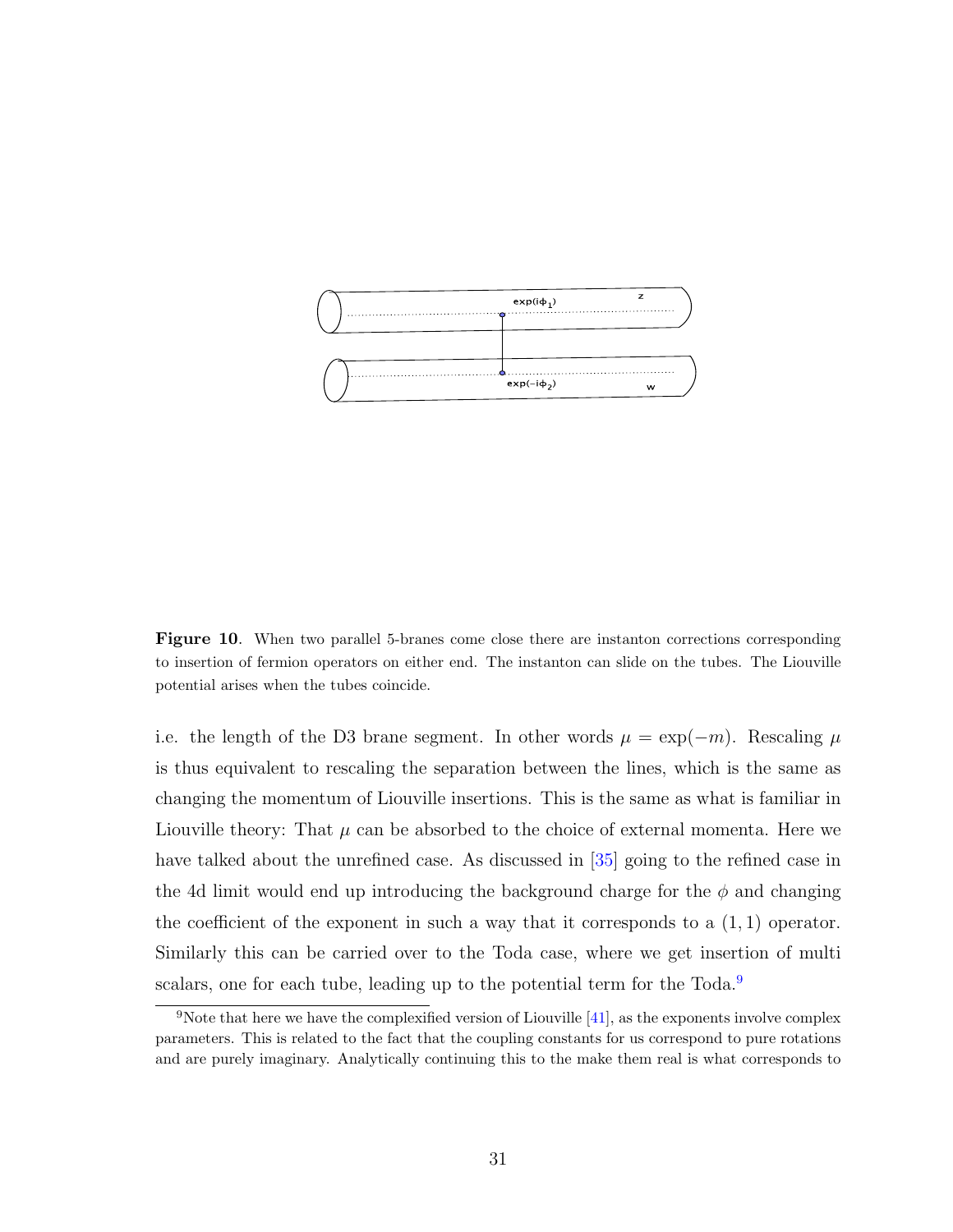

<span id="page-31-0"></span>Figure 10. When two parallel 5-branes come close there are instanton corrections corresponding to insertion of fermion operators on either end. The instanton can slide on the tubes. The Liouville potential arises when the tubes coincide.

i.e. the length of the D3 brane segment. In other words  $\mu = \exp(-m)$ . Rescaling  $\mu$ is thus equivalent to rescaling the separation between the lines, which is the same as changing the momentum of Liouville insertions. This is the same as what is familiar in Liouville theory: That  $\mu$  can be absorbed to the choice of external momenta. Here we have talked about the unrefined case. As discussed in [\[35\]](#page-39-6) going to the refined case in the 4d limit would end up introducing the background charge for the  $\phi$  and changing the coefficient of the exponent in such a way that it corresponds to a  $(1,1)$  operator. Similarly this can be carried over to the Toda case, where we get insertion of multi scalars, one for each tube, leading up to the potential term for the Toda.<sup>[9](#page-31-1)</sup>

<span id="page-31-1"></span><sup>&</sup>lt;sup>9</sup>Note that here we have the complexified version of Liouville  $[41]$ , as the exponents involve complex parameters. This is related to the fact that the coupling constants for us correspond to pure rotations and are purely imaginary. Analytically continuing this to the make them real is what corresponds to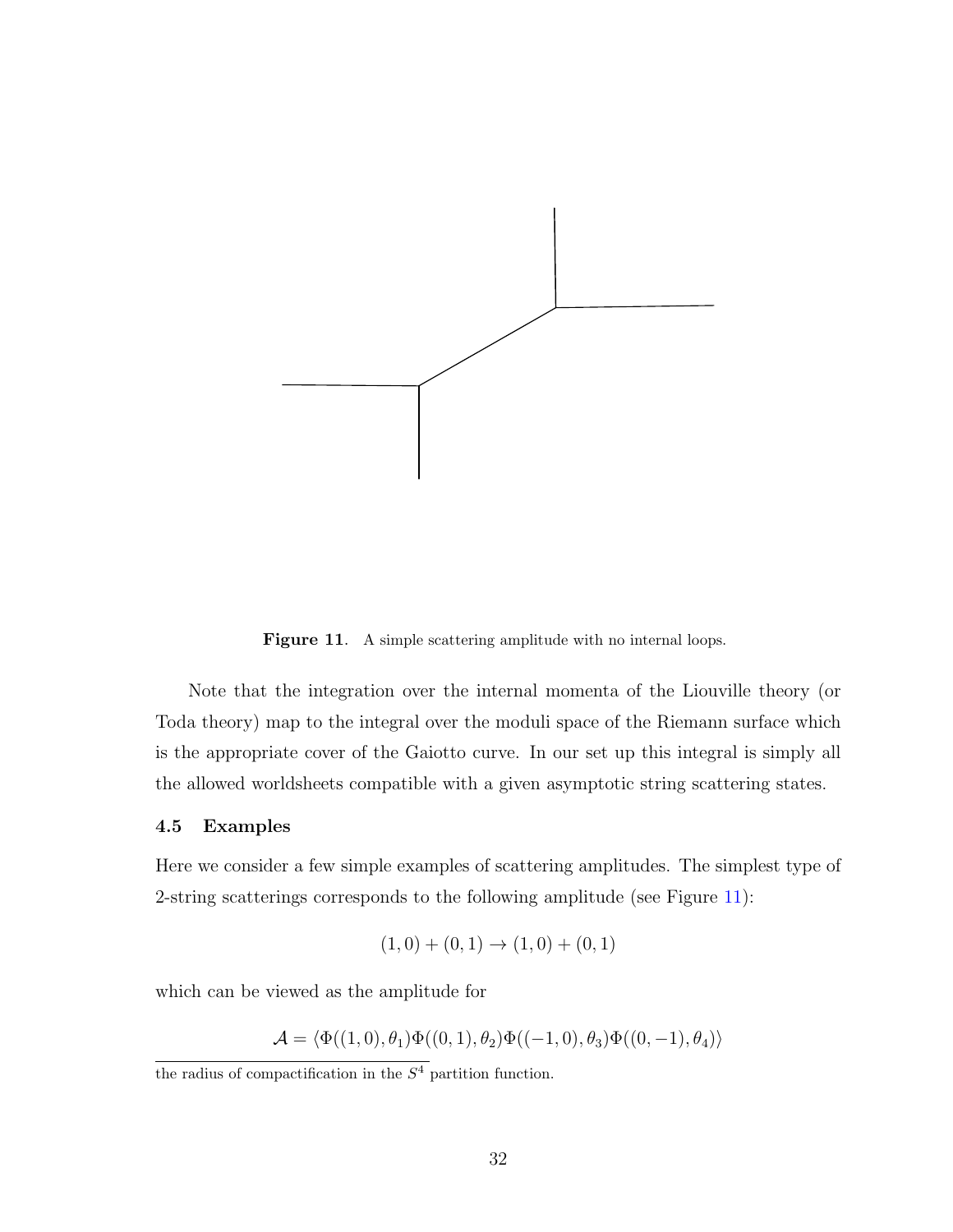

<span id="page-32-0"></span>Figure 11. A simple scattering amplitude with no internal loops.

Note that the integration over the internal momenta of the Liouville theory (or Toda theory) map to the integral over the moduli space of the Riemann surface which is the appropriate cover of the Gaiotto curve. In our set up this integral is simply all the allowed worldsheets compatible with a given asymptotic string scattering states.

#### 4.5 Examples

Here we consider a few simple examples of scattering amplitudes. The simplest type of 2-string scatterings corresponds to the following amplitude (see Figure [11\)](#page-32-0):

$$
(1,0) + (0,1) \rightarrow (1,0) + (0,1)
$$

which can be viewed as the amplitude for

$$
\mathcal{A} = \langle \Phi((1,0),\theta_1)\Phi((0,1),\theta_2)\Phi((-1,0),\theta_3)\Phi((0,-1),\theta_4)\rangle
$$

the radius of compactification in the  $S<sup>4</sup>$  partition function.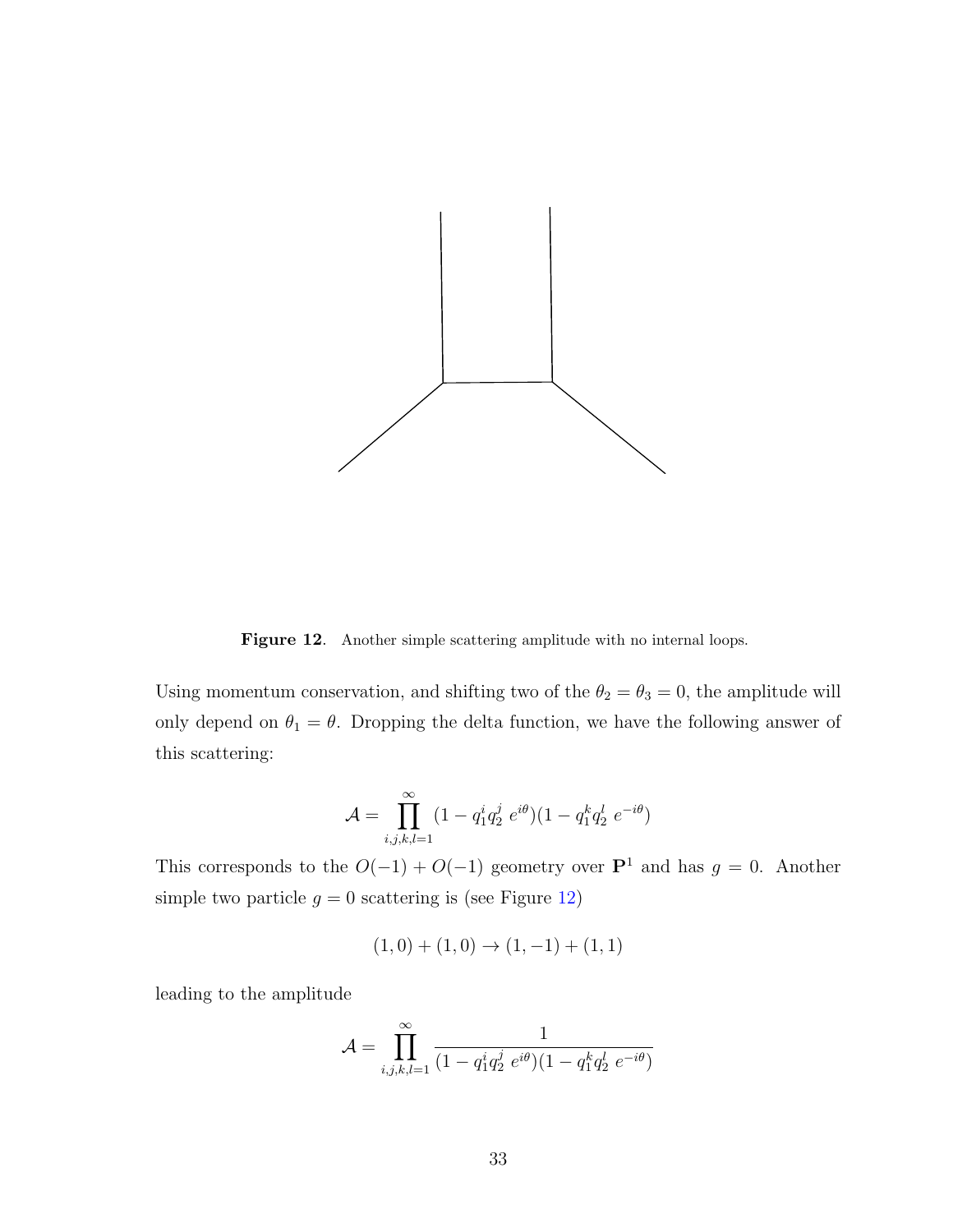

<span id="page-33-0"></span>Figure 12. Another simple scattering amplitude with no internal loops.

Using momentum conservation, and shifting two of the  $\theta_2 = \theta_3 = 0$ , the amplitude will only depend on  $\theta_1 = \theta$ . Dropping the delta function, we have the following answer of this scattering:

$$
\mathcal{A} = \prod_{i,j,k,l=1}^{\infty} (1 - q_1^i q_2^j e^{i\theta}) (1 - q_1^k q_2^l e^{-i\theta})
$$

This corresponds to the  $O(-1) + O(-1)$  geometry over **P**<sup>1</sup> and has  $g = 0$ . Another simple two particle  $g = 0$  scattering is (see Figure [12\)](#page-33-0)

$$
(1,0) + (1,0) \rightarrow (1,-1) + (1,1)
$$

leading to the amplitude

$$
\mathcal{A} = \prod_{i,j,k,l=1}^{\infty} \frac{1}{(1 - q_1^i q_2^j e^{i\theta})(1 - q_1^k q_2^l e^{-i\theta})}
$$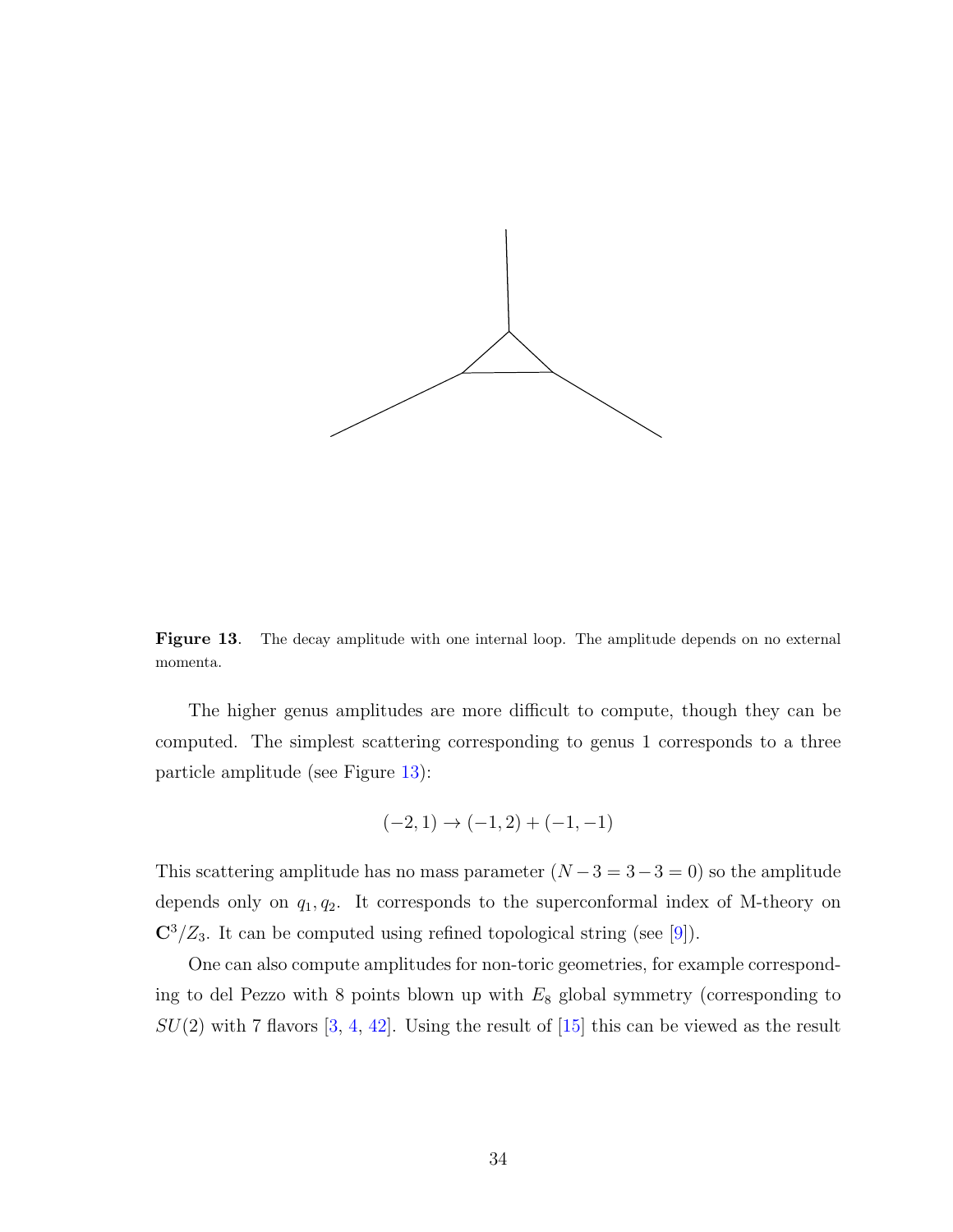

<span id="page-34-0"></span>Figure 13. The decay amplitude with one internal loop. The amplitude depends on no external momenta.

The higher genus amplitudes are more difficult to compute, though they can be computed. The simplest scattering corresponding to genus 1 corresponds to a three particle amplitude (see Figure [13\)](#page-34-0):

$$
(-2,1) \rightarrow (-1,2) + (-1,-1)
$$

This scattering amplitude has no mass parameter  $(N-3=3-3=0)$  so the amplitude depends only on  $q_1, q_2$ . It corresponds to the superconformal index of M-theory on  $\mathbb{C}^3/\mathbb{Z}_3$ . It can be computed using refined topological string (see [\[9\]](#page-37-6)).

One can also compute amplitudes for non-toric geometries, for example corresponding to del Pezzo with 8 points blown up with  $E_8$  global symmetry (corresponding to  $SU(2)$  with 7 flavors [\[3,](#page-37-2) [4,](#page-37-9) [42\]](#page-39-13). Using the result of [\[15\]](#page-38-4) this can be viewed as the result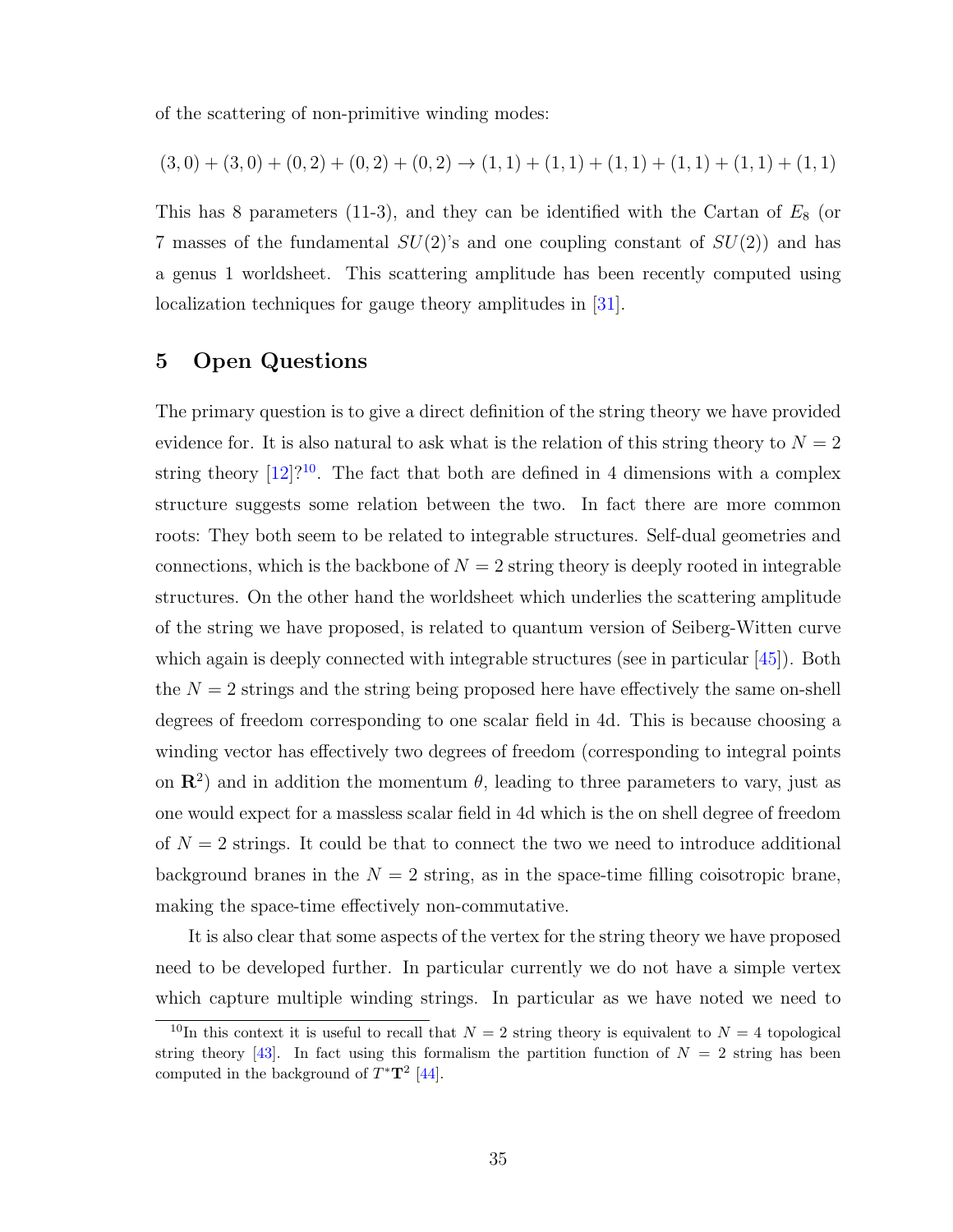of the scattering of non-primitive winding modes:

$$
(3,0) + (3,0) + (0,2) + (0,2) + (0,2) \rightarrow (1,1) + (1,1) + (1,1) + (1,1) + (1,1) + (1,1)
$$

This has 8 parameters (11-3), and they can be identified with the Cartan of  $E_8$  (or 7 masses of the fundamental  $SU(2)$ 's and one coupling constant of  $SU(2)$  and has a genus 1 worldsheet. This scattering amplitude has been recently computed using localization techniques for gauge theory amplitudes in [\[31\]](#page-39-2).

## 5 Open Questions

The primary question is to give a direct definition of the string theory we have provided evidence for. It is also natural to ask what is the relation of this string theory to  $N = 2$ string theory  $[12]$ ?<sup>[10](#page-35-0)</sup>. The fact that both are defined in 4 dimensions with a complex structure suggests some relation between the two. In fact there are more common roots: They both seem to be related to integrable structures. Self-dual geometries and connections, which is the backbone of  $N = 2$  string theory is deeply rooted in integrable structures. On the other hand the worldsheet which underlies the scattering amplitude of the string we have proposed, is related to quantum version of Seiberg-Witten curve which again is deeply connected with integrable structures (see in particular  $[45]$ ). Both the  $N = 2$  strings and the string being proposed here have effectively the same on-shell degrees of freedom corresponding to one scalar field in 4d. This is because choosing a winding vector has effectively two degrees of freedom (corresponding to integral points on  $\mathbb{R}^2$  and in addition the momentum  $\theta$ , leading to three parameters to vary, just as one would expect for a massless scalar field in 4d which is the on shell degree of freedom of  $N = 2$  strings. It could be that to connect the two we need to introduce additional background branes in the  $N = 2$  string, as in the space-time filling coisotropic brane, making the space-time effectively non-commutative.

It is also clear that some aspects of the vertex for the string theory we have proposed need to be developed further. In particular currently we do not have a simple vertex which capture multiple winding strings. In particular as we have noted we need to

<span id="page-35-0"></span><sup>&</sup>lt;sup>10</sup>In this context it is useful to recall that  $N = 2$  string theory is equivalent to  $N = 4$  topological string theory [\[43\]](#page-39-14). In fact using this formalism the partition function of  $N = 2$  string has been computed in the background of  $T^*T^2$  [\[44\]](#page-39-15).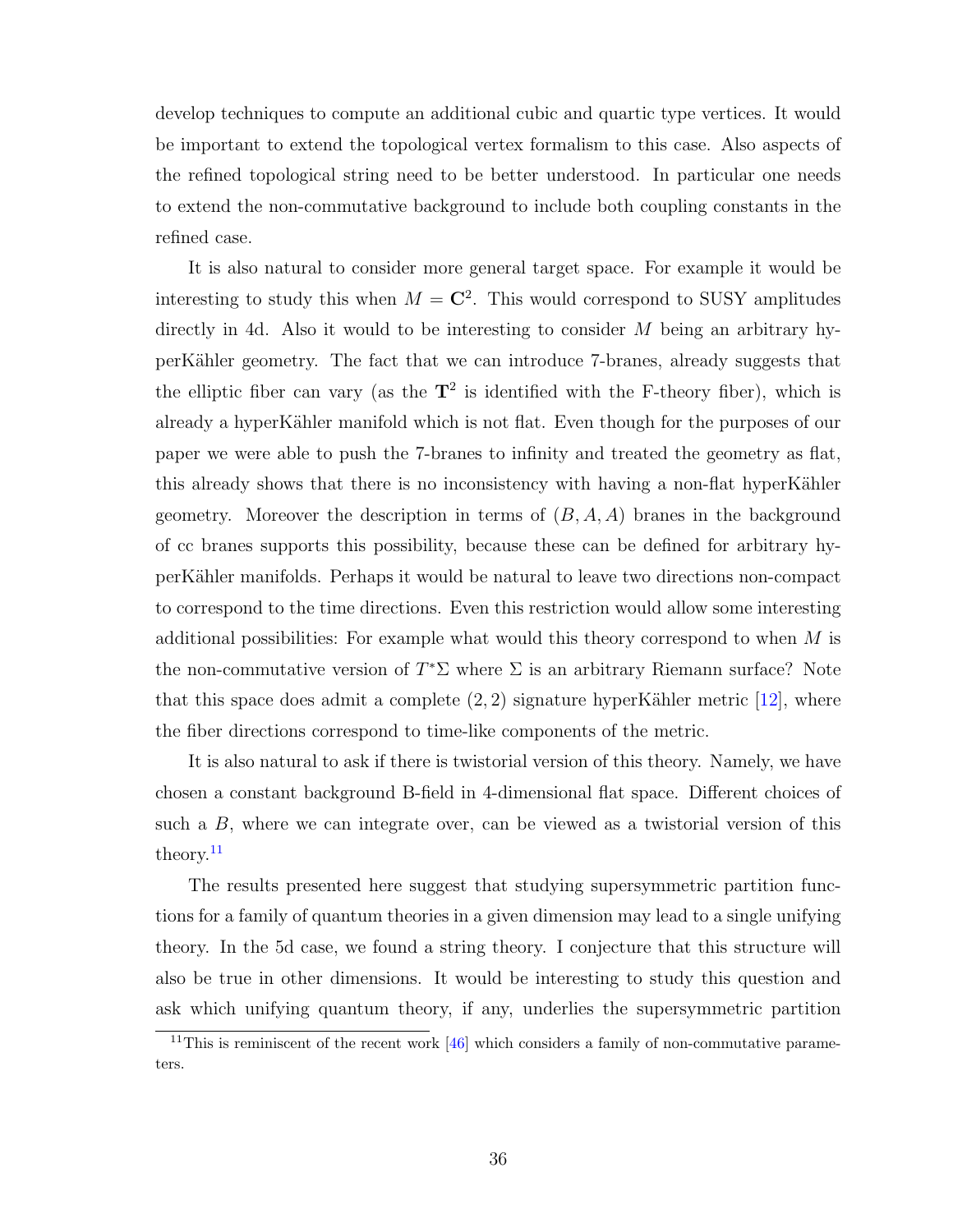develop techniques to compute an additional cubic and quartic type vertices. It would be important to extend the topological vertex formalism to this case. Also aspects of the refined topological string need to be better understood. In particular one needs to extend the non-commutative background to include both coupling constants in the refined case.

It is also natural to consider more general target space. For example it would be interesting to study this when  $M = \mathbb{C}^2$ . This would correspond to SUSY amplitudes directly in 4d. Also it would to be interesting to consider M being an arbitrary hyperK¨ahler geometry. The fact that we can introduce 7-branes, already suggests that the elliptic fiber can vary (as the  $T^2$  is identified with the F-theory fiber), which is already a hyperKähler manifold which is not flat. Even though for the purposes of our paper we were able to push the 7-branes to infinity and treated the geometry as flat, this already shows that there is no inconsistency with having a non-flat hyperKähler geometry. Moreover the description in terms of  $(B, A, A)$  branes in the background of cc branes supports this possibility, because these can be defined for arbitrary hyperK¨ahler manifolds. Perhaps it would be natural to leave two directions non-compact to correspond to the time directions. Even this restriction would allow some interesting additional possibilities: For example what would this theory correspond to when M is the non-commutative version of  $T^*\Sigma$  where  $\Sigma$  is an arbitrary Riemann surface? Note that this space does admit a complete  $(2, 2)$  signature hyperKähler metric [\[12\]](#page-38-1), where the fiber directions correspond to time-like components of the metric.

It is also natural to ask if there is twistorial version of this theory. Namely, we have chosen a constant background B-field in 4-dimensional flat space. Different choices of such a  $B$ , where we can integrate over, can be viewed as a twistorial version of this theory.<sup>[11](#page-36-0)</sup>

The results presented here suggest that studying supersymmetric partition functions for a family of quantum theories in a given dimension may lead to a single unifying theory. In the 5d case, we found a string theory. I conjecture that this structure will also be true in other dimensions. It would be interesting to study this question and ask which unifying quantum theory, if any, underlies the supersymmetric partition

<span id="page-36-0"></span><sup>&</sup>lt;sup>11</sup>This is reminiscent of the recent work  $[46]$  which considers a family of non-commutative parameters.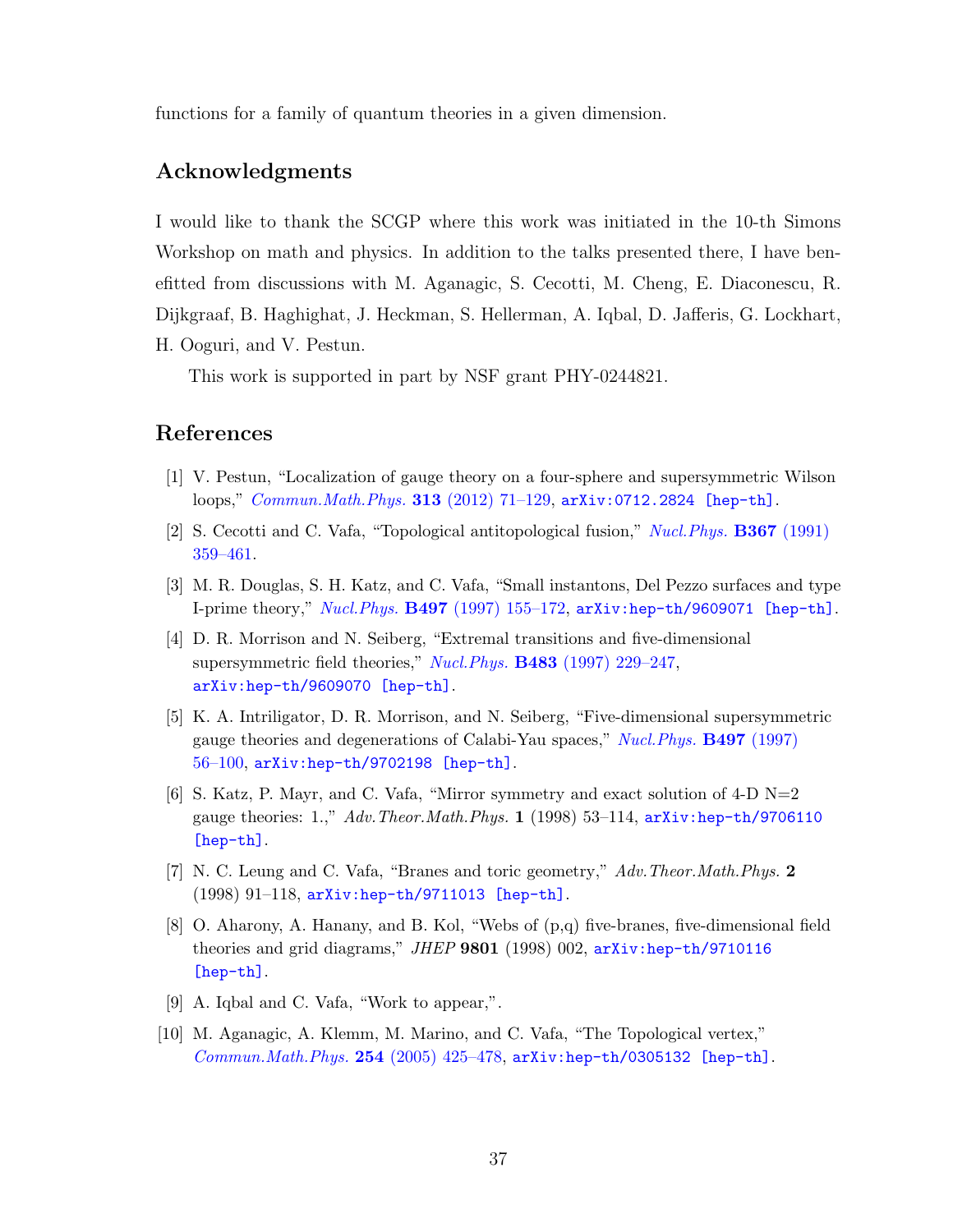functions for a family of quantum theories in a given dimension.

### Acknowledgments

I would like to thank the SCGP where this work was initiated in the 10-th Simons Workshop on math and physics. In addition to the talks presented there, I have benefitted from discussions with M. Aganagic, S. Cecotti, M. Cheng, E. Diaconescu, R. Dijkgraaf, B. Haghighat, J. Heckman, S. Hellerman, A. Iqbal, D. Jafferis, G. Lockhart, H. Ooguri, and V. Pestun.

This work is supported in part by NSF grant PHY-0244821.

## References

- <span id="page-37-0"></span>[1] V. Pestun, "Localization of gauge theory on a four-sphere and supersymmetric Wilson loops," [Commun.Math.Phys.](http://dx.doi.org/10.1007/s00220-012-1485-0) 313 (2012) 71–129, [arXiv:0712.2824 \[hep-th\]](http://arxiv.org/abs/0712.2824).
- <span id="page-37-1"></span>[2] S. Cecotti and C. Vafa, "Topological antitopological fusion," [Nucl.Phys.](http://dx.doi.org/10.1016/0550-3213(91)90021-O) B367 (1991) [359–461.](http://dx.doi.org/10.1016/0550-3213(91)90021-O)
- <span id="page-37-2"></span>[3] M. R. Douglas, S. H. Katz, and C. Vafa, "Small instantons, Del Pezzo surfaces and type I-prime theory," Nucl.Phys. B497 [\(1997\) 155–172,](http://dx.doi.org/10.1016/S0550-3213(97)00281-2) [arXiv:hep-th/9609071 \[hep-th\]](http://arxiv.org/abs/hep-th/9609071).
- <span id="page-37-9"></span>[4] D. R. Morrison and N. Seiberg, "Extremal transitions and five-dimensional supersymmetric field theories," Nucl. Phys. **B483** [\(1997\) 229–247,](http://dx.doi.org/10.1016/S0550-3213(96)00592-5) [arXiv:hep-th/9609070 \[hep-th\]](http://arxiv.org/abs/hep-th/9609070).
- <span id="page-37-8"></span>[5] K. A. Intriligator, D. R. Morrison, and N. Seiberg, "Five-dimensional supersymmetric gauge theories and degenerations of Calabi-Yau spaces," [Nucl.Phys.](http://dx.doi.org/10.1016/S0550-3213(97)00279-4) B497 (1997) [56–100,](http://dx.doi.org/10.1016/S0550-3213(97)00279-4) [arXiv:hep-th/9702198 \[hep-th\]](http://arxiv.org/abs/hep-th/9702198).
- <span id="page-37-3"></span>[6] S. Katz, P. Mayr, and C. Vafa, "Mirror symmetry and exact solution of 4-D  $N=2$ gauge theories: 1.,"  $Adv. Theor. Math. Phys.$  1 (1998) 53-114,  $arXiv: hep-th/9706110$ [\[hep-th\]](http://arxiv.org/abs/hep-th/9706110).
- <span id="page-37-4"></span>[7] N. C. Leung and C. Vafa, "Branes and toric geometry," Adv.Theor.Math.Phys. 2 (1998) 91–118, [arXiv:hep-th/9711013 \[hep-th\]](http://arxiv.org/abs/hep-th/9711013).
- <span id="page-37-5"></span>[8] O. Aharony, A. Hanany, and B. Kol, "Webs of (p,q) five-branes, five-dimensional field theories and grid diagrams," JHEP  $9801$  (1998) 002,  $arXiv:hep-th/9710116$ [\[hep-th\]](http://arxiv.org/abs/hep-th/9710116).
- <span id="page-37-6"></span>[9] A. Iqbal and C. Vafa, "Work to appear,".
- <span id="page-37-7"></span>[10] M. Aganagic, A. Klemm, M. Marino, and C. Vafa, "The Topological vertex,"  $Common. Math. Phys. 254 (2005) 425-478$ ,  $arXiv: hep-th/0305132 [hep-th].$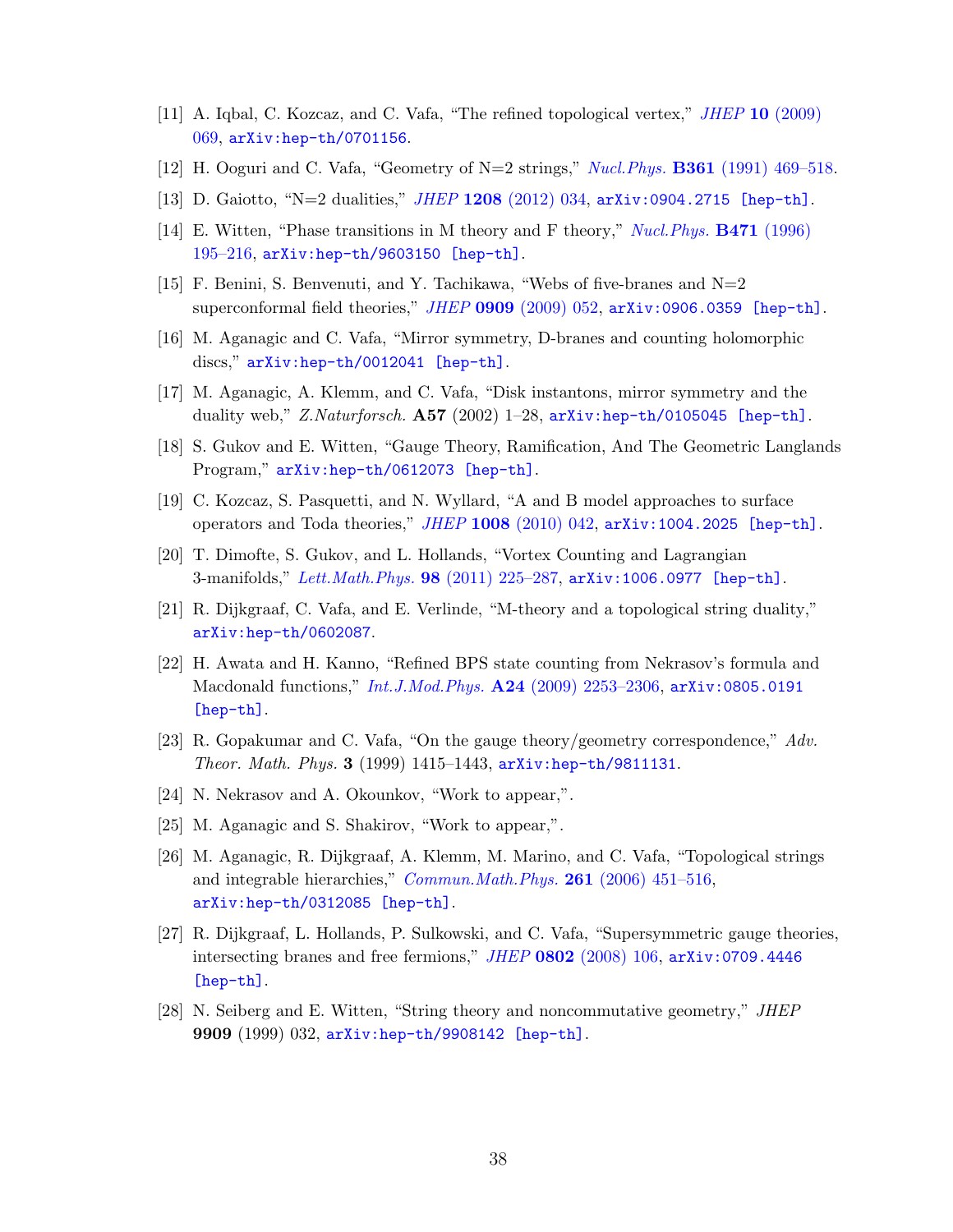- <span id="page-38-0"></span>[11] A. Iqbal, C. Kozcaz, and C. Vafa, "The refined topological vertex," JHEP 10 [\(2009\)](http://dx.doi.org/10.1088/1126-6708/2009/10/069) [069,](http://dx.doi.org/10.1088/1126-6708/2009/10/069) [arXiv:hep-th/0701156](http://arxiv.org/abs/hep-th/0701156).
- <span id="page-38-1"></span>[12] H. Ooguri and C. Vafa, "Geometry of  $N=2$  strings," *Nucl. Phys.* **B361** [\(1991\) 469–518.](http://dx.doi.org/10.1016/0550-3213(91)90270-8)
- <span id="page-38-2"></span>[13] D. Gaiotto, "N=2 dualities," JHEP 1208 [\(2012\) 034,](http://dx.doi.org/10.1007/JHEP08(2012)034) [arXiv:0904.2715 \[hep-th\]](http://arxiv.org/abs/0904.2715).
- <span id="page-38-3"></span>[14] E. Witten, "Phase transitions in M theory and F theory," [Nucl.Phys.](http://dx.doi.org/10.1016/0550-3213(96)00212-X) B471 (1996) [195–216,](http://dx.doi.org/10.1016/0550-3213(96)00212-X) [arXiv:hep-th/9603150 \[hep-th\]](http://arxiv.org/abs/hep-th/9603150).
- <span id="page-38-4"></span>[15] F. Benini, S. Benvenuti, and Y. Tachikawa, "Webs of five-branes and  $N=2$ superconformal field theories,"  $JHEP$  0909 [\(2009\) 052,](http://dx.doi.org/10.1088/1126-6708/2009/09/052)  $arXiv:0906.0359$  [hep-th].
- <span id="page-38-5"></span>[16] M. Aganagic and C. Vafa, "Mirror symmetry, D-branes and counting holomorphic discs," [arXiv:hep-th/0012041 \[hep-th\]](http://arxiv.org/abs/hep-th/0012041).
- <span id="page-38-6"></span>[17] M. Aganagic, A. Klemm, and C. Vafa, "Disk instantons, mirror symmetry and the duality web," Z.Naturforsch.  $\mathbf{A57}$  (2002) 1–28,  $\mathbf{arXiv:hep-th}/0105045$  [hep-th].
- <span id="page-38-7"></span>[18] S. Gukov and E. Witten, "Gauge Theory, Ramification, And The Geometric Langlands Program," [arXiv:hep-th/0612073 \[hep-th\]](http://arxiv.org/abs/hep-th/0612073).
- <span id="page-38-8"></span>[19] C. Kozcaz, S. Pasquetti, and N. Wyllard, "A and B model approaches to surface operators and Toda theories," JHEP 1008 [\(2010\) 042,](http://dx.doi.org/10.1007/JHEP08(2010)042) [arXiv:1004.2025 \[hep-th\]](http://arxiv.org/abs/1004.2025).
- <span id="page-38-9"></span>[20] T. Dimofte, S. Gukov, and L. Hollands, "Vortex Counting and Lagrangian 3-manifolds," [Lett.Math.Phys.](http://dx.doi.org/10.1007/s11005-011-0531-8) 98 (2011) 225–287, [arXiv:1006.0977 \[hep-th\]](http://arxiv.org/abs/1006.0977).
- <span id="page-38-10"></span>[21] R. Dijkgraaf, C. Vafa, and E. Verlinde, "M-theory and a topological string duality," [arXiv:hep-th/0602087](http://arxiv.org/abs/hep-th/0602087).
- <span id="page-38-11"></span>[22] H. Awata and H. Kanno, "Refined BPS state counting from Nekrasov's formula and Macdonald functions," *Int.J.Mod.Phys.* A24 (2009) 2253-2306, [arXiv:0805.0191](http://arxiv.org/abs/0805.0191) [\[hep-th\]](http://arxiv.org/abs/0805.0191).
- <span id="page-38-12"></span>[23] R. Gopakumar and C. Vafa, "On the gauge theory/geometry correspondence," Adv. Theor. Math. Phys. 3 (1999) 1415–1443, [arXiv:hep-th/9811131](http://arxiv.org/abs/hep-th/9811131).
- <span id="page-38-13"></span>[24] N. Nekrasov and A. Okounkov, "Work to appear,".
- <span id="page-38-14"></span>[25] M. Aganagic and S. Shakirov, "Work to appear,".
- <span id="page-38-15"></span>[26] M. Aganagic, R. Dijkgraaf, A. Klemm, M. Marino, and C. Vafa, "Topological strings and integrable hierarchies," *[Commun.Math.Phys.](http://dx.doi.org/10.1007/s00220-005-1448-9)* **261** (2006) 451-516, [arXiv:hep-th/0312085 \[hep-th\]](http://arxiv.org/abs/hep-th/0312085).
- <span id="page-38-16"></span>[27] R. Dijkgraaf, L. Hollands, P. Sulkowski, and C. Vafa, "Supersymmetric gauge theories, intersecting branes and free fermions,"  $JHEP$  0802 [\(2008\) 106,](http://dx.doi.org/10.1088/1126-6708/2008/02/106)  $arXiv:0709.4446$ [\[hep-th\]](http://arxiv.org/abs/0709.4446).
- <span id="page-38-17"></span>[28] N. Seiberg and E. Witten, "String theory and noncommutative geometry," JHEP 9909 (1999) 032, [arXiv:hep-th/9908142 \[hep-th\]](http://arxiv.org/abs/hep-th/9908142).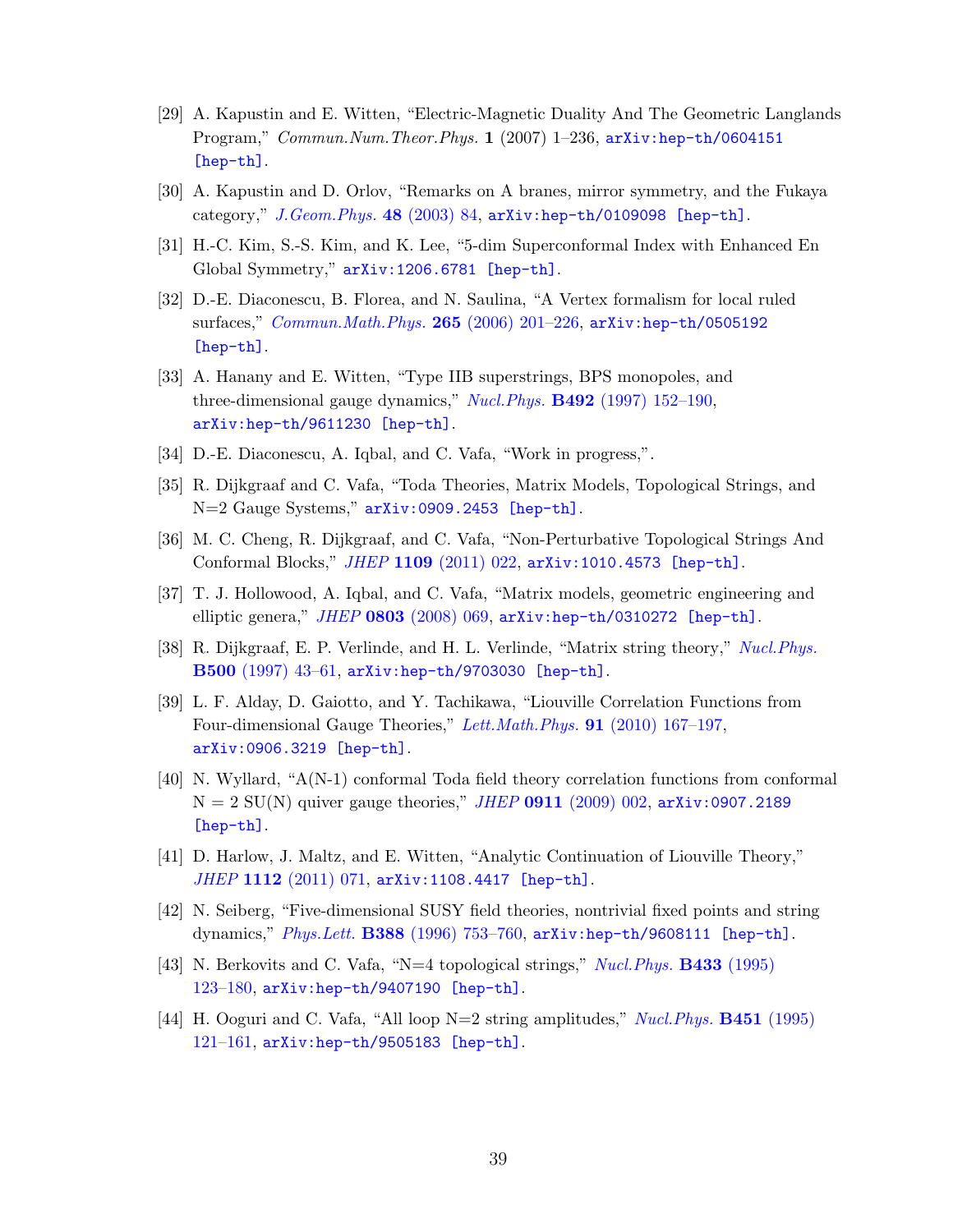- <span id="page-39-0"></span>[29] A. Kapustin and E. Witten, "Electric-Magnetic Duality And The Geometric Langlands Program," Commun.Num.Theor.Phys. 1 (2007) 1–236, [arXiv:hep-th/0604151](http://arxiv.org/abs/hep-th/0604151) [\[hep-th\]](http://arxiv.org/abs/hep-th/0604151).
- <span id="page-39-1"></span>[30] A. Kapustin and D. Orlov, "Remarks on A branes, mirror symmetry, and the Fukaya category," [J.Geom.Phys.](http://dx.doi.org/10.1016/S0393-0440(03)00026-3) 48 (2003) 84, [arXiv:hep-th/0109098 \[hep-th\]](http://arxiv.org/abs/hep-th/0109098).
- <span id="page-39-2"></span>[31] H.-C. Kim, S.-S. Kim, and K. Lee, "5-dim Superconformal Index with Enhanced En Global Symmetry," [arXiv:1206.6781 \[hep-th\]](http://arxiv.org/abs/1206.6781).
- <span id="page-39-3"></span>[32] D.-E. Diaconescu, B. Florea, and N. Saulina, "A Vertex formalism for local ruled surfaces," [Commun.Math.Phys.](http://dx.doi.org/10.1007/s00220-006-1533-8) 265 (2006) 201–226, [arXiv:hep-th/0505192](http://arxiv.org/abs/hep-th/0505192) [\[hep-th\]](http://arxiv.org/abs/hep-th/0505192).
- <span id="page-39-4"></span>[33] A. Hanany and E. Witten, "Type IIB superstrings, BPS monopoles, and three-dimensional gauge dynamics," *Nucl.Phys.* **B492** [\(1997\) 152–190,](http://dx.doi.org/10.1016/S0550-3213(97)00157-0) [arXiv:hep-th/9611230 \[hep-th\]](http://arxiv.org/abs/hep-th/9611230).
- <span id="page-39-5"></span>[34] D.-E. Diaconescu, A. Iqbal, and C. Vafa, "Work in progress,".
- <span id="page-39-6"></span>[35] R. Dijkgraaf and C. Vafa, "Toda Theories, Matrix Models, Topological Strings, and N=2 Gauge Systems," [arXiv:0909.2453 \[hep-th\]](http://arxiv.org/abs/0909.2453).
- <span id="page-39-7"></span>[36] M. C. Cheng, R. Dijkgraaf, and C. Vafa, "Non-Perturbative Topological Strings And Conformal Blocks," JHEP 1109 [\(2011\) 022,](http://dx.doi.org/10.1007/JHEP09(2011)022) [arXiv:1010.4573 \[hep-th\]](http://arxiv.org/abs/1010.4573).
- <span id="page-39-8"></span>[37] T. J. Hollowood, A. Iqbal, and C. Vafa, "Matrix models, geometric engineering and elliptic genera," JHEP 0803 [\(2008\) 069,](http://dx.doi.org/10.1088/1126-6708/2008/03/069) [arXiv:hep-th/0310272 \[hep-th\]](http://arxiv.org/abs/hep-th/0310272).
- <span id="page-39-9"></span>[38] R. Dijkgraaf, E. P. Verlinde, and H. L. Verlinde, "Matrix string theory," [Nucl.Phys.](http://dx.doi.org/10.1016/S0550-3213(97)00326-X) B500 [\(1997\) 43–61,](http://dx.doi.org/10.1016/S0550-3213(97)00326-X) [arXiv:hep-th/9703030 \[hep-th\]](http://arxiv.org/abs/hep-th/9703030).
- <span id="page-39-10"></span>[39] L. F. Alday, D. Gaiotto, and Y. Tachikawa, "Liouville Correlation Functions from Four-dimensional Gauge Theories," [Lett.Math.Phys.](http://dx.doi.org/10.1007/s11005-010-0369-5) 91 (2010) 167–197, [arXiv:0906.3219 \[hep-th\]](http://arxiv.org/abs/0906.3219).
- <span id="page-39-11"></span>[40] N. Wyllard, "A(N-1) conformal Toda field theory correlation functions from conformal  $N = 2$  SU(N) quiver gauge theories," *JHEP* 0911 [\(2009\) 002,](http://dx.doi.org/10.1088/1126-6708/2009/11/002)  $arXiv:0907.2189$ [\[hep-th\]](http://arxiv.org/abs/0907.2189).
- <span id="page-39-12"></span>[41] D. Harlow, J. Maltz, and E. Witten, "Analytic Continuation of Liouville Theory," JHEP 1112 [\(2011\) 071,](http://dx.doi.org/10.1007/JHEP12(2011)071) [arXiv:1108.4417 \[hep-th\]](http://arxiv.org/abs/1108.4417).
- <span id="page-39-13"></span>[42] N. Seiberg, "Five-dimensional SUSY field theories, nontrivial fixed points and string dynamics," Phys.Lett. B388 [\(1996\) 753–760,](http://dx.doi.org/10.1016/S0370-2693(96)01215-4) [arXiv:hep-th/9608111 \[hep-th\]](http://arxiv.org/abs/hep-th/9608111).
- <span id="page-39-14"></span>[43] N. Berkovits and C. Vafa, "N=4 topological strings," [Nucl.Phys.](http://dx.doi.org/10.1016/0550-3213(94)00419-F) B433 (1995) [123–180,](http://dx.doi.org/10.1016/0550-3213(94)00419-F) [arXiv:hep-th/9407190 \[hep-th\]](http://arxiv.org/abs/hep-th/9407190).
- <span id="page-39-15"></span>[44] H. Ooguri and C. Vafa, "All loop N=2 string amplitudes," Nucl. Phys. **B451** (1995) [121–161,](http://dx.doi.org/10.1016/0550-3213(95)00365-Y) [arXiv:hep-th/9505183 \[hep-th\]](http://arxiv.org/abs/hep-th/9505183).